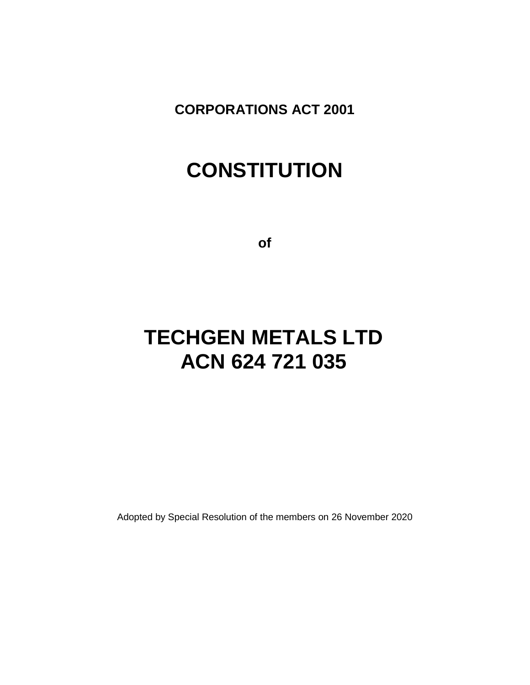**CORPORATIONS ACT 2001**

# **CONSTITUTION**

**of**

# **TECHGEN METALS LTD ACN 624 721 035**

Adopted by Special Resolution of the members on 26 November 2020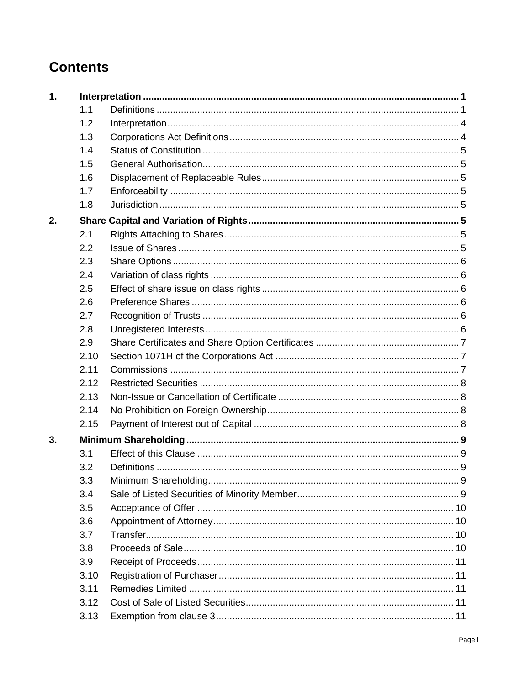# **Contents**

| 1. |      |  |
|----|------|--|
|    | 1.1  |  |
|    | 1.2  |  |
|    | 1.3  |  |
|    | 1.4  |  |
|    | 1.5  |  |
|    | 1.6  |  |
|    | 1.7  |  |
|    | 1.8  |  |
| 2. |      |  |
|    | 2.1  |  |
|    | 2.2  |  |
|    | 2.3  |  |
|    | 2.4  |  |
|    | 2.5  |  |
|    | 2.6  |  |
|    | 2.7  |  |
|    | 2.8  |  |
|    | 2.9  |  |
|    | 2.10 |  |
|    | 2.11 |  |
|    | 2.12 |  |
|    | 2.13 |  |
|    | 2.14 |  |
|    | 2.15 |  |
| 3. |      |  |
|    | 3.1  |  |
|    | 3.2  |  |
|    | 3.3  |  |
|    | 3.4  |  |
|    | 3.5  |  |
|    | 3.6  |  |
|    | 3.7  |  |
|    | 3.8  |  |
|    | 3.9  |  |
|    | 3.10 |  |
|    | 3.11 |  |
|    | 3.12 |  |
|    | 3.13 |  |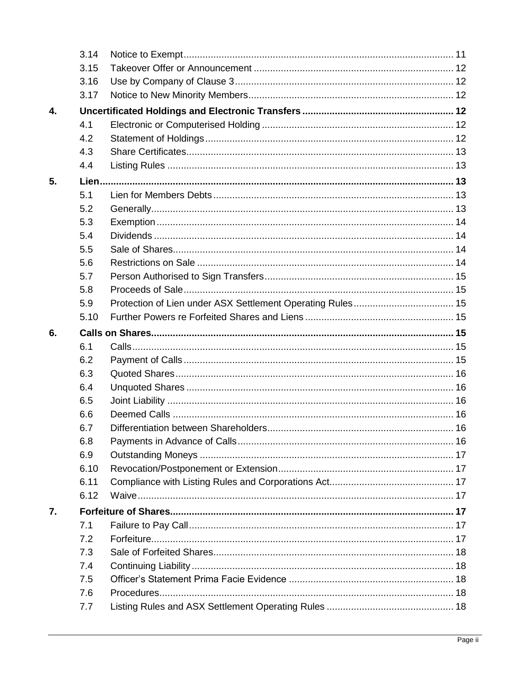|              | 3.14 |  |
|--------------|------|--|
|              | 3.15 |  |
|              | 3.16 |  |
|              | 3.17 |  |
| $\mathbf{4}$ |      |  |
|              | 4.1  |  |
|              | 4.2  |  |
|              | 4.3  |  |
|              | 4.4  |  |
| 5.           |      |  |
|              | 5.1  |  |
|              | 5.2  |  |
|              | 5.3  |  |
|              | 5.4  |  |
|              | 5.5  |  |
|              | 5.6  |  |
|              | 5.7  |  |
|              | 5.8  |  |
|              | 5.9  |  |
|              | 5.10 |  |
| 6.           |      |  |
|              | 6.1  |  |
|              | 6.2  |  |
|              | 6.3  |  |
|              | 6.4  |  |
|              | 6.5  |  |
|              | 6.6  |  |
|              | 6.7  |  |
|              | 6.8  |  |
|              | 6.9  |  |
|              | 6.10 |  |
|              | 6.11 |  |
|              | 6.12 |  |
| 7.           |      |  |
|              | 7.1  |  |
|              | 7.2  |  |
|              | 7.3  |  |
|              | 7.4  |  |
|              | 7.5  |  |
|              | 7.6  |  |
|              | 7.7  |  |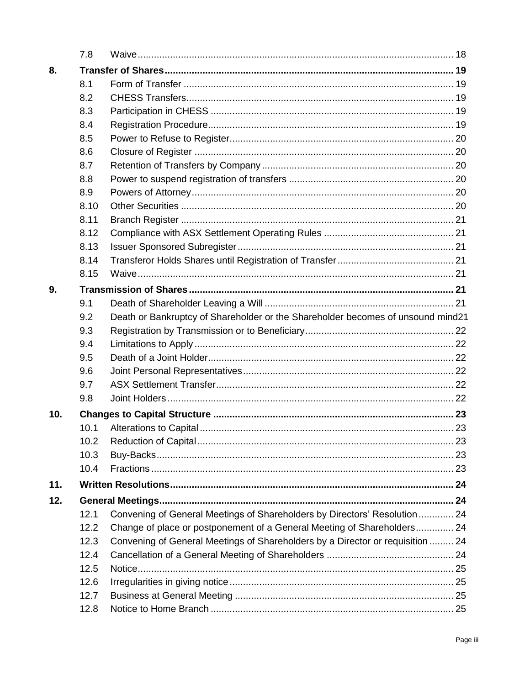|     | 7.8  |                                                                                 |  |
|-----|------|---------------------------------------------------------------------------------|--|
| 8.  |      |                                                                                 |  |
|     | 8.1  |                                                                                 |  |
|     | 8.2  |                                                                                 |  |
|     | 8.3  |                                                                                 |  |
|     | 8.4  |                                                                                 |  |
|     | 8.5  |                                                                                 |  |
|     | 8.6  |                                                                                 |  |
|     | 8.7  |                                                                                 |  |
|     | 8.8  |                                                                                 |  |
|     | 8.9  |                                                                                 |  |
|     | 8.10 |                                                                                 |  |
|     | 8.11 |                                                                                 |  |
|     | 8.12 |                                                                                 |  |
|     | 8.13 |                                                                                 |  |
|     | 8.14 |                                                                                 |  |
|     | 8.15 |                                                                                 |  |
| 9.  |      |                                                                                 |  |
|     | 9.1  |                                                                                 |  |
|     | 9.2  | Death or Bankruptcy of Shareholder or the Shareholder becomes of unsound mind21 |  |
|     | 9.3  |                                                                                 |  |
|     | 9.4  |                                                                                 |  |
|     | 9.5  |                                                                                 |  |
|     | 9.6  |                                                                                 |  |
|     | 9.7  |                                                                                 |  |
|     | 9.8  |                                                                                 |  |
| 10. |      |                                                                                 |  |
|     | 10.1 |                                                                                 |  |
|     | 10.2 |                                                                                 |  |
|     | 10.3 |                                                                                 |  |
|     | 10.4 |                                                                                 |  |
| 11. |      |                                                                                 |  |
| 12. |      |                                                                                 |  |
|     | 12.1 | Convening of General Meetings of Shareholders by Directors' Resolution  24      |  |
|     | 12.2 | Change of place or postponement of a General Meeting of Shareholders 24         |  |
|     | 12.3 | Convening of General Meetings of Shareholders by a Director or requisition  24  |  |
|     | 12.4 |                                                                                 |  |
|     | 12.5 |                                                                                 |  |
|     | 12.6 |                                                                                 |  |
|     | 12.7 |                                                                                 |  |
|     | 12.8 |                                                                                 |  |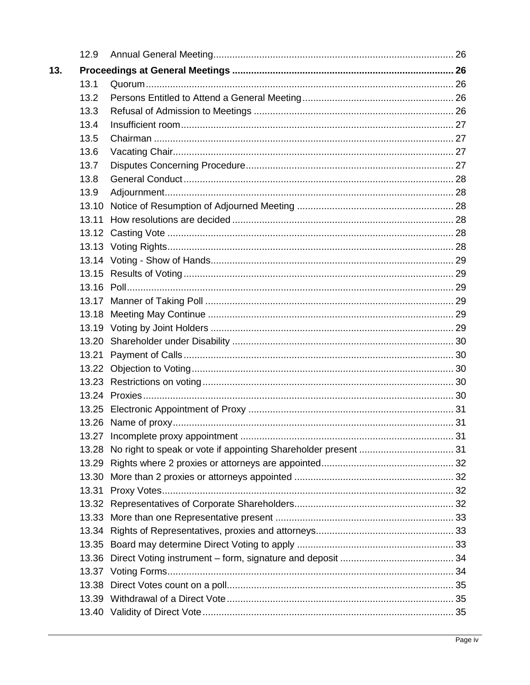|     | 12.9  |  |
|-----|-------|--|
| 13. |       |  |
|     | 13.1  |  |
|     | 13.2  |  |
|     | 13.3  |  |
|     | 13.4  |  |
|     | 13.5  |  |
|     | 13.6  |  |
|     | 13.7  |  |
|     | 13.8  |  |
|     | 13.9  |  |
|     | 13.10 |  |
|     | 13.11 |  |
|     |       |  |
|     |       |  |
|     |       |  |
|     |       |  |
|     |       |  |
|     |       |  |
|     |       |  |
|     |       |  |
|     |       |  |
|     |       |  |
|     |       |  |
|     |       |  |
|     |       |  |
|     |       |  |
|     |       |  |
|     |       |  |
|     | 13.28 |  |
|     |       |  |
|     |       |  |
|     | 13.31 |  |
|     |       |  |
|     |       |  |
|     |       |  |
|     |       |  |
|     | 13.36 |  |
|     |       |  |
|     |       |  |
|     |       |  |
|     |       |  |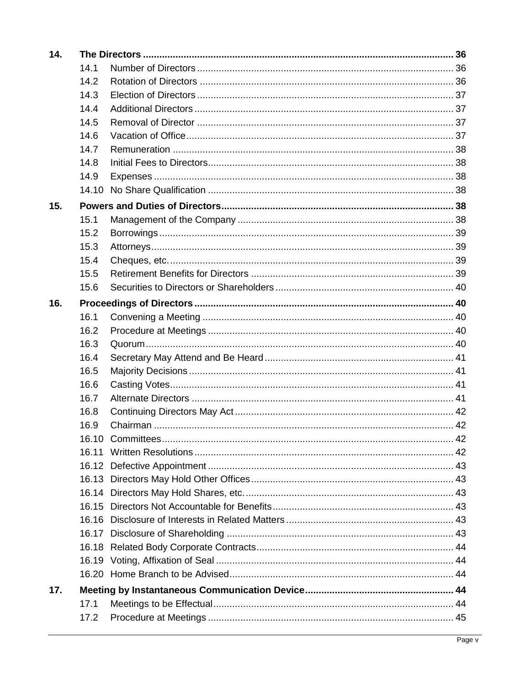| 14. |       |  |
|-----|-------|--|
|     | 14.1  |  |
|     | 14.2  |  |
|     | 14.3  |  |
|     | 14.4  |  |
|     | 14.5  |  |
|     | 14.6  |  |
|     | 14.7  |  |
|     | 14.8  |  |
|     | 14.9  |  |
|     |       |  |
| 15. |       |  |
|     | 15.1  |  |
|     | 15.2  |  |
|     | 15.3  |  |
|     | 15.4  |  |
|     | 15.5  |  |
|     | 15.6  |  |
| 16. |       |  |
|     | 16.1  |  |
|     | 16.2  |  |
|     | 16.3  |  |
|     | 16.4  |  |
|     | 16.5  |  |
|     | 16.6  |  |
|     | 16.7  |  |
|     | 16.8  |  |
|     | 16.9  |  |
|     |       |  |
|     | 16.11 |  |
|     |       |  |
|     |       |  |
|     |       |  |
|     |       |  |
|     |       |  |
|     |       |  |
|     |       |  |
|     |       |  |
|     |       |  |
| 17. |       |  |
|     | 17.1  |  |
|     | 17.2  |  |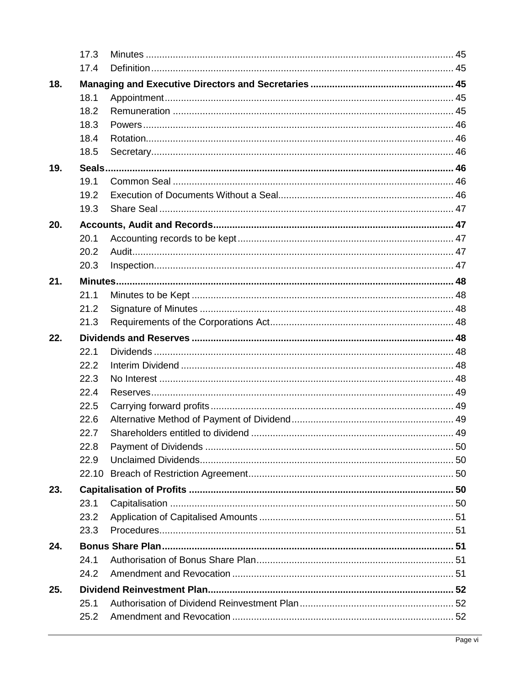|     | 17.3 |  |
|-----|------|--|
|     | 17.4 |  |
| 18. |      |  |
|     | 18.1 |  |
|     | 18.2 |  |
|     | 18.3 |  |
|     | 18.4 |  |
|     | 18.5 |  |
| 19. |      |  |
|     | 19.1 |  |
|     | 19.2 |  |
|     | 19.3 |  |
| 20. |      |  |
|     | 20.1 |  |
|     | 20.2 |  |
|     | 20.3 |  |
| 21. |      |  |
|     | 21.1 |  |
|     | 21.2 |  |
|     | 21.3 |  |
| 22. |      |  |
|     | 22.1 |  |
|     | 22.2 |  |
|     | 22.3 |  |
|     | 22.4 |  |
|     | 22.5 |  |
|     | 22.6 |  |
|     | 22.7 |  |
|     | 22.8 |  |
|     | 22.9 |  |
|     |      |  |
| 23. |      |  |
|     | 23.1 |  |
|     | 23.2 |  |
|     | 23.3 |  |
| 24. |      |  |
|     | 24.1 |  |
|     | 24.2 |  |
| 25. |      |  |
|     | 25.1 |  |
|     | 25.2 |  |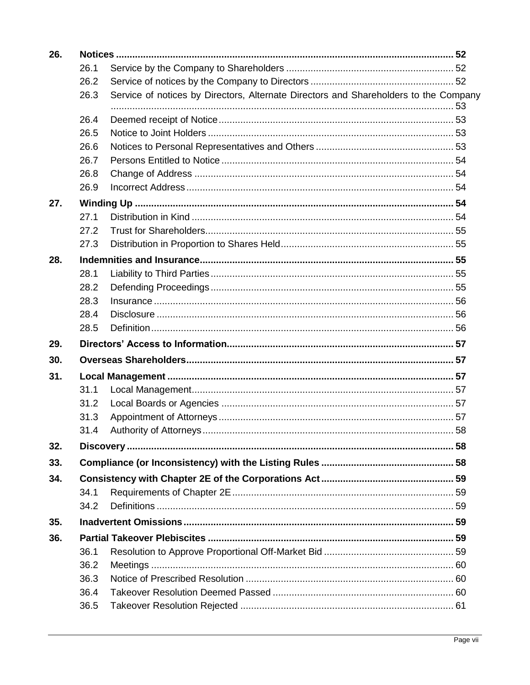| 26. |      |                                                                                      |  |
|-----|------|--------------------------------------------------------------------------------------|--|
|     | 26.1 |                                                                                      |  |
|     | 26.2 |                                                                                      |  |
|     | 26.3 | Service of notices by Directors, Alternate Directors and Shareholders to the Company |  |
|     | 26.4 |                                                                                      |  |
|     | 26.5 |                                                                                      |  |
|     | 26.6 |                                                                                      |  |
|     | 26.7 |                                                                                      |  |
|     | 26.8 |                                                                                      |  |
|     | 26.9 |                                                                                      |  |
| 27. |      |                                                                                      |  |
|     | 27.1 |                                                                                      |  |
|     | 27.2 |                                                                                      |  |
|     | 27.3 |                                                                                      |  |
| 28. |      |                                                                                      |  |
|     | 28.1 |                                                                                      |  |
|     | 28.2 |                                                                                      |  |
|     | 28.3 |                                                                                      |  |
|     | 28.4 |                                                                                      |  |
|     | 28.5 |                                                                                      |  |
| 29. |      |                                                                                      |  |
| 30. |      |                                                                                      |  |
| 31. |      |                                                                                      |  |
|     | 31.1 |                                                                                      |  |
|     |      |                                                                                      |  |
|     | 31.2 |                                                                                      |  |
|     | 31.3 |                                                                                      |  |
|     | 31.4 |                                                                                      |  |
| 32. |      |                                                                                      |  |
| 33. |      |                                                                                      |  |
| 34. |      |                                                                                      |  |
|     | 34.1 |                                                                                      |  |
|     | 34.2 |                                                                                      |  |
| 35. |      |                                                                                      |  |
| 36. |      |                                                                                      |  |
|     | 36.1 |                                                                                      |  |
|     | 36.2 |                                                                                      |  |
|     | 36.3 |                                                                                      |  |
|     | 36.4 |                                                                                      |  |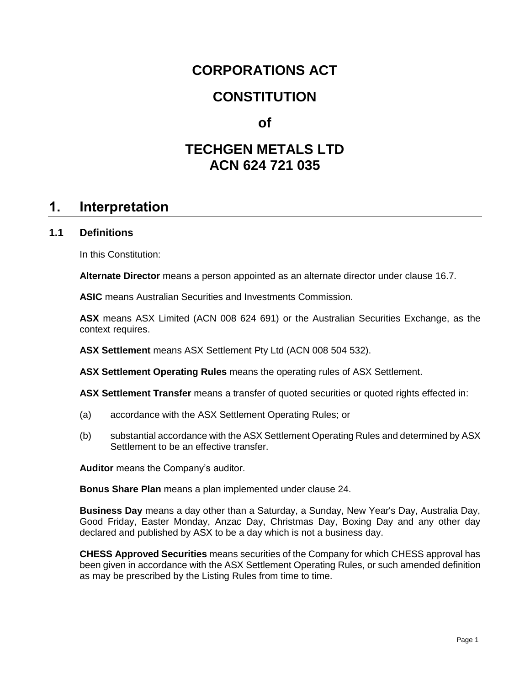# **CORPORATIONS ACT**

# **CONSTITUTION**

# **of**

# **TECHGEN METALS LTD ACN 624 721 035**

# **1. Interpretation**

### <span id="page-9-0"></span>**1.1 Definitions**

In this Constitution:

**Alternate Director** means a person appointed as an alternate director under clause [16.7.](#page-49-0)

**ASIC** means Australian Securities and Investments Commission.

**ASX** means ASX Limited (ACN 008 624 691) or the Australian Securities Exchange, as the context requires.

**ASX Settlement** means ASX Settlement Pty Ltd (ACN 008 504 532).

**ASX Settlement Operating Rules** means the operating rules of ASX Settlement.

**ASX Settlement Transfer** means a transfer of quoted securities or quoted rights effected in:

- (a) accordance with the ASX Settlement Operating Rules; or
- (b) substantial accordance with the ASX Settlement Operating Rules and determined by ASX Settlement to be an effective transfer.

**Auditor** means the Company's auditor.

**Bonus Share Plan** means a plan implemented under clause [24.](#page-59-0)

**Business Day** means a day other than a Saturday, a Sunday, New Year's Day, Australia Day, Good Friday, Easter Monday, Anzac Day, Christmas Day, Boxing Day and any other day declared and published by ASX to be a day which is not a business day.

**CHESS Approved Securities** means securities of the Company for which CHESS approval has been given in accordance with the ASX Settlement Operating Rules, or such amended definition as may be prescribed by the Listing Rules from time to time.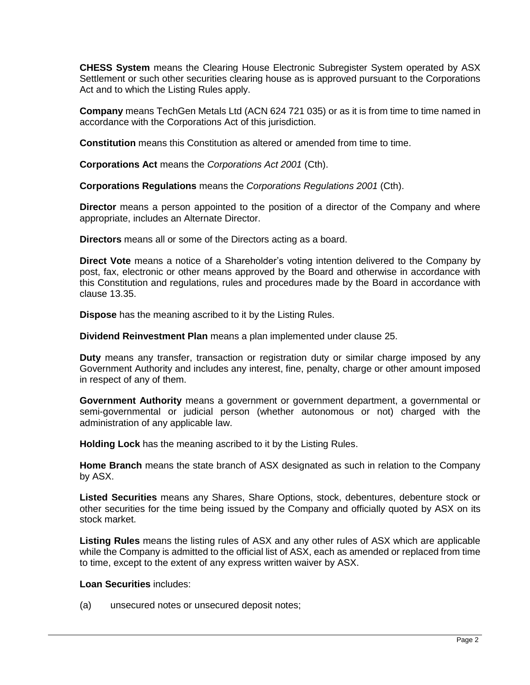**CHESS System** means the Clearing House Electronic Subregister System operated by ASX Settlement or such other securities clearing house as is approved pursuant to the Corporations Act and to which the Listing Rules apply.

**Company** means TechGen Metals Ltd (ACN 624 721 035) or as it is from time to time named in accordance with the Corporations Act of this jurisdiction.

**Constitution** means this Constitution as altered or amended from time to time.

**Corporations Act** means the *Corporations Act 2001* (Cth).

**Corporations Regulations** means the *Corporations Regulations 2001* (Cth).

**Director** means a person appointed to the position of a director of the Company and where appropriate, includes an Alternate Director.

**Directors** means all or some of the Directors acting as a board.

**Direct Vote** means a notice of a Shareholder's voting intention delivered to the Company by post, fax, electronic or other means approved by the Board and otherwise in accordance with this Constitution and regulations, rules and procedures made by the Board in accordance with clause [13.35.](#page-41-0)

**Dispose** has the meaning ascribed to it by the Listing Rules.

**Dividend Reinvestment Plan** means a plan implemented under clause [25.](#page-60-0)

**Duty** means any transfer, transaction or registration duty or similar charge imposed by any Government Authority and includes any interest, fine, penalty, charge or other amount imposed in respect of any of them.

**Government Authority** means a government or government department, a governmental or semi-governmental or judicial person (whether autonomous or not) charged with the administration of any applicable law.

**Holding Lock** has the meaning ascribed to it by the Listing Rules.

**Home Branch** means the state branch of ASX designated as such in relation to the Company by ASX.

**Listed Securities** means any Shares, Share Options, stock, debentures, debenture stock or other securities for the time being issued by the Company and officially quoted by ASX on its stock market.

**Listing Rules** means the listing rules of ASX and any other rules of ASX which are applicable while the Company is admitted to the official list of ASX, each as amended or replaced from time to time, except to the extent of any express written waiver by ASX.

#### **Loan Securities** includes:

(a) unsecured notes or unsecured deposit notes;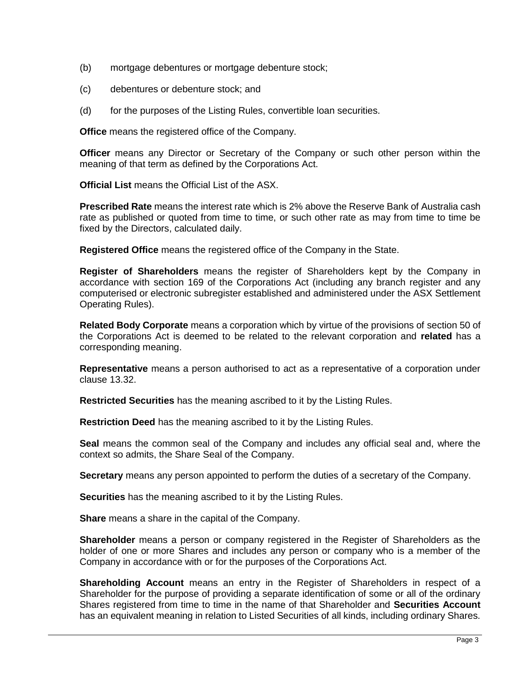- (b) mortgage debentures or mortgage debenture stock;
- (c) debentures or debenture stock; and
- (d) for the purposes of the Listing Rules, convertible loan securities.

**Office** means the registered office of the Company.

**Officer** means any Director or Secretary of the Company or such other person within the meaning of that term as defined by the Corporations Act.

**Official List** means the Official List of the ASX.

**Prescribed Rate** means the interest rate which is 2% above the Reserve Bank of Australia cash rate as published or quoted from time to time, or such other rate as may from time to time be fixed by the Directors, calculated daily.

**Registered Office** means the registered office of the Company in the State.

**Register of Shareholders** means the register of Shareholders kept by the Company in accordance with section 169 of the Corporations Act (including any branch register and any computerised or electronic subregister established and administered under the ASX Settlement Operating Rules).

**Related Body Corporate** means a corporation which by virtue of the provisions of section 50 of the Corporations Act is deemed to be related to the relevant corporation and **related** has a corresponding meaning.

**Representative** means a person authorised to act as a representative of a corporation under clause [13.32.](#page-40-0)

**Restricted Securities** has the meaning ascribed to it by the Listing Rules.

**Restriction Deed** has the meaning ascribed to it by the Listing Rules.

**Seal** means the common seal of the Company and includes any official seal and, where the context so admits, the Share Seal of the Company.

**Secretary** means any person appointed to perform the duties of a secretary of the Company.

**Securities** has the meaning ascribed to it by the Listing Rules.

**Share** means a share in the capital of the Company.

**Shareholder** means a person or company registered in the Register of Shareholders as the holder of one or more Shares and includes any person or company who is a member of the Company in accordance with or for the purposes of the Corporations Act.

**Shareholding Account** means an entry in the Register of Shareholders in respect of a Shareholder for the purpose of providing a separate identification of some or all of the ordinary Shares registered from time to time in the name of that Shareholder and **Securities Account** has an equivalent meaning in relation to Listed Securities of all kinds, including ordinary Shares.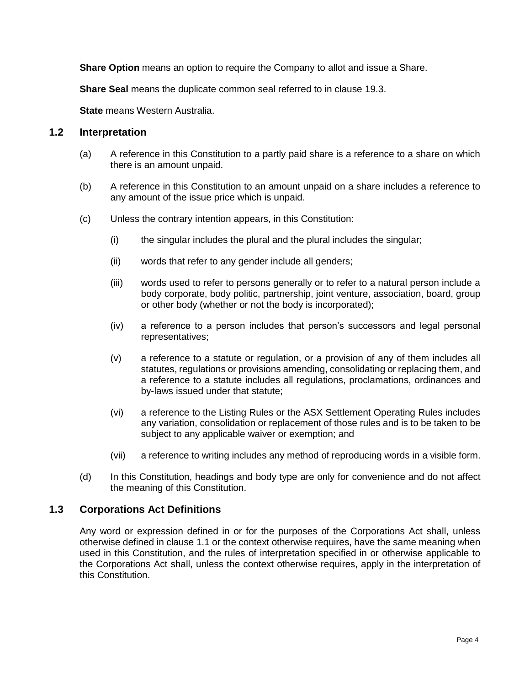**Share Option** means an option to require the Company to allot and issue a Share.

**Share Seal** means the duplicate common seal referred to in clause [19.3.](#page-55-0)

**State** means Western Australia.

#### **1.2 Interpretation**

- (a) A reference in this Constitution to a partly paid share is a reference to a share on which there is an amount unpaid.
- (b) A reference in this Constitution to an amount unpaid on a share includes a reference to any amount of the issue price which is unpaid.
- (c) Unless the contrary intention appears, in this Constitution:
	- (i) the singular includes the plural and the plural includes the singular;
	- (ii) words that refer to any gender include all genders;
	- (iii) words used to refer to persons generally or to refer to a natural person include a body corporate, body politic, partnership, joint venture, association, board, group or other body (whether or not the body is incorporated);
	- (iv) a reference to a person includes that person's successors and legal personal representatives;
	- (v) a reference to a statute or regulation, or a provision of any of them includes all statutes, regulations or provisions amending, consolidating or replacing them, and a reference to a statute includes all regulations, proclamations, ordinances and by-laws issued under that statute;
	- (vi) a reference to the Listing Rules or the ASX Settlement Operating Rules includes any variation, consolidation or replacement of those rules and is to be taken to be subject to any applicable waiver or exemption; and
	- (vii) a reference to writing includes any method of reproducing words in a visible form.
- (d) In this Constitution, headings and body type are only for convenience and do not affect the meaning of this Constitution.

# **1.3 Corporations Act Definitions**

Any word or expression defined in or for the purposes of the Corporations Act shall, unless otherwise defined in clause [1.1](#page-9-0) or the context otherwise requires, have the same meaning when used in this Constitution, and the rules of interpretation specified in or otherwise applicable to the Corporations Act shall, unless the context otherwise requires, apply in the interpretation of this Constitution.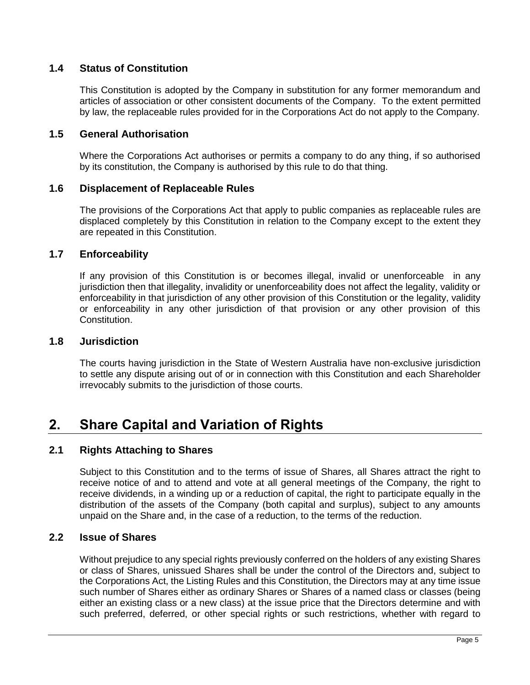# **1.4 Status of Constitution**

This Constitution is adopted by the Company in substitution for any former memorandum and articles of association or other consistent documents of the Company. To the extent permitted by law, the replaceable rules provided for in the Corporations Act do not apply to the Company.

# **1.5 General Authorisation**

Where the Corporations Act authorises or permits a company to do any thing, if so authorised by its constitution, the Company is authorised by this rule to do that thing.

#### **1.6 Displacement of Replaceable Rules**

The provisions of the Corporations Act that apply to public companies as replaceable rules are displaced completely by this Constitution in relation to the Company except to the extent they are repeated in this Constitution.

#### **1.7 Enforceability**

If any provision of this Constitution is or becomes illegal, invalid or unenforceable in any jurisdiction then that illegality, invalidity or unenforceability does not affect the legality, validity or enforceability in that jurisdiction of any other provision of this Constitution or the legality, validity or enforceability in any other jurisdiction of that provision or any other provision of this Constitution.

#### **1.8 Jurisdiction**

The courts having jurisdiction in the State of Western Australia have non-exclusive jurisdiction to settle any dispute arising out of or in connection with this Constitution and each Shareholder irrevocably submits to the jurisdiction of those courts.

# <span id="page-13-0"></span>**2. Share Capital and Variation of Rights**

#### **2.1 Rights Attaching to Shares**

Subject to this Constitution and to the terms of issue of Shares, all Shares attract the right to receive notice of and to attend and vote at all general meetings of the Company, the right to receive dividends, in a winding up or a reduction of capital, the right to participate equally in the distribution of the assets of the Company (both capital and surplus), subject to any amounts unpaid on the Share and, in the case of a reduction, to the terms of the reduction.

#### **2.2 Issue of Shares**

Without prejudice to any special rights previously conferred on the holders of any existing Shares or class of Shares, unissued Shares shall be under the control of the Directors and, subject to the Corporations Act, the Listing Rules and this Constitution, the Directors may at any time issue such number of Shares either as ordinary Shares or Shares of a named class or classes (being either an existing class or a new class) at the issue price that the Directors determine and with such preferred, deferred, or other special rights or such restrictions, whether with regard to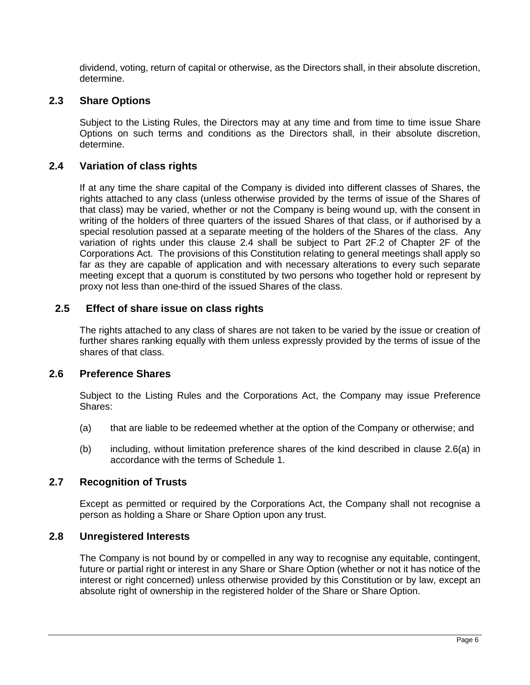dividend, voting, return of capital or otherwise, as the Directors shall, in their absolute discretion, determine.

# **2.3 Share Options**

Subject to the Listing Rules, the Directors may at any time and from time to time issue Share Options on such terms and conditions as the Directors shall, in their absolute discretion, determine.

# <span id="page-14-0"></span>**2.4 Variation of class rights**

If at any time the share capital of the Company is divided into different classes of Shares, the rights attached to any class (unless otherwise provided by the terms of issue of the Shares of that class) may be varied, whether or not the Company is being wound up, with the consent in writing of the holders of three quarters of the issued Shares of that class, or if authorised by a special resolution passed at a separate meeting of the holders of the Shares of the class. Any variation of rights under this clause [2.4](#page-14-0) shall be subject to Part 2F.2 of Chapter 2F of the Corporations Act. The provisions of this Constitution relating to general meetings shall apply so far as they are capable of application and with necessary alterations to every such separate meeting except that a quorum is constituted by two persons who together hold or represent by proxy not less than one-third of the issued Shares of the class.

### **2.5 Effect of share issue on class rights**

The rights attached to any class of shares are not taken to be varied by the issue or creation of further shares ranking equally with them unless expressly provided by the terms of issue of the shares of that class.

#### **2.6 Preference Shares**

Subject to the Listing Rules and the Corporations Act, the Company may issue Preference Shares:

- <span id="page-14-1"></span>(a) that are liable to be redeemed whether at the option of the Company or otherwise; and
- (b) including, without limitation preference shares of the kind described in clause [2.6\(a\)](#page-14-1) in accordance with the terms of [Schedule](#page-71-0) 1.

#### **2.7 Recognition of Trusts**

Except as permitted or required by the Corporations Act, the Company shall not recognise a person as holding a Share or Share Option upon any trust.

#### **2.8 Unregistered Interests**

The Company is not bound by or compelled in any way to recognise any equitable, contingent, future or partial right or interest in any Share or Share Option (whether or not it has notice of the interest or right concerned) unless otherwise provided by this Constitution or by law, except an absolute right of ownership in the registered holder of the Share or Share Option.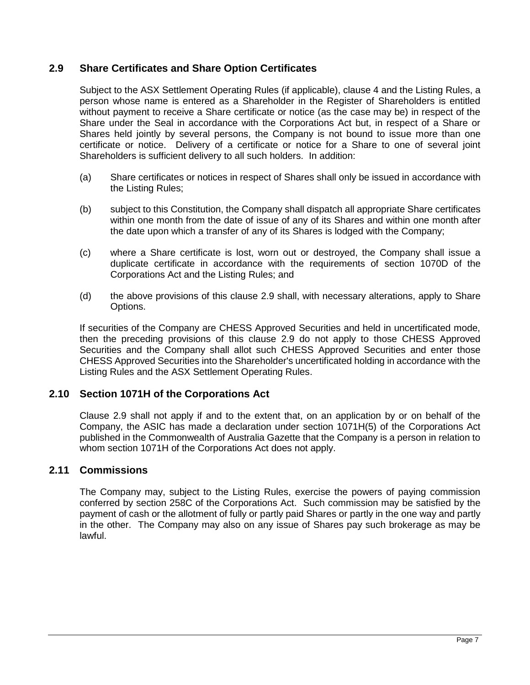# <span id="page-15-0"></span>**2.9 Share Certificates and Share Option Certificates**

Subject to the ASX Settlement Operating Rules (if applicable), clause [4](#page-20-0) and the Listing Rules, a person whose name is entered as a Shareholder in the Register of Shareholders is entitled without payment to receive a Share certificate or notice (as the case may be) in respect of the Share under the Seal in accordance with the Corporations Act but, in respect of a Share or Shares held jointly by several persons, the Company is not bound to issue more than one certificate or notice. Delivery of a certificate or notice for a Share to one of several joint Shareholders is sufficient delivery to all such holders. In addition:

- (a) Share certificates or notices in respect of Shares shall only be issued in accordance with the Listing Rules;
- (b) subject to this Constitution, the Company shall dispatch all appropriate Share certificates within one month from the date of issue of any of its Shares and within one month after the date upon which a transfer of any of its Shares is lodged with the Company;
- (c) where a Share certificate is lost, worn out or destroyed, the Company shall issue a duplicate certificate in accordance with the requirements of section 1070D of the Corporations Act and the Listing Rules; and
- (d) the above provisions of this clause [2.9](#page-15-0) shall, with necessary alterations, apply to Share Options.

If securities of the Company are CHESS Approved Securities and held in uncertificated mode, then the preceding provisions of this clause [2.9](#page-15-0) do not apply to those CHESS Approved Securities and the Company shall allot such CHESS Approved Securities and enter those CHESS Approved Securities into the Shareholder's uncertificated holding in accordance with the Listing Rules and the ASX Settlement Operating Rules.

# **2.10 Section 1071H of the Corporations Act**

Clause [2.9](#page-15-0) shall not apply if and to the extent that, on an application by or on behalf of the Company, the ASIC has made a declaration under section 1071H(5) of the Corporations Act published in the Commonwealth of Australia Gazette that the Company is a person in relation to whom section 1071H of the Corporations Act does not apply.

#### **2.11 Commissions**

The Company may, subject to the Listing Rules, exercise the powers of paying commission conferred by section 258C of the Corporations Act. Such commission may be satisfied by the payment of cash or the allotment of fully or partly paid Shares or partly in the one way and partly in the other. The Company may also on any issue of Shares pay such brokerage as may be lawful.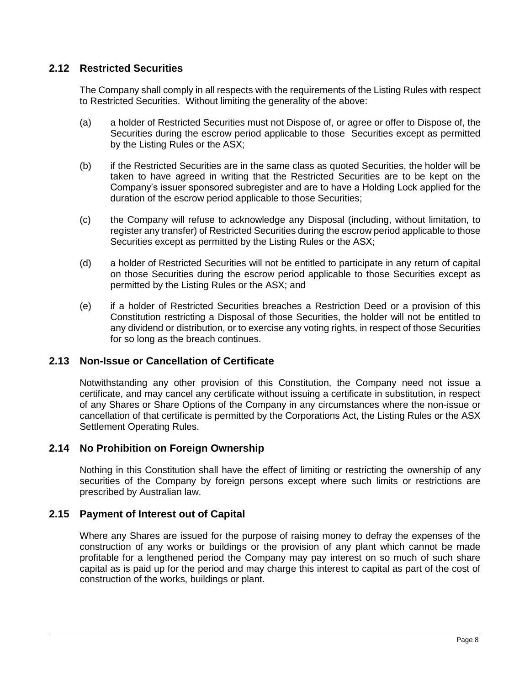# **2.12 Restricted Securities**

The Company shall comply in all respects with the requirements of the Listing Rules with respect to Restricted Securities. Without limiting the generality of the above:

- (a) a holder of Restricted Securities must not Dispose of, or agree or offer to Dispose of, the Securities during the escrow period applicable to those Securities except as permitted by the Listing Rules or the ASX;
- (b) if the Restricted Securities are in the same class as quoted Securities, the holder will be taken to have agreed in writing that the Restricted Securities are to be kept on the Company's issuer sponsored subregister and are to have a Holding Lock applied for the duration of the escrow period applicable to those Securities;
- (c) the Company will refuse to acknowledge any Disposal (including, without limitation, to register any transfer) of Restricted Securities during the escrow period applicable to those Securities except as permitted by the Listing Rules or the ASX;
- (d) a holder of Restricted Securities will not be entitled to participate in any return of capital on those Securities during the escrow period applicable to those Securities except as permitted by the Listing Rules or the ASX; and
- (e) if a holder of Restricted Securities breaches a Restriction Deed or a provision of this Constitution restricting a Disposal of those Securities, the holder will not be entitled to any dividend or distribution, or to exercise any voting rights, in respect of those Securities for so long as the breach continues.

#### **2.13 Non-Issue or Cancellation of Certificate**

Notwithstanding any other provision of this Constitution, the Company need not issue a certificate, and may cancel any certificate without issuing a certificate in substitution, in respect of any Shares or Share Options of the Company in any circumstances where the non-issue or cancellation of that certificate is permitted by the Corporations Act, the Listing Rules or the ASX Settlement Operating Rules.

# **2.14 No Prohibition on Foreign Ownership**

Nothing in this Constitution shall have the effect of limiting or restricting the ownership of any securities of the Company by foreign persons except where such limits or restrictions are prescribed by Australian law.

# **2.15 Payment of Interest out of Capital**

Where any Shares are issued for the purpose of raising money to defray the expenses of the construction of any works or buildings or the provision of any plant which cannot be made profitable for a lengthened period the Company may pay interest on so much of such share capital as is paid up for the period and may charge this interest to capital as part of the cost of construction of the works, buildings or plant.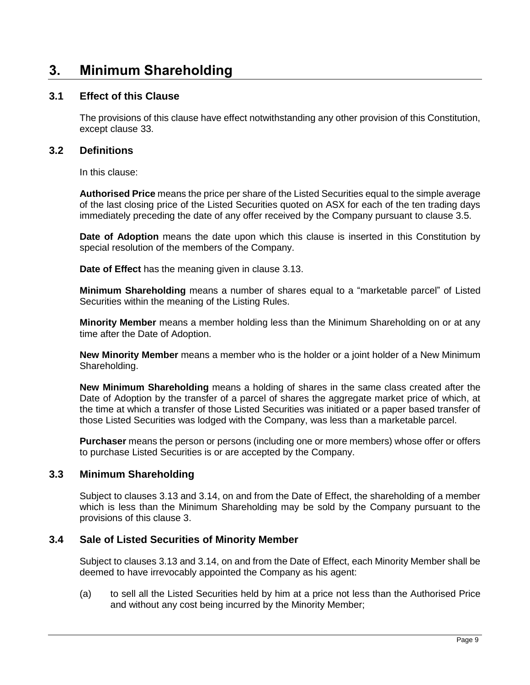# <span id="page-17-0"></span>**3. Minimum Shareholding**

# **3.1 Effect of this Clause**

The provisions of this clause have effect notwithstanding any other provision of this Constitution, except clause [33.](#page-66-0)

### **3.2 Definitions**

In this clause:

**Authorised Price** means the price per share of the Listed Securities equal to the simple average of the last closing price of the Listed Securities quoted on ASX for each of the ten trading days immediately preceding the date of any offer received by the Company pursuant to clause 3.5.

**Date of Adoption** means the date upon which this clause is inserted in this Constitution by special resolution of the members of the Company.

**Date of Effect** has the meaning given in clause [3.13.](#page-19-0)

**Minimum Shareholding** means a number of shares equal to a "marketable parcel" of Listed Securities within the meaning of the Listing Rules.

**Minority Member** means a member holding less than the Minimum Shareholding on or at any time after the Date of Adoption.

**New Minority Member** means a member who is the holder or a joint holder of a New Minimum Shareholding.

**New Minimum Shareholding** means a holding of shares in the same class created after the Date of Adoption by the transfer of a parcel of shares the aggregate market price of which, at the time at which a transfer of those Listed Securities was initiated or a paper based transfer of those Listed Securities was lodged with the Company, was less than a marketable parcel.

**Purchaser** means the person or persons (including one or more members) whose offer or offers to purchase Listed Securities is or are accepted by the Company.

# **3.3 Minimum Shareholding**

Subject to clauses [3.13](#page-19-0) and [3.14,](#page-19-1) on and from the Date of Effect, the shareholding of a member which is less than the Minimum Shareholding may be sold by the Company pursuant to the provisions of this clause [3.](#page-17-0)

# **3.4 Sale of Listed Securities of Minority Member**

Subject to clauses [3.13](#page-19-0) and [3.14,](#page-19-1) on and from the Date of Effect, each Minority Member shall be deemed to have irrevocably appointed the Company as his agent:

(a) to sell all the Listed Securities held by him at a price not less than the Authorised Price and without any cost being incurred by the Minority Member;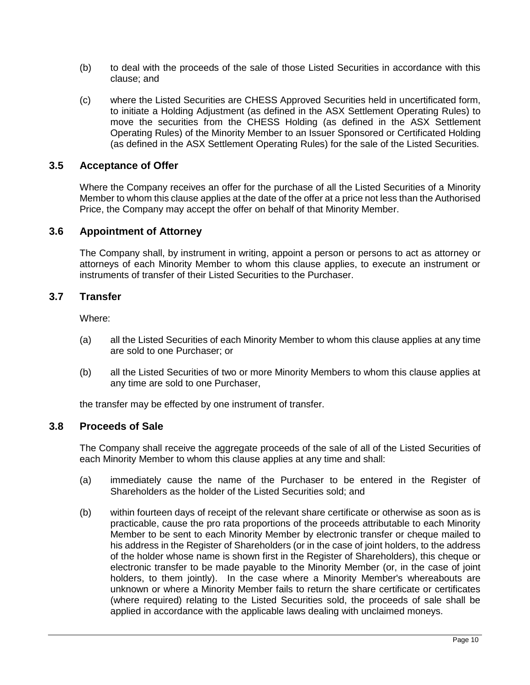- (b) to deal with the proceeds of the sale of those Listed Securities in accordance with this clause; and
- (c) where the Listed Securities are CHESS Approved Securities held in uncertificated form, to initiate a Holding Adjustment (as defined in the ASX Settlement Operating Rules) to move the securities from the CHESS Holding (as defined in the ASX Settlement Operating Rules) of the Minority Member to an Issuer Sponsored or Certificated Holding (as defined in the ASX Settlement Operating Rules) for the sale of the Listed Securities.

### **3.5 Acceptance of Offer**

Where the Company receives an offer for the purchase of all the Listed Securities of a Minority Member to whom this clause applies at the date of the offer at a price not less than the Authorised Price, the Company may accept the offer on behalf of that Minority Member.

#### **3.6 Appointment of Attorney**

The Company shall, by instrument in writing, appoint a person or persons to act as attorney or attorneys of each Minority Member to whom this clause applies, to execute an instrument or instruments of transfer of their Listed Securities to the Purchaser.

# **3.7 Transfer**

Where:

- (a) all the Listed Securities of each Minority Member to whom this clause applies at any time are sold to one Purchaser; or
- (b) all the Listed Securities of two or more Minority Members to whom this clause applies at any time are sold to one Purchaser,

the transfer may be effected by one instrument of transfer.

#### <span id="page-18-0"></span>**3.8 Proceeds of Sale**

The Company shall receive the aggregate proceeds of the sale of all of the Listed Securities of each Minority Member to whom this clause applies at any time and shall:

- (a) immediately cause the name of the Purchaser to be entered in the Register of Shareholders as the holder of the Listed Securities sold; and
- (b) within fourteen days of receipt of the relevant share certificate or otherwise as soon as is practicable, cause the pro rata proportions of the proceeds attributable to each Minority Member to be sent to each Minority Member by electronic transfer or cheque mailed to his address in the Register of Shareholders (or in the case of joint holders, to the address of the holder whose name is shown first in the Register of Shareholders), this cheque or electronic transfer to be made payable to the Minority Member (or, in the case of joint holders, to them jointly). In the case where a Minority Member's whereabouts are unknown or where a Minority Member fails to return the share certificate or certificates (where required) relating to the Listed Securities sold, the proceeds of sale shall be applied in accordance with the applicable laws dealing with unclaimed moneys.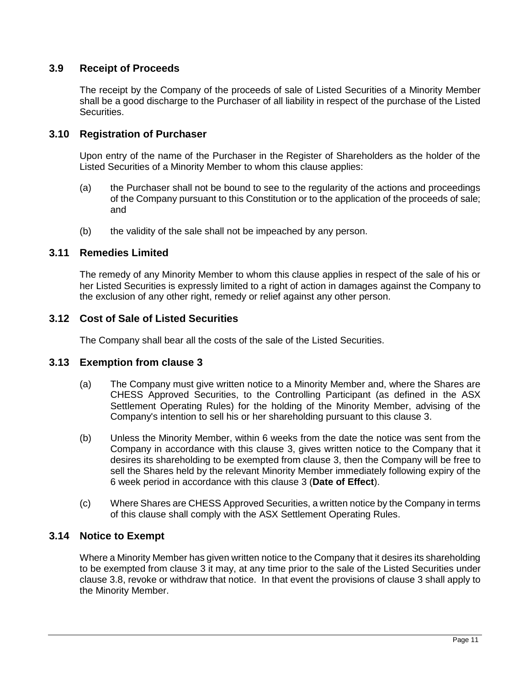# **3.9 Receipt of Proceeds**

The receipt by the Company of the proceeds of sale of Listed Securities of a Minority Member shall be a good discharge to the Purchaser of all liability in respect of the purchase of the Listed Securities.

# **3.10 Registration of Purchaser**

Upon entry of the name of the Purchaser in the Register of Shareholders as the holder of the Listed Securities of a Minority Member to whom this clause applies:

- (a) the Purchaser shall not be bound to see to the regularity of the actions and proceedings of the Company pursuant to this Constitution or to the application of the proceeds of sale; and
- (b) the validity of the sale shall not be impeached by any person.

# **3.11 Remedies Limited**

The remedy of any Minority Member to whom this clause applies in respect of the sale of his or her Listed Securities is expressly limited to a right of action in damages against the Company to the exclusion of any other right, remedy or relief against any other person.

# **3.12 Cost of Sale of Listed Securities**

The Company shall bear all the costs of the sale of the Listed Securities.

# <span id="page-19-0"></span>**3.13 Exemption from clause [3](#page-17-0)**

- (a) The Company must give written notice to a Minority Member and, where the Shares are CHESS Approved Securities, to the Controlling Participant (as defined in the ASX Settlement Operating Rules) for the holding of the Minority Member, advising of the Company's intention to sell his or her shareholding pursuant to this clause [3.](#page-17-0)
- (b) Unless the Minority Member, within 6 weeks from the date the notice was sent from the Company in accordance with this clause [3,](#page-17-0) gives written notice to the Company that it desires its shareholding to be exempted from clause [3,](#page-17-0) then the Company will be free to sell the Shares held by the relevant Minority Member immediately following expiry of the 6 week period in accordance with this clause [3](#page-17-0) (**Date of Effect**).
- (c) Where Shares are CHESS Approved Securities, a written notice by the Company in terms of this clause shall comply with the ASX Settlement Operating Rules.

# <span id="page-19-1"></span>**3.14 Notice to Exempt**

Where a Minority Member has given written notice to the Company that it desires its shareholding to be exempted from clause [3](#page-17-0) it may, at any time prior to the sale of the Listed Securities under clause [3.8,](#page-18-0) revoke or withdraw that notice. In that event the provisions of clause [3](#page-17-0) shall apply to the Minority Member.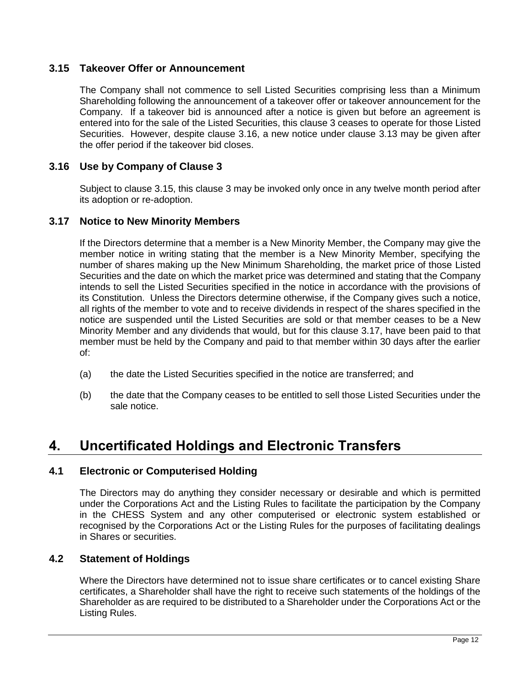# <span id="page-20-2"></span>**3.15 Takeover Offer or Announcement**

The Company shall not commence to sell Listed Securities comprising less than a Minimum Shareholding following the announcement of a takeover offer or takeover announcement for the Company. If a takeover bid is announced after a notice is given but before an agreement is entered into for the sale of the Listed Securities, this clause [3](#page-17-0) ceases to operate for those Listed Securities. However, despite clause [3.16,](#page-20-1) a new notice under clause [3.13](#page-19-0) may be given after the offer period if the takeover bid closes.

# <span id="page-20-1"></span>**3.16 Use by Company of Clause [3](#page-17-0)**

Subject to clause [3.15,](#page-20-2) this clause [3](#page-17-0) may be invoked only once in any twelve month period after its adoption or re-adoption.

# <span id="page-20-3"></span>**3.17 Notice to New Minority Members**

If the Directors determine that a member is a New Minority Member, the Company may give the member notice in writing stating that the member is a New Minority Member, specifying the number of shares making up the New Minimum Shareholding, the market price of those Listed Securities and the date on which the market price was determined and stating that the Company intends to sell the Listed Securities specified in the notice in accordance with the provisions of its Constitution. Unless the Directors determine otherwise, if the Company gives such a notice, all rights of the member to vote and to receive dividends in respect of the shares specified in the notice are suspended until the Listed Securities are sold or that member ceases to be a New Minority Member and any dividends that would, but for this clause [3.17,](#page-20-3) have been paid to that member must be held by the Company and paid to that member within 30 days after the earlier of:

- (a) the date the Listed Securities specified in the notice are transferred; and
- (b) the date that the Company ceases to be entitled to sell those Listed Securities under the sale notice.

# <span id="page-20-0"></span>**4. Uncertificated Holdings and Electronic Transfers**

# **4.1 Electronic or Computerised Holding**

The Directors may do anything they consider necessary or desirable and which is permitted under the Corporations Act and the Listing Rules to facilitate the participation by the Company in the CHESS System and any other computerised or electronic system established or recognised by the Corporations Act or the Listing Rules for the purposes of facilitating dealings in Shares or securities.

### **4.2 Statement of Holdings**

Where the Directors have determined not to issue share certificates or to cancel existing Share certificates, a Shareholder shall have the right to receive such statements of the holdings of the Shareholder as are required to be distributed to a Shareholder under the Corporations Act or the Listing Rules.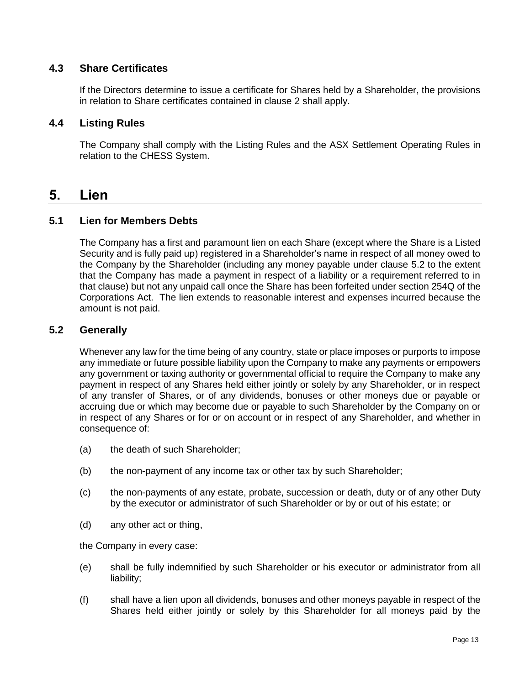# **4.3 Share Certificates**

If the Directors determine to issue a certificate for Shares held by a Shareholder, the provisions in relation to Share certificates contained in clause [2](#page-13-0) shall apply.

# **4.4 Listing Rules**

The Company shall comply with the Listing Rules and the ASX Settlement Operating Rules in relation to the CHESS System.

# <span id="page-21-1"></span>**5. Lien**

# **5.1 Lien for Members Debts**

The Company has a first and paramount lien on each Share (except where the Share is a Listed Security and is fully paid up) registered in a Shareholder's name in respect of all money owed to the Company by the Shareholder (including any money payable under clause [5.2](#page-21-0) to the extent that the Company has made a payment in respect of a liability or a requirement referred to in that clause) but not any unpaid call once the Share has been forfeited under section 254Q of the Corporations Act. The lien extends to reasonable interest and expenses incurred because the amount is not paid.

# <span id="page-21-0"></span>**5.2 Generally**

Whenever any law for the time being of any country, state or place imposes or purports to impose any immediate or future possible liability upon the Company to make any payments or empowers any government or taxing authority or governmental official to require the Company to make any payment in respect of any Shares held either jointly or solely by any Shareholder, or in respect of any transfer of Shares, or of any dividends, bonuses or other moneys due or payable or accruing due or which may become due or payable to such Shareholder by the Company on or in respect of any Shares or for or on account or in respect of any Shareholder, and whether in consequence of:

- (a) the death of such Shareholder;
- (b) the non-payment of any income tax or other tax by such Shareholder;
- (c) the non-payments of any estate, probate, succession or death, duty or of any other Duty by the executor or administrator of such Shareholder or by or out of his estate; or
- (d) any other act or thing,

the Company in every case:

- (e) shall be fully indemnified by such Shareholder or his executor or administrator from all liability;
- (f) shall have a lien upon all dividends, bonuses and other moneys payable in respect of the Shares held either jointly or solely by this Shareholder for all moneys paid by the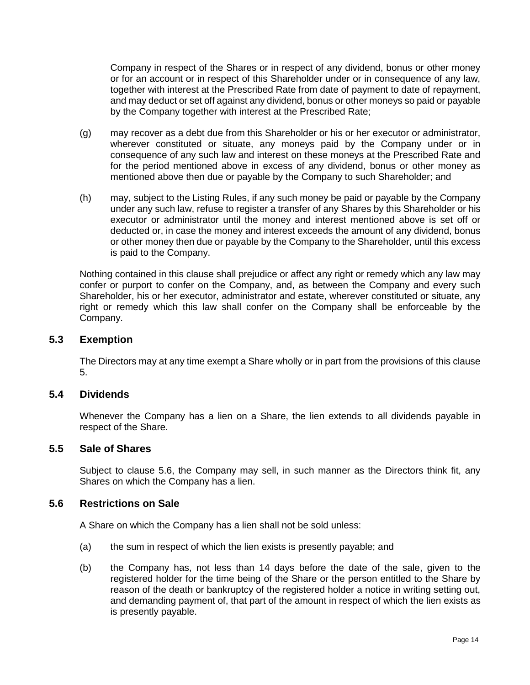Company in respect of the Shares or in respect of any dividend, bonus or other money or for an account or in respect of this Shareholder under or in consequence of any law, together with interest at the Prescribed Rate from date of payment to date of repayment, and may deduct or set off against any dividend, bonus or other moneys so paid or payable by the Company together with interest at the Prescribed Rate;

- (g) may recover as a debt due from this Shareholder or his or her executor or administrator, wherever constituted or situate, any moneys paid by the Company under or in consequence of any such law and interest on these moneys at the Prescribed Rate and for the period mentioned above in excess of any dividend, bonus or other money as mentioned above then due or payable by the Company to such Shareholder; and
- (h) may, subject to the Listing Rules, if any such money be paid or payable by the Company under any such law, refuse to register a transfer of any Shares by this Shareholder or his executor or administrator until the money and interest mentioned above is set off or deducted or, in case the money and interest exceeds the amount of any dividend, bonus or other money then due or payable by the Company to the Shareholder, until this excess is paid to the Company.

Nothing contained in this clause shall prejudice or affect any right or remedy which any law may confer or purport to confer on the Company, and, as between the Company and every such Shareholder, his or her executor, administrator and estate, wherever constituted or situate, any right or remedy which this law shall confer on the Company shall be enforceable by the Company.

#### **5.3 Exemption**

The Directors may at any time exempt a Share wholly or in part from the provisions of this clause [5.](#page-21-1)

#### **5.4 Dividends**

Whenever the Company has a lien on a Share, the lien extends to all dividends payable in respect of the Share.

#### <span id="page-22-1"></span>**5.5 Sale of Shares**

Subject to clause [5.6,](#page-22-0) the Company may sell, in such manner as the Directors think fit, any Shares on which the Company has a lien.

#### <span id="page-22-0"></span>**5.6 Restrictions on Sale**

A Share on which the Company has a lien shall not be sold unless:

- (a) the sum in respect of which the lien exists is presently payable; and
- (b) the Company has, not less than 14 days before the date of the sale, given to the registered holder for the time being of the Share or the person entitled to the Share by reason of the death or bankruptcy of the registered holder a notice in writing setting out, and demanding payment of, that part of the amount in respect of which the lien exists as is presently payable.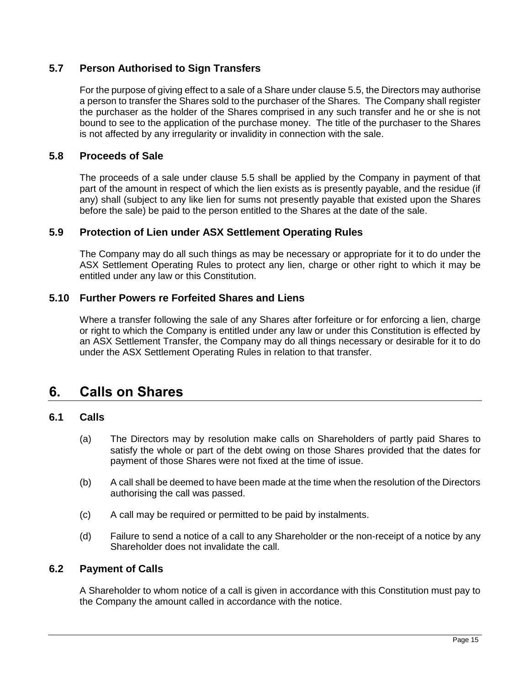# **5.7 Person Authorised to Sign Transfers**

For the purpose of giving effect to a sale of a Share under clause [5.5,](#page-22-1) the Directors may authorise a person to transfer the Shares sold to the purchaser of the Shares. The Company shall register the purchaser as the holder of the Shares comprised in any such transfer and he or she is not bound to see to the application of the purchase money. The title of the purchaser to the Shares is not affected by any irregularity or invalidity in connection with the sale.

# **5.8 Proceeds of Sale**

The proceeds of a sale under clause [5.5](#page-22-1) shall be applied by the Company in payment of that part of the amount in respect of which the lien exists as is presently payable, and the residue (if any) shall (subject to any like lien for sums not presently payable that existed upon the Shares before the sale) be paid to the person entitled to the Shares at the date of the sale.

### **5.9 Protection of Lien under ASX Settlement Operating Rules**

The Company may do all such things as may be necessary or appropriate for it to do under the ASX Settlement Operating Rules to protect any lien, charge or other right to which it may be entitled under any law or this Constitution.

### **5.10 Further Powers re Forfeited Shares and Liens**

Where a transfer following the sale of any Shares after forfeiture or for enforcing a lien, charge or right to which the Company is entitled under any law or under this Constitution is effected by an ASX Settlement Transfer, the Company may do all things necessary or desirable for it to do under the ASX Settlement Operating Rules in relation to that transfer.

# <span id="page-23-0"></span>**6. Calls on Shares**

#### **6.1 Calls**

- (a) The Directors may by resolution make calls on Shareholders of partly paid Shares to satisfy the whole or part of the debt owing on those Shares provided that the dates for payment of those Shares were not fixed at the time of issue.
- (b) A call shall be deemed to have been made at the time when the resolution of the Directors authorising the call was passed.
- (c) A call may be required or permitted to be paid by instalments.
- (d) Failure to send a notice of a call to any Shareholder or the non-receipt of a notice by any Shareholder does not invalidate the call.

#### **6.2 Payment of Calls**

A Shareholder to whom notice of a call is given in accordance with this Constitution must pay to the Company the amount called in accordance with the notice.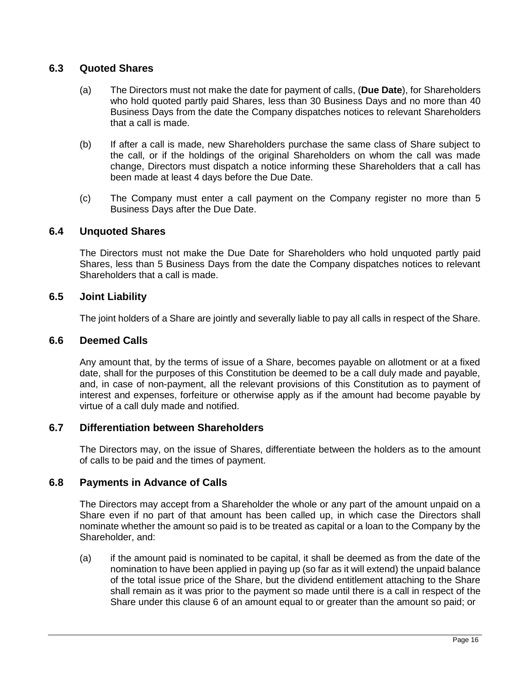# **6.3 Quoted Shares**

- (a) The Directors must not make the date for payment of calls, (**Due Date**), for Shareholders who hold quoted partly paid Shares, less than 30 Business Days and no more than 40 Business Days from the date the Company dispatches notices to relevant Shareholders that a call is made.
- (b) If after a call is made, new Shareholders purchase the same class of Share subject to the call, or if the holdings of the original Shareholders on whom the call was made change, Directors must dispatch a notice informing these Shareholders that a call has been made at least 4 days before the Due Date.
- (c) The Company must enter a call payment on the Company register no more than 5 Business Days after the Due Date.

#### **6.4 Unquoted Shares**

The Directors must not make the Due Date for Shareholders who hold unquoted partly paid Shares, less than 5 Business Days from the date the Company dispatches notices to relevant Shareholders that a call is made.

#### **6.5 Joint Liability**

The joint holders of a Share are jointly and severally liable to pay all calls in respect of the Share.

#### **6.6 Deemed Calls**

Any amount that, by the terms of issue of a Share, becomes payable on allotment or at a fixed date, shall for the purposes of this Constitution be deemed to be a call duly made and payable, and, in case of non-payment, all the relevant provisions of this Constitution as to payment of interest and expenses, forfeiture or otherwise apply as if the amount had become payable by virtue of a call duly made and notified.

#### **6.7 Differentiation between Shareholders**

The Directors may, on the issue of Shares, differentiate between the holders as to the amount of calls to be paid and the times of payment.

#### **6.8 Payments in Advance of Calls**

The Directors may accept from a Shareholder the whole or any part of the amount unpaid on a Share even if no part of that amount has been called up, in which case the Directors shall nominate whether the amount so paid is to be treated as capital or a loan to the Company by the Shareholder, and:

(a) if the amount paid is nominated to be capital, it shall be deemed as from the date of the nomination to have been applied in paying up (so far as it will extend) the unpaid balance of the total issue price of the Share, but the dividend entitlement attaching to the Share shall remain as it was prior to the payment so made until there is a call in respect of the Share under this clause [6](#page-23-0) of an amount equal to or greater than the amount so paid; or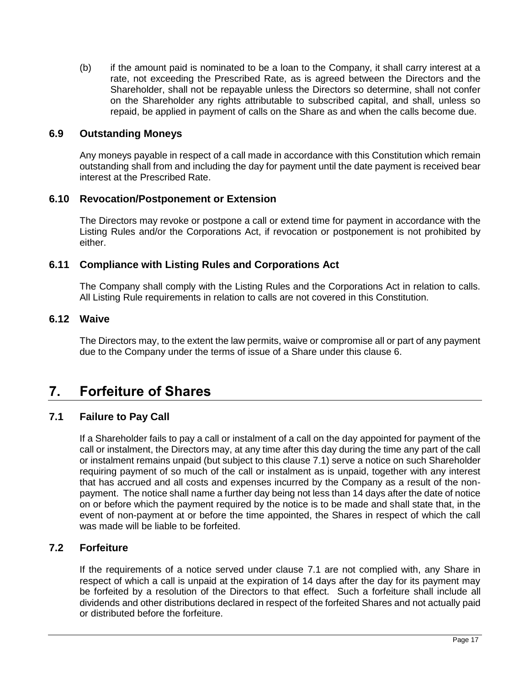(b) if the amount paid is nominated to be a loan to the Company, it shall carry interest at a rate, not exceeding the Prescribed Rate, as is agreed between the Directors and the Shareholder, shall not be repayable unless the Directors so determine, shall not confer on the Shareholder any rights attributable to subscribed capital, and shall, unless so repaid, be applied in payment of calls on the Share as and when the calls become due.

#### **6.9 Outstanding Moneys**

Any moneys payable in respect of a call made in accordance with this Constitution which remain outstanding shall from and including the day for payment until the date payment is received bear interest at the Prescribed Rate.

### **6.10 Revocation/Postponement or Extension**

The Directors may revoke or postpone a call or extend time for payment in accordance with the Listing Rules and/or the Corporations Act, if revocation or postponement is not prohibited by either.

### **6.11 Compliance with Listing Rules and Corporations Act**

The Company shall comply with the Listing Rules and the Corporations Act in relation to calls. All Listing Rule requirements in relation to calls are not covered in this Constitution.

# **6.12 Waive**

The Directors may, to the extent the law permits, waive or compromise all or part of any payment due to the Company under the terms of issue of a Share under this clause [6.](#page-23-0)

# <span id="page-25-1"></span>**7. Forfeiture of Shares**

# <span id="page-25-0"></span>**7.1 Failure to Pay Call**

If a Shareholder fails to pay a call or instalment of a call on the day appointed for payment of the call or instalment, the Directors may, at any time after this day during the time any part of the call or instalment remains unpaid (but subject to this clause [7.1\)](#page-25-0) serve a notice on such Shareholder requiring payment of so much of the call or instalment as is unpaid, together with any interest that has accrued and all costs and expenses incurred by the Company as a result of the nonpayment. The notice shall name a further day being not less than 14 days after the date of notice on or before which the payment required by the notice is to be made and shall state that, in the event of non-payment at or before the time appointed, the Shares in respect of which the call was made will be liable to be forfeited.

# **7.2 Forfeiture**

If the requirements of a notice served under clause [7.1](#page-25-0) are not complied with, any Share in respect of which a call is unpaid at the expiration of 14 days after the day for its payment may be forfeited by a resolution of the Directors to that effect. Such a forfeiture shall include all dividends and other distributions declared in respect of the forfeited Shares and not actually paid or distributed before the forfeiture.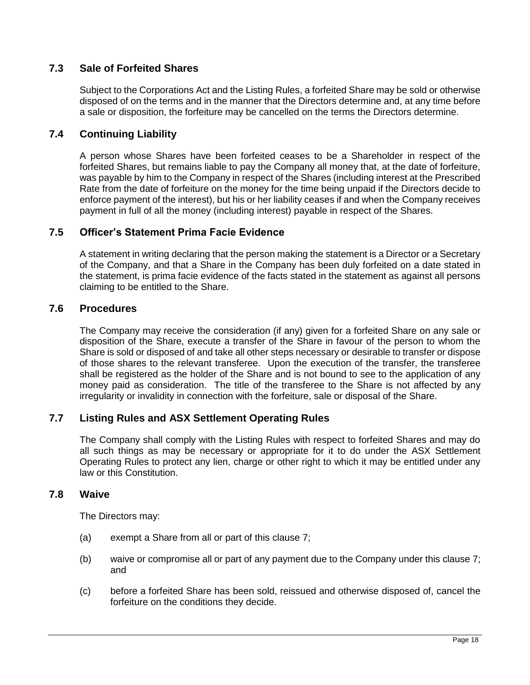# **7.3 Sale of Forfeited Shares**

Subject to the Corporations Act and the Listing Rules, a forfeited Share may be sold or otherwise disposed of on the terms and in the manner that the Directors determine and, at any time before a sale or disposition, the forfeiture may be cancelled on the terms the Directors determine.

# **7.4 Continuing Liability**

A person whose Shares have been forfeited ceases to be a Shareholder in respect of the forfeited Shares, but remains liable to pay the Company all money that, at the date of forfeiture, was payable by him to the Company in respect of the Shares (including interest at the Prescribed Rate from the date of forfeiture on the money for the time being unpaid if the Directors decide to enforce payment of the interest), but his or her liability ceases if and when the Company receives payment in full of all the money (including interest) payable in respect of the Shares.

# **7.5 Officer's Statement Prima Facie Evidence**

A statement in writing declaring that the person making the statement is a Director or a Secretary of the Company, and that a Share in the Company has been duly forfeited on a date stated in the statement, is prima facie evidence of the facts stated in the statement as against all persons claiming to be entitled to the Share.

### **7.6 Procedures**

The Company may receive the consideration (if any) given for a forfeited Share on any sale or disposition of the Share, execute a transfer of the Share in favour of the person to whom the Share is sold or disposed of and take all other steps necessary or desirable to transfer or dispose of those shares to the relevant transferee. Upon the execution of the transfer, the transferee shall be registered as the holder of the Share and is not bound to see to the application of any money paid as consideration. The title of the transferee to the Share is not affected by any irregularity or invalidity in connection with the forfeiture, sale or disposal of the Share.

# **7.7 Listing Rules and ASX Settlement Operating Rules**

The Company shall comply with the Listing Rules with respect to forfeited Shares and may do all such things as may be necessary or appropriate for it to do under the ASX Settlement Operating Rules to protect any lien, charge or other right to which it may be entitled under any law or this Constitution.

#### **7.8 Waive**

The Directors may:

- (a) exempt a Share from all or part of this clause [7;](#page-25-1)
- (b) waive or compromise all or part of any payment due to the Company under this clause [7;](#page-25-1) and
- (c) before a forfeited Share has been sold, reissued and otherwise disposed of, cancel the forfeiture on the conditions they decide.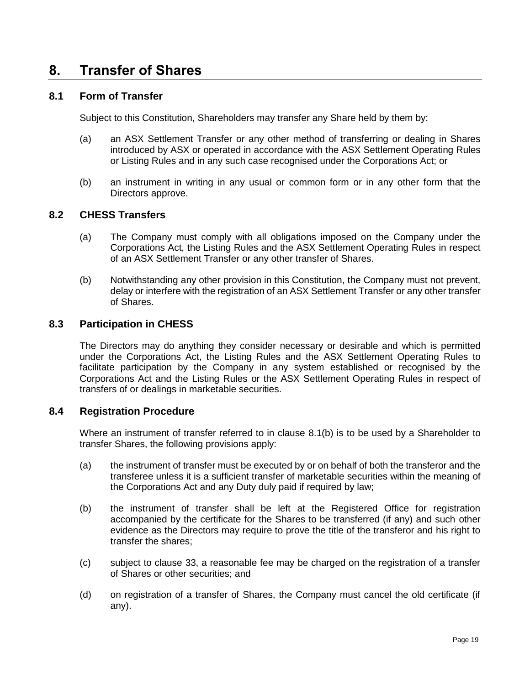# <span id="page-27-1"></span>**8. Transfer of Shares**

#### **8.1 Form of Transfer**

Subject to this Constitution, Shareholders may transfer any Share held by them by:

- (a) an ASX Settlement Transfer or any other method of transferring or dealing in Shares introduced by ASX or operated in accordance with the ASX Settlement Operating Rules or Listing Rules and in any such case recognised under the Corporations Act; or
- (b) an instrument in writing in any usual or common form or in any other form that the Directors approve.

# <span id="page-27-0"></span>**8.2 CHESS Transfers**

- (a) The Company must comply with all obligations imposed on the Company under the Corporations Act, the Listing Rules and the ASX Settlement Operating Rules in respect of an ASX Settlement Transfer or any other transfer of Shares.
- (b) Notwithstanding any other provision in this Constitution, the Company must not prevent, delay or interfere with the registration of an ASX Settlement Transfer or any other transfer of Shares.

# **8.3 Participation in CHESS**

The Directors may do anything they consider necessary or desirable and which is permitted under the Corporations Act, the Listing Rules and the ASX Settlement Operating Rules to facilitate participation by the Company in any system established or recognised by the Corporations Act and the Listing Rules or the ASX Settlement Operating Rules in respect of transfers of or dealings in marketable securities.

#### **8.4 Registration Procedure**

Where an instrument of transfer referred to in clause [8.1\(b\)](#page-27-0) is to be used by a Shareholder to transfer Shares, the following provisions apply:

- (a) the instrument of transfer must be executed by or on behalf of both the transferor and the transferee unless it is a sufficient transfer of marketable securities within the meaning of the Corporations Act and any Duty duly paid if required by law;
- (b) the instrument of transfer shall be left at the Registered Office for registration accompanied by the certificate for the Shares to be transferred (if any) and such other evidence as the Directors may require to prove the title of the transferor and his right to transfer the shares;
- (c) subject to clause [33,](#page-66-0) a reasonable fee may be charged on the registration of a transfer of Shares or other securities; and
- (d) on registration of a transfer of Shares, the Company must cancel the old certificate (if any).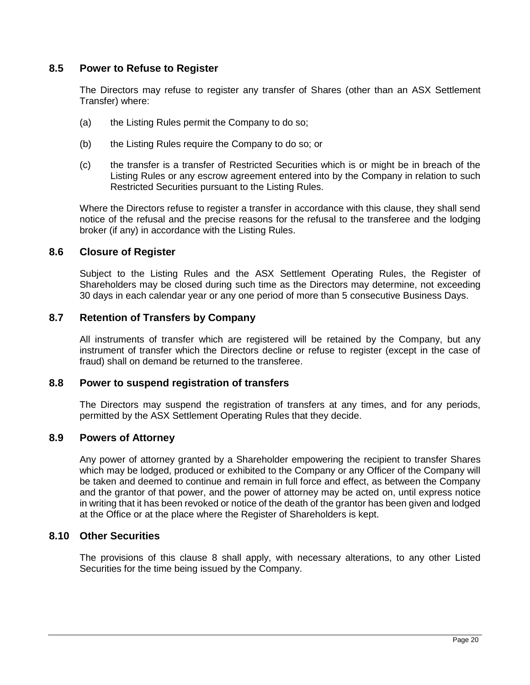#### **8.5 Power to Refuse to Register**

The Directors may refuse to register any transfer of Shares (other than an ASX Settlement Transfer) where:

- (a) the Listing Rules permit the Company to do so;
- (b) the Listing Rules require the Company to do so; or
- (c) the transfer is a transfer of Restricted Securities which is or might be in breach of the Listing Rules or any escrow agreement entered into by the Company in relation to such Restricted Securities pursuant to the Listing Rules.

Where the Directors refuse to register a transfer in accordance with this clause, they shall send notice of the refusal and the precise reasons for the refusal to the transferee and the lodging broker (if any) in accordance with the Listing Rules.

### **8.6 Closure of Register**

Subject to the Listing Rules and the ASX Settlement Operating Rules, the Register of Shareholders may be closed during such time as the Directors may determine, not exceeding 30 days in each calendar year or any one period of more than 5 consecutive Business Days.

### **8.7 Retention of Transfers by Company**

All instruments of transfer which are registered will be retained by the Company, but any instrument of transfer which the Directors decline or refuse to register (except in the case of fraud) shall on demand be returned to the transferee.

#### **8.8 Power to suspend registration of transfers**

The Directors may suspend the registration of transfers at any times, and for any periods, permitted by the ASX Settlement Operating Rules that they decide.

#### **8.9 Powers of Attorney**

Any power of attorney granted by a Shareholder empowering the recipient to transfer Shares which may be lodged, produced or exhibited to the Company or any Officer of the Company will be taken and deemed to continue and remain in full force and effect, as between the Company and the grantor of that power, and the power of attorney may be acted on, until express notice in writing that it has been revoked or notice of the death of the grantor has been given and lodged at the Office or at the place where the Register of Shareholders is kept.

#### **8.10 Other Securities**

The provisions of this clause [8](#page-27-1) shall apply, with necessary alterations, to any other Listed Securities for the time being issued by the Company.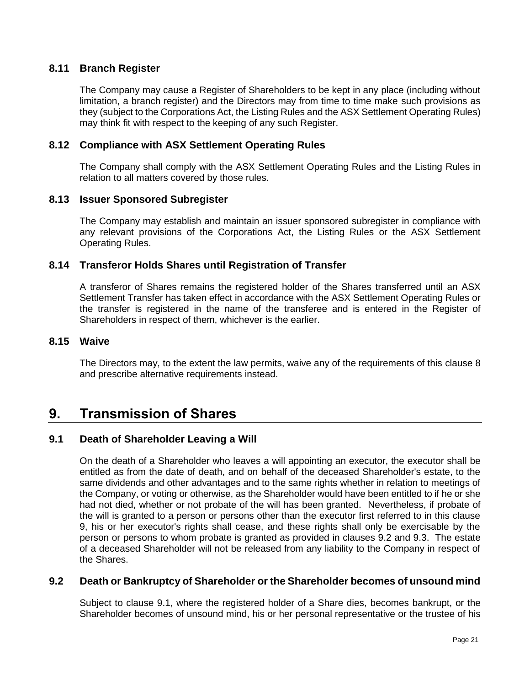# **8.11 Branch Register**

The Company may cause a Register of Shareholders to be kept in any place (including without limitation, a branch register) and the Directors may from time to time make such provisions as they (subject to the Corporations Act, the Listing Rules and the ASX Settlement Operating Rules) may think fit with respect to the keeping of any such Register.

# **8.12 Compliance with ASX Settlement Operating Rules**

The Company shall comply with the ASX Settlement Operating Rules and the Listing Rules in relation to all matters covered by those rules.

### **8.13 Issuer Sponsored Subregister**

The Company may establish and maintain an issuer sponsored subregister in compliance with any relevant provisions of the Corporations Act, the Listing Rules or the ASX Settlement Operating Rules.

### **8.14 Transferor Holds Shares until Registration of Transfer**

A transferor of Shares remains the registered holder of the Shares transferred until an ASX Settlement Transfer has taken effect in accordance with the ASX Settlement Operating Rules or the transfer is registered in the name of the transferee and is entered in the Register of Shareholders in respect of them, whichever is the earlier.

#### **8.15 Waive**

The Directors may, to the extent the law permits, waive any of the requirements of this clause [8](#page-27-1) and prescribe alternative requirements instead.

# <span id="page-29-0"></span>**9. Transmission of Shares**

#### <span id="page-29-2"></span>**9.1 Death of Shareholder Leaving a Will**

On the death of a Shareholder who leaves a will appointing an executor, the executor shall be entitled as from the date of death, and on behalf of the deceased Shareholder's estate, to the same dividends and other advantages and to the same rights whether in relation to meetings of the Company, or voting or otherwise, as the Shareholder would have been entitled to if he or she had not died, whether or not probate of the will has been granted. Nevertheless, if probate of the will is granted to a person or persons other than the executor first referred to in this clause [9,](#page-29-0) his or her executor's rights shall cease, and these rights shall only be exercisable by the person or persons to whom probate is granted as provided in clauses [9.2](#page-29-1) and [9.3.](#page-30-0) The estate of a deceased Shareholder will not be released from any liability to the Company in respect of the Shares.

#### <span id="page-29-1"></span>**9.2 Death or Bankruptcy of Shareholder or the Shareholder becomes of unsound mind**

Subject to clause [9.1,](#page-29-2) where the registered holder of a Share dies, becomes bankrupt, or the Shareholder becomes of unsound mind, his or her personal representative or the trustee of his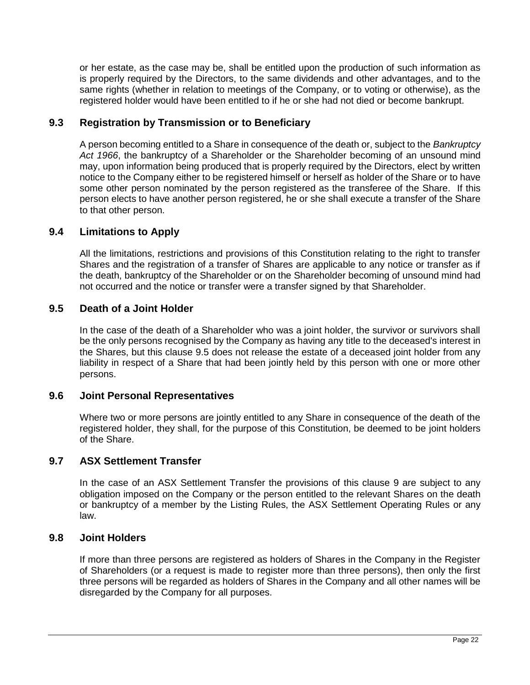or her estate, as the case may be, shall be entitled upon the production of such information as is properly required by the Directors, to the same dividends and other advantages, and to the same rights (whether in relation to meetings of the Company, or to voting or otherwise), as the registered holder would have been entitled to if he or she had not died or become bankrupt.

# <span id="page-30-0"></span>**9.3 Registration by Transmission or to Beneficiary**

A person becoming entitled to a Share in consequence of the death or, subject to the *Bankruptcy Act 1966*, the bankruptcy of a Shareholder or the Shareholder becoming of an unsound mind may, upon information being produced that is properly required by the Directors, elect by written notice to the Company either to be registered himself or herself as holder of the Share or to have some other person nominated by the person registered as the transferee of the Share. If this person elects to have another person registered, he or she shall execute a transfer of the Share to that other person.

# **9.4 Limitations to Apply**

All the limitations, restrictions and provisions of this Constitution relating to the right to transfer Shares and the registration of a transfer of Shares are applicable to any notice or transfer as if the death, bankruptcy of the Shareholder or on the Shareholder becoming of unsound mind had not occurred and the notice or transfer were a transfer signed by that Shareholder.

### <span id="page-30-1"></span>**9.5 Death of a Joint Holder**

In the case of the death of a Shareholder who was a joint holder, the survivor or survivors shall be the only persons recognised by the Company as having any title to the deceased's interest in the Shares, but this clause [9.5](#page-30-1) does not release the estate of a deceased joint holder from any liability in respect of a Share that had been jointly held by this person with one or more other persons.

#### **9.6 Joint Personal Representatives**

Where two or more persons are jointly entitled to any Share in consequence of the death of the registered holder, they shall, for the purpose of this Constitution, be deemed to be joint holders of the Share.

#### **9.7 ASX Settlement Transfer**

In the case of an ASX Settlement Transfer the provisions of this clause [9](#page-29-0) are subject to any obligation imposed on the Company or the person entitled to the relevant Shares on the death or bankruptcy of a member by the Listing Rules, the ASX Settlement Operating Rules or any law.

#### **9.8 Joint Holders**

If more than three persons are registered as holders of Shares in the Company in the Register of Shareholders (or a request is made to register more than three persons), then only the first three persons will be regarded as holders of Shares in the Company and all other names will be disregarded by the Company for all purposes.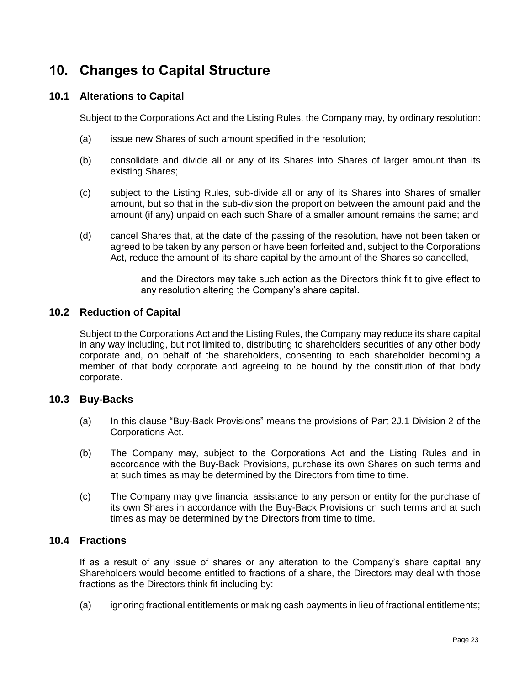# **10. Changes to Capital Structure**

# **10.1 Alterations to Capital**

Subject to the Corporations Act and the Listing Rules, the Company may, by ordinary resolution:

- (a) issue new Shares of such amount specified in the resolution;
- (b) consolidate and divide all or any of its Shares into Shares of larger amount than its existing Shares;
- (c) subject to the Listing Rules, sub-divide all or any of its Shares into Shares of smaller amount, but so that in the sub-division the proportion between the amount paid and the amount (if any) unpaid on each such Share of a smaller amount remains the same; and
- (d) cancel Shares that, at the date of the passing of the resolution, have not been taken or agreed to be taken by any person or have been forfeited and, subject to the Corporations Act, reduce the amount of its share capital by the amount of the Shares so cancelled,

and the Directors may take such action as the Directors think fit to give effect to any resolution altering the Company's share capital.

#### **10.2 Reduction of Capital**

Subject to the Corporations Act and the Listing Rules, the Company may reduce its share capital in any way including, but not limited to, distributing to shareholders securities of any other body corporate and, on behalf of the shareholders, consenting to each shareholder becoming a member of that body corporate and agreeing to be bound by the constitution of that body corporate.

### **10.3 Buy-Backs**

- (a) In this clause "Buy-Back Provisions" means the provisions of Part 2J.1 Division 2 of the Corporations Act.
- (b) The Company may, subject to the Corporations Act and the Listing Rules and in accordance with the Buy-Back Provisions, purchase its own Shares on such terms and at such times as may be determined by the Directors from time to time.
- (c) The Company may give financial assistance to any person or entity for the purchase of its own Shares in accordance with the Buy-Back Provisions on such terms and at such times as may be determined by the Directors from time to time.

#### **10.4 Fractions**

If as a result of any issue of shares or any alteration to the Company's share capital any Shareholders would become entitled to fractions of a share, the Directors may deal with those fractions as the Directors think fit including by:

(a) ignoring fractional entitlements or making cash payments in lieu of fractional entitlements;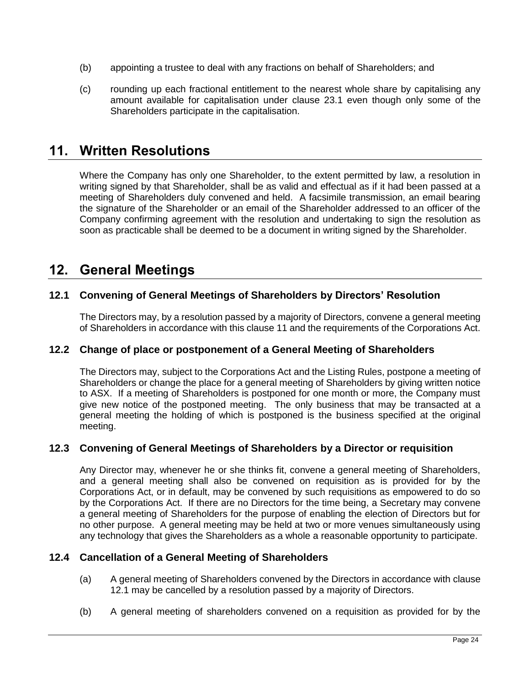- (b) appointing a trustee to deal with any fractions on behalf of Shareholders; and
- (c) rounding up each fractional entitlement to the nearest whole share by capitalising any amount available for capitalisation under clause [23.1](#page-58-0) even though only some of the Shareholders participate in the capitalisation.

# <span id="page-32-0"></span>**11. Written Resolutions**

Where the Company has only one Shareholder, to the extent permitted by law, a resolution in writing signed by that Shareholder, shall be as valid and effectual as if it had been passed at a meeting of Shareholders duly convened and held. A facsimile transmission, an email bearing the signature of the Shareholder or an email of the Shareholder addressed to an officer of the Company confirming agreement with the resolution and undertaking to sign the resolution as soon as practicable shall be deemed to be a document in writing signed by the Shareholder.

# **12. General Meetings**

# <span id="page-32-1"></span>**12.1 Convening of General Meetings of Shareholders by Directors' Resolution**

The Directors may, by a resolution passed by a majority of Directors, convene a general meeting of Shareholders in accordance with this clause [11](#page-32-0) and the requirements of the Corporations Act.

# **12.2 Change of place or postponement of a General Meeting of Shareholders**

The Directors may, subject to the Corporations Act and the Listing Rules, postpone a meeting of Shareholders or change the place for a general meeting of Shareholders by giving written notice to ASX. If a meeting of Shareholders is postponed for one month or more, the Company must give new notice of the postponed meeting. The only business that may be transacted at a general meeting the holding of which is postponed is the business specified at the original meeting.

# **12.3 Convening of General Meetings of Shareholders by a Director or requisition**

Any Director may, whenever he or she thinks fit, convene a general meeting of Shareholders, and a general meeting shall also be convened on requisition as is provided for by the Corporations Act, or in default, may be convened by such requisitions as empowered to do so by the Corporations Act. If there are no Directors for the time being, a Secretary may convene a general meeting of Shareholders for the purpose of enabling the election of Directors but for no other purpose. A general meeting may be held at two or more venues simultaneously using any technology that gives the Shareholders as a whole a reasonable opportunity to participate.

#### **12.4 Cancellation of a General Meeting of Shareholders**

- (a) A general meeting of Shareholders convened by the Directors in accordance with clause [12.1](#page-32-1) may be cancelled by a resolution passed by a majority of Directors.
- (b) A general meeting of shareholders convened on a requisition as provided for by the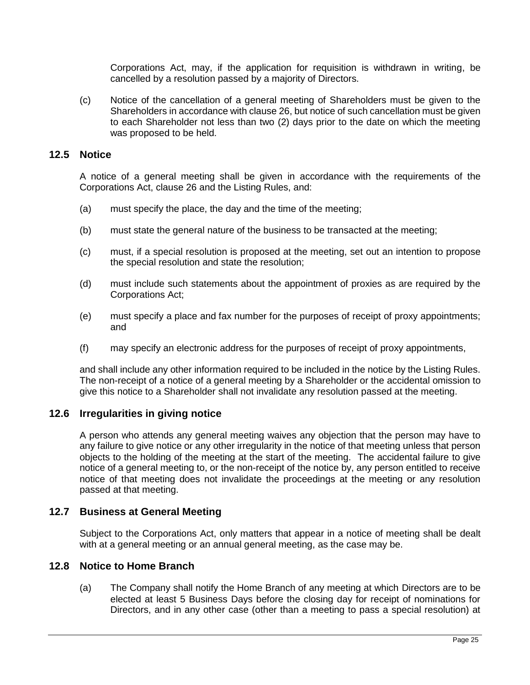Corporations Act, may, if the application for requisition is withdrawn in writing, be cancelled by a resolution passed by a majority of Directors.

(c) Notice of the cancellation of a general meeting of Shareholders must be given to the Shareholders in accordance with clause [26,](#page-60-1) but notice of such cancellation must be given to each Shareholder not less than two (2) days prior to the date on which the meeting was proposed to be held.

#### **12.5 Notice**

A notice of a general meeting shall be given in accordance with the requirements of the Corporations Act, clause [26](#page-60-1) and the Listing Rules, and:

- (a) must specify the place, the day and the time of the meeting;
- (b) must state the general nature of the business to be transacted at the meeting;
- (c) must, if a special resolution is proposed at the meeting, set out an intention to propose the special resolution and state the resolution;
- (d) must include such statements about the appointment of proxies as are required by the Corporations Act;
- (e) must specify a place and fax number for the purposes of receipt of proxy appointments; and
- (f) may specify an electronic address for the purposes of receipt of proxy appointments,

and shall include any other information required to be included in the notice by the Listing Rules. The non-receipt of a notice of a general meeting by a Shareholder or the accidental omission to give this notice to a Shareholder shall not invalidate any resolution passed at the meeting.

#### **12.6 Irregularities in giving notice**

A person who attends any general meeting waives any objection that the person may have to any failure to give notice or any other irregularity in the notice of that meeting unless that person objects to the holding of the meeting at the start of the meeting. The accidental failure to give notice of a general meeting to, or the non-receipt of the notice by, any person entitled to receive notice of that meeting does not invalidate the proceedings at the meeting or any resolution passed at that meeting.

#### **12.7 Business at General Meeting**

Subject to the Corporations Act, only matters that appear in a notice of meeting shall be dealt with at a general meeting or an annual general meeting, as the case may be.

#### **12.8 Notice to Home Branch**

(a) The Company shall notify the Home Branch of any meeting at which Directors are to be elected at least 5 Business Days before the closing day for receipt of nominations for Directors, and in any other case (other than a meeting to pass a special resolution) at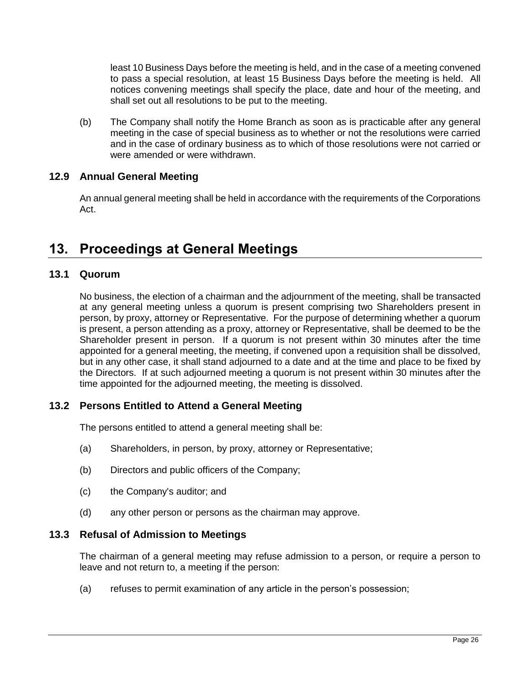least 10 Business Days before the meeting is held, and in the case of a meeting convened to pass a special resolution, at least 15 Business Days before the meeting is held. All notices convening meetings shall specify the place, date and hour of the meeting, and shall set out all resolutions to be put to the meeting.

(b) The Company shall notify the Home Branch as soon as is practicable after any general meeting in the case of special business as to whether or not the resolutions were carried and in the case of ordinary business as to which of those resolutions were not carried or were amended or were withdrawn.

# **12.9 Annual General Meeting**

An annual general meeting shall be held in accordance with the requirements of the Corporations Act.

# **13. Proceedings at General Meetings**

# **13.1 Quorum**

No business, the election of a chairman and the adjournment of the meeting, shall be transacted at any general meeting unless a quorum is present comprising two Shareholders present in person, by proxy, attorney or Representative. For the purpose of determining whether a quorum is present, a person attending as a proxy, attorney or Representative, shall be deemed to be the Shareholder present in person. If a quorum is not present within 30 minutes after the time appointed for a general meeting, the meeting, if convened upon a requisition shall be dissolved, but in any other case, it shall stand adjourned to a date and at the time and place to be fixed by the Directors. If at such adjourned meeting a quorum is not present within 30 minutes after the time appointed for the adjourned meeting, the meeting is dissolved.

# **13.2 Persons Entitled to Attend a General Meeting**

The persons entitled to attend a general meeting shall be:

- (a) Shareholders, in person, by proxy, attorney or Representative;
- (b) Directors and public officers of the Company;
- (c) the Company's auditor; and
- (d) any other person or persons as the chairman may approve.

#### <span id="page-34-0"></span>**13.3 Refusal of Admission to Meetings**

The chairman of a general meeting may refuse admission to a person, or require a person to leave and not return to, a meeting if the person:

(a) refuses to permit examination of any article in the person's possession;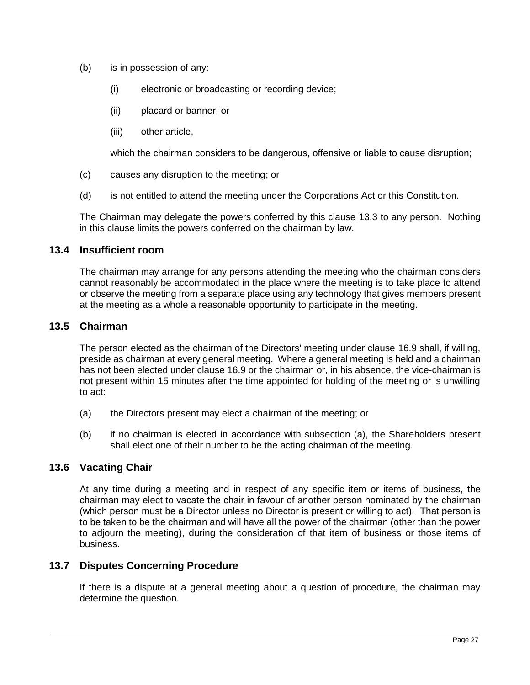- (b) is in possession of any:
	- (i) electronic or broadcasting or recording device;
	- (ii) placard or banner; or
	- (iii) other article,

which the chairman considers to be dangerous, offensive or liable to cause disruption;

- (c) causes any disruption to the meeting; or
- (d) is not entitled to attend the meeting under the Corporations Act or this Constitution.

The Chairman may delegate the powers conferred by this clause [13.3](#page-34-0) to any person. Nothing in this clause limits the powers conferred on the chairman by law.

#### **13.4 Insufficient room**

The chairman may arrange for any persons attending the meeting who the chairman considers cannot reasonably be accommodated in the place where the meeting is to take place to attend or observe the meeting from a separate place using any technology that gives members present at the meeting as a whole a reasonable opportunity to participate in the meeting.

# **13.5 Chairman**

The person elected as the chairman of the Directors' meeting under clause [16.9](#page-50-0) shall, if willing, preside as chairman at every general meeting. Where a general meeting is held and a chairman has not been elected under clause [16.9](#page-50-0) or the chairman or, in his absence, the vice-chairman is not present within 15 minutes after the time appointed for holding of the meeting or is unwilling to act:

- (a) the Directors present may elect a chairman of the meeting; or
- (b) if no chairman is elected in accordance with subsection (a), the Shareholders present shall elect one of their number to be the acting chairman of the meeting.

#### **13.6 Vacating Chair**

At any time during a meeting and in respect of any specific item or items of business, the chairman may elect to vacate the chair in favour of another person nominated by the chairman (which person must be a Director unless no Director is present or willing to act). That person is to be taken to be the chairman and will have all the power of the chairman (other than the power to adjourn the meeting), during the consideration of that item of business or those items of business.

#### **13.7 Disputes Concerning Procedure**

If there is a dispute at a general meeting about a question of procedure, the chairman may determine the question.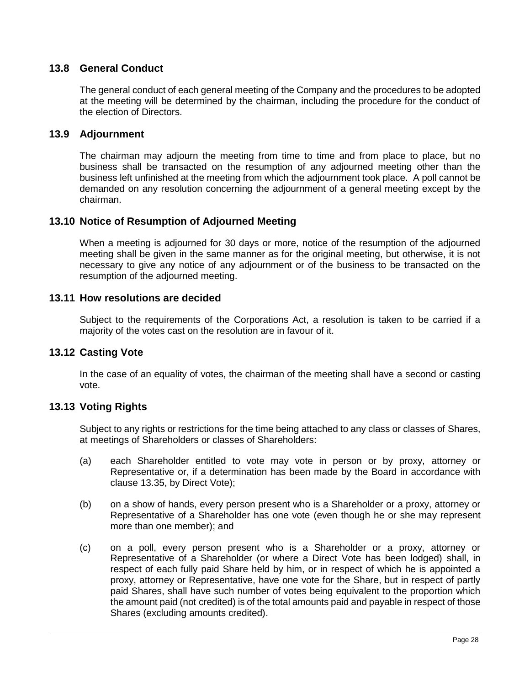## **13.8 General Conduct**

The general conduct of each general meeting of the Company and the procedures to be adopted at the meeting will be determined by the chairman, including the procedure for the conduct of the election of Directors.

### **13.9 Adjournment**

The chairman may adjourn the meeting from time to time and from place to place, but no business shall be transacted on the resumption of any adjourned meeting other than the business left unfinished at the meeting from which the adjournment took place. A poll cannot be demanded on any resolution concerning the adjournment of a general meeting except by the chairman.

### <span id="page-36-0"></span>**13.10 Notice of Resumption of Adjourned Meeting**

When a meeting is adjourned for 30 days or more, notice of the resumption of the adjourned meeting shall be given in the same manner as for the original meeting, but otherwise, it is not necessary to give any notice of any adjournment or of the business to be transacted on the resumption of the adjourned meeting.

#### **13.11 How resolutions are decided**

Subject to the requirements of the Corporations Act, a resolution is taken to be carried if a majority of the votes cast on the resolution are in favour of it.

### **13.12 Casting Vote**

In the case of an equality of votes, the chairman of the meeting shall have a second or casting vote.

### **13.13 Voting Rights**

Subject to any rights or restrictions for the time being attached to any class or classes of Shares, at meetings of Shareholders or classes of Shareholders:

- (a) each Shareholder entitled to vote may vote in person or by proxy, attorney or Representative or, if a determination has been made by the Board in accordance with clause [13.35,](#page-41-0) by Direct Vote);
- (b) on a show of hands, every person present who is a Shareholder or a proxy, attorney or Representative of a Shareholder has one vote (even though he or she may represent more than one member); and
- (c) on a poll, every person present who is a Shareholder or a proxy, attorney or Representative of a Shareholder (or where a Direct Vote has been lodged) shall, in respect of each fully paid Share held by him, or in respect of which he is appointed a proxy, attorney or Representative, have one vote for the Share, but in respect of partly paid Shares, shall have such number of votes being equivalent to the proportion which the amount paid (not credited) is of the total amounts paid and payable in respect of those Shares (excluding amounts credited).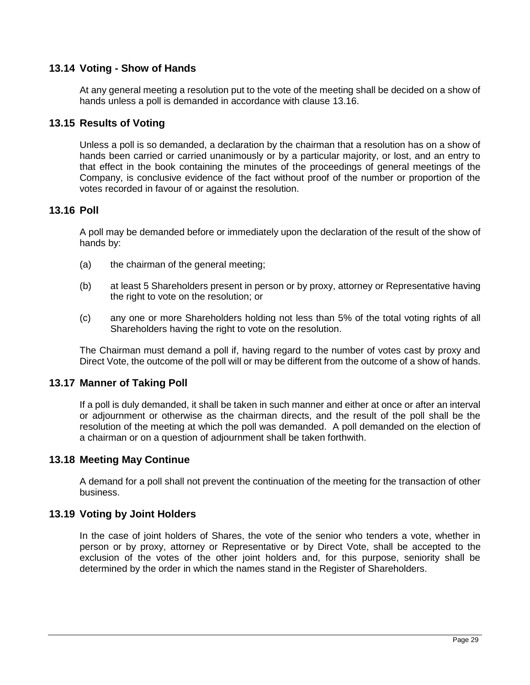## **13.14 Voting - Show of Hands**

At any general meeting a resolution put to the vote of the meeting shall be decided on a show of hands unless a poll is demanded in accordance with clause [13.16.](#page-37-0)

## **13.15 Results of Voting**

Unless a poll is so demanded, a declaration by the chairman that a resolution has on a show of hands been carried or carried unanimously or by a particular majority, or lost, and an entry to that effect in the book containing the minutes of the proceedings of general meetings of the Company, is conclusive evidence of the fact without proof of the number or proportion of the votes recorded in favour of or against the resolution.

### <span id="page-37-0"></span>**13.16 Poll**

A poll may be demanded before or immediately upon the declaration of the result of the show of hands by:

- (a) the chairman of the general meeting;
- (b) at least 5 Shareholders present in person or by proxy, attorney or Representative having the right to vote on the resolution; or
- (c) any one or more Shareholders holding not less than 5% of the total voting rights of all Shareholders having the right to vote on the resolution.

The Chairman must demand a poll if, having regard to the number of votes cast by proxy and Direct Vote, the outcome of the poll will or may be different from the outcome of a show of hands.

### **13.17 Manner of Taking Poll**

If a poll is duly demanded, it shall be taken in such manner and either at once or after an interval or adjournment or otherwise as the chairman directs, and the result of the poll shall be the resolution of the meeting at which the poll was demanded. A poll demanded on the election of a chairman or on a question of adjournment shall be taken forthwith.

### **13.18 Meeting May Continue**

A demand for a poll shall not prevent the continuation of the meeting for the transaction of other business.

### **13.19 Voting by Joint Holders**

In the case of joint holders of Shares, the vote of the senior who tenders a vote, whether in person or by proxy, attorney or Representative or by Direct Vote, shall be accepted to the exclusion of the votes of the other joint holders and, for this purpose, seniority shall be determined by the order in which the names stand in the Register of Shareholders.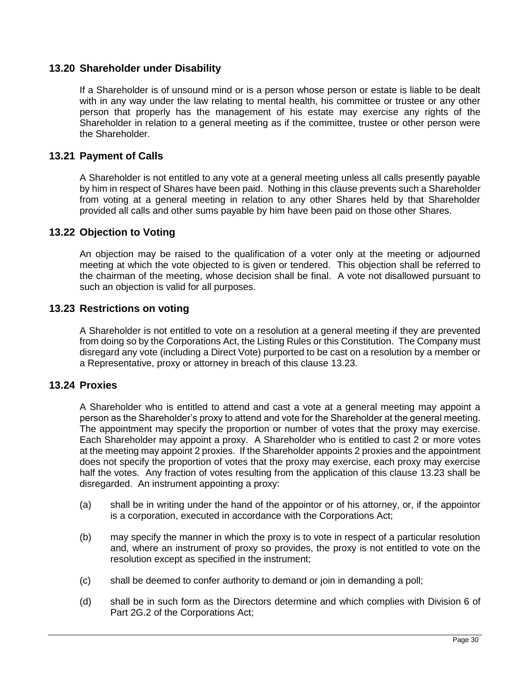### **13.20 Shareholder under Disability**

If a Shareholder is of unsound mind or is a person whose person or estate is liable to be dealt with in any way under the law relating to mental health, his committee or trustee or any other person that properly has the management of his estate may exercise any rights of the Shareholder in relation to a general meeting as if the committee, trustee or other person were the Shareholder.

### **13.21 Payment of Calls**

A Shareholder is not entitled to any vote at a general meeting unless all calls presently payable by him in respect of Shares have been paid. Nothing in this clause prevents such a Shareholder from voting at a general meeting in relation to any other Shares held by that Shareholder provided all calls and other sums payable by him have been paid on those other Shares.

### **13.22 Objection to Voting**

An objection may be raised to the qualification of a voter only at the meeting or adjourned meeting at which the vote objected to is given or tendered. This objection shall be referred to the chairman of the meeting, whose decision shall be final. A vote not disallowed pursuant to such an objection is valid for all purposes.

### <span id="page-38-0"></span>**13.23 Restrictions on voting**

A Shareholder is not entitled to vote on a resolution at a general meeting if they are prevented from doing so by the Corporations Act, the Listing Rules or this Constitution. The Company must disregard any vote (including a Direct Vote) purported to be cast on a resolution by a member or a Representative, proxy or attorney in breach of this clause [13.23.](#page-38-0)

## <span id="page-38-1"></span>**13.24 Proxies**

A Shareholder who is entitled to attend and cast a vote at a general meeting may appoint a person as the Shareholder's proxy to attend and vote for the Shareholder at the general meeting. The appointment may specify the proportion or number of votes that the proxy may exercise. Each Shareholder may appoint a proxy. A Shareholder who is entitled to cast 2 or more votes at the meeting may appoint 2 proxies. If the Shareholder appoints 2 proxies and the appointment does not specify the proportion of votes that the proxy may exercise, each proxy may exercise half the votes. Any fraction of votes resulting from the application of this clause [13.23](#page-38-0) shall be disregarded. An instrument appointing a proxy:

- (a) shall be in writing under the hand of the appointor or of his attorney, or, if the appointor is a corporation, executed in accordance with the Corporations Act;
- (b) may specify the manner in which the proxy is to vote in respect of a particular resolution and, where an instrument of proxy so provides, the proxy is not entitled to vote on the resolution except as specified in the instrument;
- (c) shall be deemed to confer authority to demand or join in demanding a poll;
- (d) shall be in such form as the Directors determine and which complies with Division 6 of Part 2G.2 of the Corporations Act;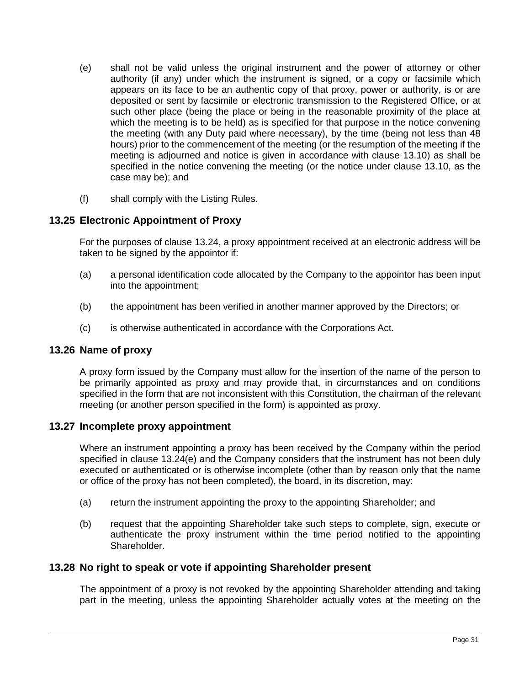- <span id="page-39-0"></span>(e) shall not be valid unless the original instrument and the power of attorney or other authority (if any) under which the instrument is signed, or a copy or facsimile which appears on its face to be an authentic copy of that proxy, power or authority, is or are deposited or sent by facsimile or electronic transmission to the Registered Office, or at such other place (being the place or being in the reasonable proximity of the place at which the meeting is to be held) as is specified for that purpose in the notice convening the meeting (with any Duty paid where necessary), by the time (being not less than 48 hours) prior to the commencement of the meeting (or the resumption of the meeting if the meeting is adjourned and notice is given in accordance with clause [13.10\)](#page-36-0) as shall be specified in the notice convening the meeting (or the notice under clause [13.10,](#page-36-0) as the case may be); and
- (f) shall comply with the Listing Rules.

### **13.25 Electronic Appointment of Proxy**

For the purposes of clause [13.24,](#page-38-1) a proxy appointment received at an electronic address will be taken to be signed by the appointor if:

- (a) a personal identification code allocated by the Company to the appointor has been input into the appointment;
- (b) the appointment has been verified in another manner approved by the Directors; or
- (c) is otherwise authenticated in accordance with the Corporations Act.

### **13.26 Name of proxy**

A proxy form issued by the Company must allow for the insertion of the name of the person to be primarily appointed as proxy and may provide that, in circumstances and on conditions specified in the form that are not inconsistent with this Constitution, the chairman of the relevant meeting (or another person specified in the form) is appointed as proxy.

### **13.27 Incomplete proxy appointment**

Where an instrument appointing a proxy has been received by the Company within the period specified in clause [13.24\(e\)](#page-39-0) and the Company considers that the instrument has not been duly executed or authenticated or is otherwise incomplete (other than by reason only that the name or office of the proxy has not been completed), the board, in its discretion, may:

- (a) return the instrument appointing the proxy to the appointing Shareholder; and
- (b) request that the appointing Shareholder take such steps to complete, sign, execute or authenticate the proxy instrument within the time period notified to the appointing Shareholder.

### **13.28 No right to speak or vote if appointing Shareholder present**

The appointment of a proxy is not revoked by the appointing Shareholder attending and taking part in the meeting, unless the appointing Shareholder actually votes at the meeting on the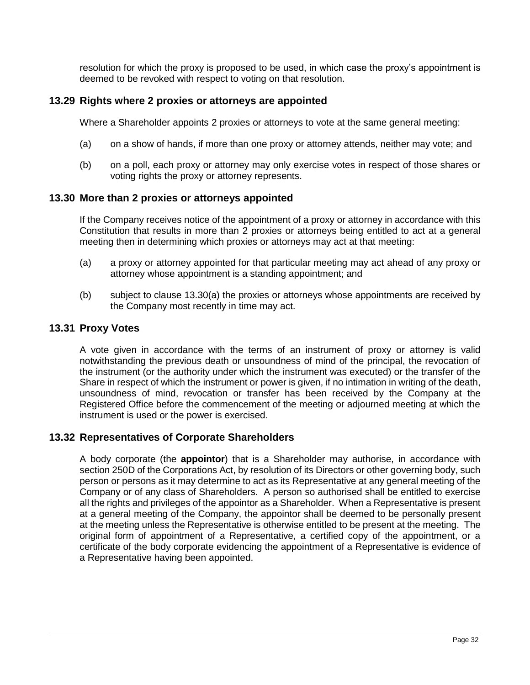resolution for which the proxy is proposed to be used, in which case the proxy's appointment is deemed to be revoked with respect to voting on that resolution.

### **13.29 Rights where 2 proxies or attorneys are appointed**

Where a Shareholder appoints 2 proxies or attorneys to vote at the same general meeting:

- (a) on a show of hands, if more than one proxy or attorney attends, neither may vote; and
- (b) on a poll, each proxy or attorney may only exercise votes in respect of those shares or voting rights the proxy or attorney represents.

### **13.30 More than 2 proxies or attorneys appointed**

If the Company receives notice of the appointment of a proxy or attorney in accordance with this Constitution that results in more than 2 proxies or attorneys being entitled to act at a general meeting then in determining which proxies or attorneys may act at that meeting:

- <span id="page-40-0"></span>(a) a proxy or attorney appointed for that particular meeting may act ahead of any proxy or attorney whose appointment is a standing appointment; and
- (b) subject to clause [13.30\(a\)](#page-40-0) the proxies or attorneys whose appointments are received by the Company most recently in time may act.

### **13.31 Proxy Votes**

A vote given in accordance with the terms of an instrument of proxy or attorney is valid notwithstanding the previous death or unsoundness of mind of the principal, the revocation of the instrument (or the authority under which the instrument was executed) or the transfer of the Share in respect of which the instrument or power is given, if no intimation in writing of the death, unsoundness of mind, revocation or transfer has been received by the Company at the Registered Office before the commencement of the meeting or adjourned meeting at which the instrument is used or the power is exercised.

### <span id="page-40-1"></span>**13.32 Representatives of Corporate Shareholders**

A body corporate (the **appointor**) that is a Shareholder may authorise, in accordance with section 250D of the Corporations Act, by resolution of its Directors or other governing body, such person or persons as it may determine to act as its Representative at any general meeting of the Company or of any class of Shareholders. A person so authorised shall be entitled to exercise all the rights and privileges of the appointor as a Shareholder. When a Representative is present at a general meeting of the Company, the appointor shall be deemed to be personally present at the meeting unless the Representative is otherwise entitled to be present at the meeting. The original form of appointment of a Representative, a certified copy of the appointment, or a certificate of the body corporate evidencing the appointment of a Representative is evidence of a Representative having been appointed.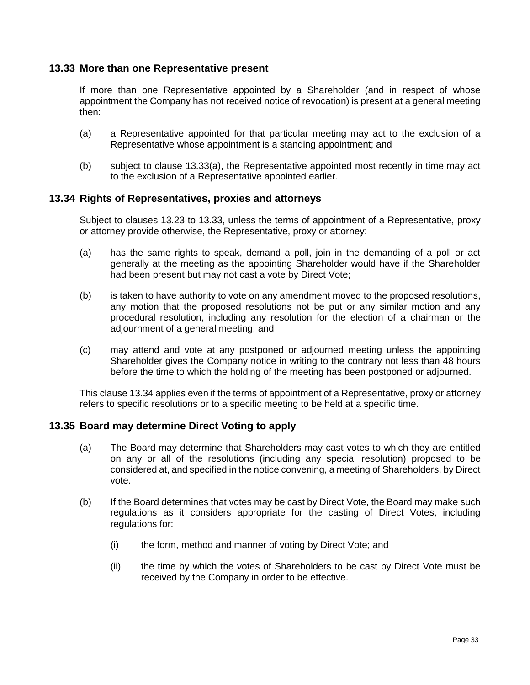### <span id="page-41-2"></span>**13.33 More than one Representative present**

If more than one Representative appointed by a Shareholder (and in respect of whose appointment the Company has not received notice of revocation) is present at a general meeting then:

- <span id="page-41-1"></span>(a) a Representative appointed for that particular meeting may act to the exclusion of a Representative whose appointment is a standing appointment; and
- (b) subject to clause [13.33\(a\),](#page-41-1) the Representative appointed most recently in time may act to the exclusion of a Representative appointed earlier.

### <span id="page-41-3"></span>**13.34 Rights of Representatives, proxies and attorneys**

Subject to clauses [13.23](#page-38-0) to [13.33,](#page-41-2) unless the terms of appointment of a Representative, proxy or attorney provide otherwise, the Representative, proxy or attorney:

- (a) has the same rights to speak, demand a poll, join in the demanding of a poll or act generally at the meeting as the appointing Shareholder would have if the Shareholder had been present but may not cast a vote by Direct Vote;
- (b) is taken to have authority to vote on any amendment moved to the proposed resolutions, any motion that the proposed resolutions not be put or any similar motion and any procedural resolution, including any resolution for the election of a chairman or the adjournment of a general meeting; and
- (c) may attend and vote at any postponed or adjourned meeting unless the appointing Shareholder gives the Company notice in writing to the contrary not less than 48 hours before the time to which the holding of the meeting has been postponed or adjourned.

This claus[e 13.34](#page-41-3) applies even if the terms of appointment of a Representative, proxy or attorney refers to specific resolutions or to a specific meeting to be held at a specific time.

### <span id="page-41-0"></span>**13.35 Board may determine Direct Voting to apply**

- (a) The Board may determine that Shareholders may cast votes to which they are entitled on any or all of the resolutions (including any special resolution) proposed to be considered at, and specified in the notice convening, a meeting of Shareholders, by Direct vote.
- (b) If the Board determines that votes may be cast by Direct Vote, the Board may make such regulations as it considers appropriate for the casting of Direct Votes, including regulations for:
	- (i) the form, method and manner of voting by Direct Vote; and
	- (ii) the time by which the votes of Shareholders to be cast by Direct Vote must be received by the Company in order to be effective.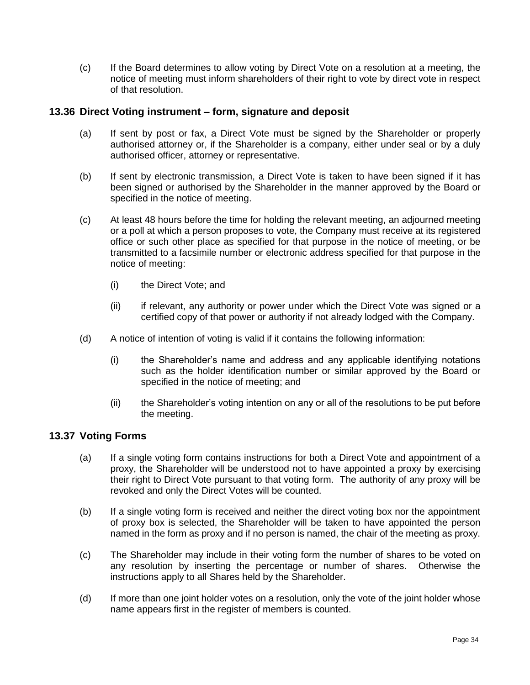(c) If the Board determines to allow voting by Direct Vote on a resolution at a meeting, the notice of meeting must inform shareholders of their right to vote by direct vote in respect of that resolution.

### **13.36 Direct Voting instrument – form, signature and deposit**

- (a) If sent by post or fax, a Direct Vote must be signed by the Shareholder or properly authorised attorney or, if the Shareholder is a company, either under seal or by a duly authorised officer, attorney or representative.
- (b) If sent by electronic transmission, a Direct Vote is taken to have been signed if it has been signed or authorised by the Shareholder in the manner approved by the Board or specified in the notice of meeting.
- (c) At least 48 hours before the time for holding the relevant meeting, an adjourned meeting or a poll at which a person proposes to vote, the Company must receive at its registered office or such other place as specified for that purpose in the notice of meeting, or be transmitted to a facsimile number or electronic address specified for that purpose in the notice of meeting:
	- (i) the Direct Vote; and
	- (ii) if relevant, any authority or power under which the Direct Vote was signed or a certified copy of that power or authority if not already lodged with the Company.
- (d) A notice of intention of voting is valid if it contains the following information:
	- (i) the Shareholder's name and address and any applicable identifying notations such as the holder identification number or similar approved by the Board or specified in the notice of meeting; and
	- (ii) the Shareholder's voting intention on any or all of the resolutions to be put before the meeting.

## **13.37 Voting Forms**

- (a) If a single voting form contains instructions for both a Direct Vote and appointment of a proxy, the Shareholder will be understood not to have appointed a proxy by exercising their right to Direct Vote pursuant to that voting form. The authority of any proxy will be revoked and only the Direct Votes will be counted.
- (b) If a single voting form is received and neither the direct voting box nor the appointment of proxy box is selected, the Shareholder will be taken to have appointed the person named in the form as proxy and if no person is named, the chair of the meeting as proxy.
- (c) The Shareholder may include in their voting form the number of shares to be voted on any resolution by inserting the percentage or number of shares. Otherwise the instructions apply to all Shares held by the Shareholder.
- (d) If more than one joint holder votes on a resolution, only the vote of the joint holder whose name appears first in the register of members is counted.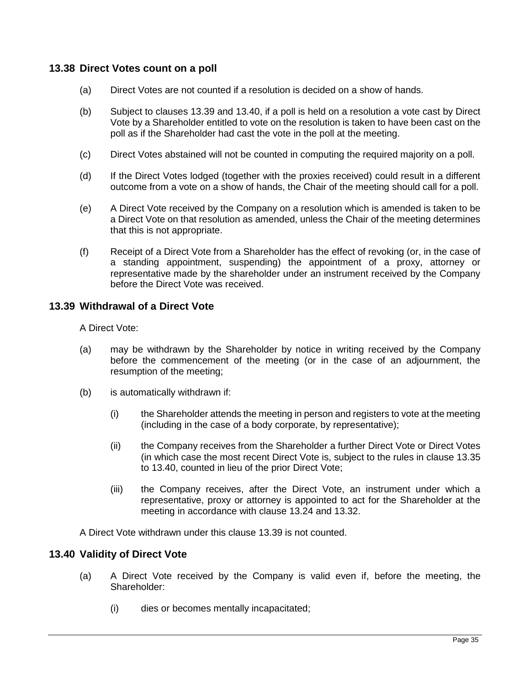### **13.38 Direct Votes count on a poll**

- (a) Direct Votes are not counted if a resolution is decided on a show of hands.
- (b) Subject to clauses [13.39](#page-43-0) and [13.40,](#page-43-1) if a poll is held on a resolution a vote cast by Direct Vote by a Shareholder entitled to vote on the resolution is taken to have been cast on the poll as if the Shareholder had cast the vote in the poll at the meeting.
- (c) Direct Votes abstained will not be counted in computing the required majority on a poll.
- (d) If the Direct Votes lodged (together with the proxies received) could result in a different outcome from a vote on a show of hands, the Chair of the meeting should call for a poll.
- (e) A Direct Vote received by the Company on a resolution which is amended is taken to be a Direct Vote on that resolution as amended, unless the Chair of the meeting determines that this is not appropriate.
- (f) Receipt of a Direct Vote from a Shareholder has the effect of revoking (or, in the case of a standing appointment, suspending) the appointment of a proxy, attorney or representative made by the shareholder under an instrument received by the Company before the Direct Vote was received.

### <span id="page-43-0"></span>**13.39 Withdrawal of a Direct Vote**

A Direct Vote:

- (a) may be withdrawn by the Shareholder by notice in writing received by the Company before the commencement of the meeting (or in the case of an adjournment, the resumption of the meeting;
- (b) is automatically withdrawn if:
	- (i) the Shareholder attends the meeting in person and registers to vote at the meeting (including in the case of a body corporate, by representative);
	- (ii) the Company receives from the Shareholder a further Direct Vote or Direct Votes (in which case the most recent Direct Vote is, subject to the rules in clause [13.35](#page-41-0) to [13.40,](#page-43-1) counted in lieu of the prior Direct Vote;
	- (iii) the Company receives, after the Direct Vote, an instrument under which a representative, proxy or attorney is appointed to act for the Shareholder at the meeting in accordance with clause [13.24](#page-38-1) and [13.32.](#page-40-1)

A Direct Vote withdrawn under this clause [13.39](#page-43-0) is not counted.

### <span id="page-43-1"></span>**13.40 Validity of Direct Vote**

- (a) A Direct Vote received by the Company is valid even if, before the meeting, the Shareholder:
	- (i) dies or becomes mentally incapacitated;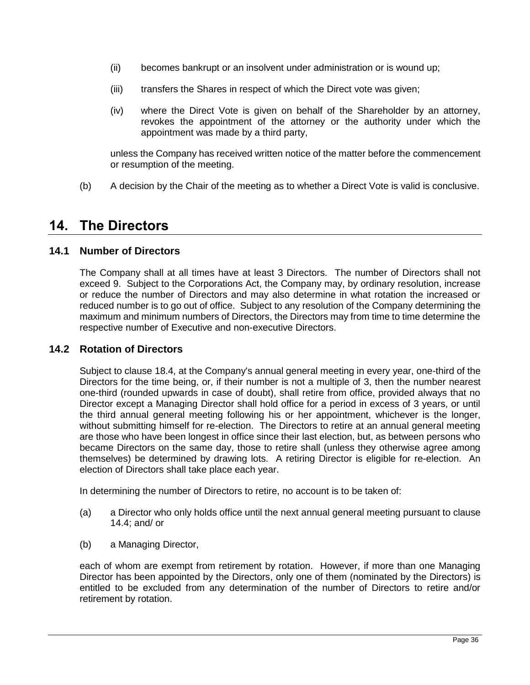- (ii) becomes bankrupt or an insolvent under administration or is wound up;
- (iii) transfers the Shares in respect of which the Direct vote was given;
- (iv) where the Direct Vote is given on behalf of the Shareholder by an attorney, revokes the appointment of the attorney or the authority under which the appointment was made by a third party,

unless the Company has received written notice of the matter before the commencement or resumption of the meeting.

(b) A decision by the Chair of the meeting as to whether a Direct Vote is valid is conclusive.

## **14. The Directors**

## <span id="page-44-0"></span>**14.1 Number of Directors**

The Company shall at all times have at least 3 Directors. The number of Directors shall not exceed 9. Subject to the Corporations Act, the Company may, by ordinary resolution, increase or reduce the number of Directors and may also determine in what rotation the increased or reduced number is to go out of office. Subject to any resolution of the Company determining the maximum and minimum numbers of Directors, the Directors may from time to time determine the respective number of Executive and non-executive Directors.

## <span id="page-44-1"></span>**14.2 Rotation of Directors**

Subject to clause [18.4,](#page-54-0) at the Company's annual general meeting in every year, one-third of the Directors for the time being, or, if their number is not a multiple of 3, then the number nearest one-third (rounded upwards in case of doubt), shall retire from office, provided always that no Director except a Managing Director shall hold office for a period in excess of 3 years, or until the third annual general meeting following his or her appointment, whichever is the longer, without submitting himself for re-election. The Directors to retire at an annual general meeting are those who have been longest in office since their last election, but, as between persons who became Directors on the same day, those to retire shall (unless they otherwise agree among themselves) be determined by drawing lots. A retiring Director is eligible for re-election. An election of Directors shall take place each year.

In determining the number of Directors to retire, no account is to be taken of:

- (a) a Director who only holds office until the next annual general meeting pursuant to clause [14.4;](#page-45-0) and/ or
- (b) a Managing Director,

each of whom are exempt from retirement by rotation. However, if more than one Managing Director has been appointed by the Directors, only one of them (nominated by the Directors) is entitled to be excluded from any determination of the number of Directors to retire and/or retirement by rotation.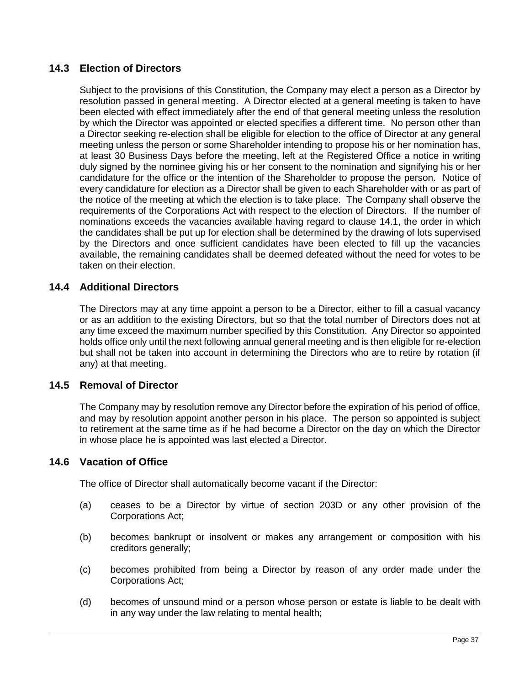## **14.3 Election of Directors**

Subject to the provisions of this Constitution, the Company may elect a person as a Director by resolution passed in general meeting. A Director elected at a general meeting is taken to have been elected with effect immediately after the end of that general meeting unless the resolution by which the Director was appointed or elected specifies a different time. No person other than a Director seeking re-election shall be eligible for election to the office of Director at any general meeting unless the person or some Shareholder intending to propose his or her nomination has, at least 30 Business Days before the meeting, left at the Registered Office a notice in writing duly signed by the nominee giving his or her consent to the nomination and signifying his or her candidature for the office or the intention of the Shareholder to propose the person. Notice of every candidature for election as a Director shall be given to each Shareholder with or as part of the notice of the meeting at which the election is to take place. The Company shall observe the requirements of the Corporations Act with respect to the election of Directors. If the number of nominations exceeds the vacancies available having regard to clause [14.1,](#page-44-0) the order in which the candidates shall be put up for election shall be determined by the drawing of lots supervised by the Directors and once sufficient candidates have been elected to fill up the vacancies available, the remaining candidates shall be deemed defeated without the need for votes to be taken on their election.

## <span id="page-45-0"></span>**14.4 Additional Directors**

The Directors may at any time appoint a person to be a Director, either to fill a casual vacancy or as an addition to the existing Directors, but so that the total number of Directors does not at any time exceed the maximum number specified by this Constitution. Any Director so appointed holds office only until the next following annual general meeting and is then eligible for re-election but shall not be taken into account in determining the Directors who are to retire by rotation (if any) at that meeting.

## <span id="page-45-1"></span>**14.5 Removal of Director**

The Company may by resolution remove any Director before the expiration of his period of office, and may by resolution appoint another person in his place. The person so appointed is subject to retirement at the same time as if he had become a Director on the day on which the Director in whose place he is appointed was last elected a Director.

## **14.6 Vacation of Office**

The office of Director shall automatically become vacant if the Director:

- (a) ceases to be a Director by virtue of section 203D or any other provision of the Corporations Act;
- (b) becomes bankrupt or insolvent or makes any arrangement or composition with his creditors generally;
- (c) becomes prohibited from being a Director by reason of any order made under the Corporations Act;
- (d) becomes of unsound mind or a person whose person or estate is liable to be dealt with in any way under the law relating to mental health;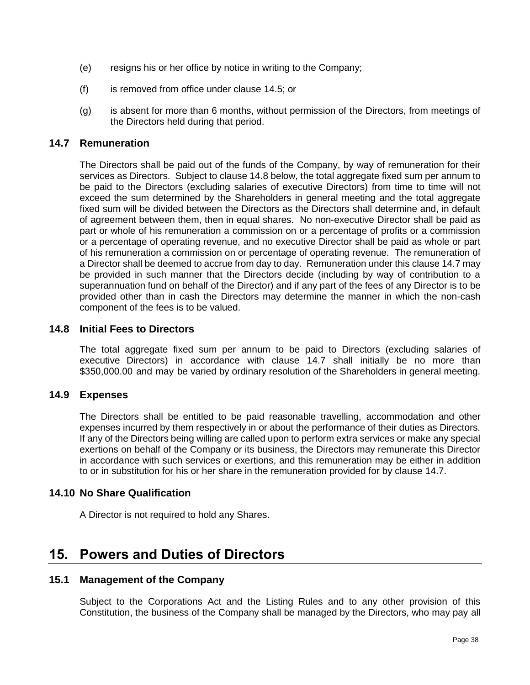- (e) resigns his or her office by notice in writing to the Company;
- (f) is removed from office under clause [14.5;](#page-45-1) or
- (g) is absent for more than 6 months, without permission of the Directors, from meetings of the Directors held during that period.

### <span id="page-46-1"></span>**14.7 Remuneration**

The Directors shall be paid out of the funds of the Company, by way of remuneration for their services as Directors. Subject to clause [14.8](#page-46-0) below, the total aggregate fixed sum per annum to be paid to the Directors (excluding salaries of executive Directors) from time to time will not exceed the sum determined by the Shareholders in general meeting and the total aggregate fixed sum will be divided between the Directors as the Directors shall determine and, in default of agreement between them, then in equal shares. No non-executive Director shall be paid as part or whole of his remuneration a commission on or a percentage of profits or a commission or a percentage of operating revenue, and no executive Director shall be paid as whole or part of his remuneration a commission on or percentage of operating revenue. The remuneration of a Director shall be deemed to accrue from day to day. Remuneration under this claus[e 14.7](#page-46-1) may be provided in such manner that the Directors decide (including by way of contribution to a superannuation fund on behalf of the Director) and if any part of the fees of any Director is to be provided other than in cash the Directors may determine the manner in which the non-cash component of the fees is to be valued.

### <span id="page-46-0"></span>**14.8 Initial Fees to Directors**

The total aggregate fixed sum per annum to be paid to Directors (excluding salaries of executive Directors) in accordance with clause [14.7](#page-46-1) shall initially be no more than \$350,000.00 and may be varied by ordinary resolution of the Shareholders in general meeting.

### **14.9 Expenses**

The Directors shall be entitled to be paid reasonable travelling, accommodation and other expenses incurred by them respectively in or about the performance of their duties as Directors. If any of the Directors being willing are called upon to perform extra services or make any special exertions on behalf of the Company or its business, the Directors may remunerate this Director in accordance with such services or exertions, and this remuneration may be either in addition to or in substitution for his or her share in the remuneration provided for by clause [14.7.](#page-46-1)

### **14.10 No Share Qualification**

A Director is not required to hold any Shares.

## **15. Powers and Duties of Directors**

### <span id="page-46-2"></span>**15.1 Management of the Company**

Subject to the Corporations Act and the Listing Rules and to any other provision of this Constitution, the business of the Company shall be managed by the Directors, who may pay all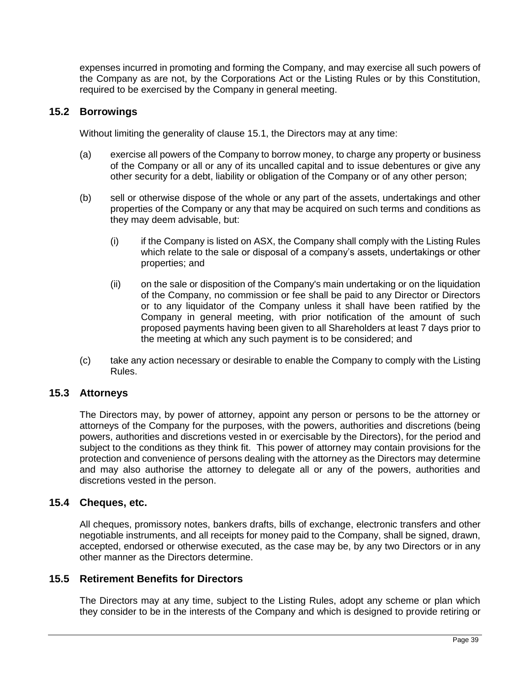expenses incurred in promoting and forming the Company, and may exercise all such powers of the Company as are not, by the Corporations Act or the Listing Rules or by this Constitution, required to be exercised by the Company in general meeting.

### **15.2 Borrowings**

Without limiting the generality of clause [15.1,](#page-46-2) the Directors may at any time:

- (a) exercise all powers of the Company to borrow money, to charge any property or business of the Company or all or any of its uncalled capital and to issue debentures or give any other security for a debt, liability or obligation of the Company or of any other person;
- (b) sell or otherwise dispose of the whole or any part of the assets, undertakings and other properties of the Company or any that may be acquired on such terms and conditions as they may deem advisable, but:
	- (i) if the Company is listed on ASX, the Company shall comply with the Listing Rules which relate to the sale or disposal of a company's assets, undertakings or other properties; and
	- (ii) on the sale or disposition of the Company's main undertaking or on the liquidation of the Company, no commission or fee shall be paid to any Director or Directors or to any liquidator of the Company unless it shall have been ratified by the Company in general meeting, with prior notification of the amount of such proposed payments having been given to all Shareholders at least 7 days prior to the meeting at which any such payment is to be considered; and
- (c) take any action necessary or desirable to enable the Company to comply with the Listing Rules.

### **15.3 Attorneys**

The Directors may, by power of attorney, appoint any person or persons to be the attorney or attorneys of the Company for the purposes, with the powers, authorities and discretions (being powers, authorities and discretions vested in or exercisable by the Directors), for the period and subject to the conditions as they think fit. This power of attorney may contain provisions for the protection and convenience of persons dealing with the attorney as the Directors may determine and may also authorise the attorney to delegate all or any of the powers, authorities and discretions vested in the person.

## **15.4 Cheques, etc.**

All cheques, promissory notes, bankers drafts, bills of exchange, electronic transfers and other negotiable instruments, and all receipts for money paid to the Company, shall be signed, drawn, accepted, endorsed or otherwise executed, as the case may be, by any two Directors or in any other manner as the Directors determine.

### **15.5 Retirement Benefits for Directors**

The Directors may at any time, subject to the Listing Rules, adopt any scheme or plan which they consider to be in the interests of the Company and which is designed to provide retiring or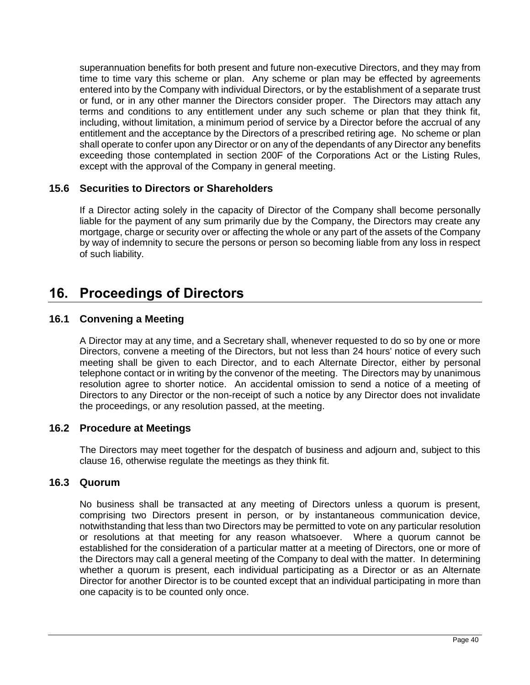superannuation benefits for both present and future non-executive Directors, and they may from time to time vary this scheme or plan. Any scheme or plan may be effected by agreements entered into by the Company with individual Directors, or by the establishment of a separate trust or fund, or in any other manner the Directors consider proper. The Directors may attach any terms and conditions to any entitlement under any such scheme or plan that they think fit, including, without limitation, a minimum period of service by a Director before the accrual of any entitlement and the acceptance by the Directors of a prescribed retiring age. No scheme or plan shall operate to confer upon any Director or on any of the dependants of any Director any benefits exceeding those contemplated in section 200F of the Corporations Act or the Listing Rules, except with the approval of the Company in general meeting.

## **15.6 Securities to Directors or Shareholders**

If a Director acting solely in the capacity of Director of the Company shall become personally liable for the payment of any sum primarily due by the Company, the Directors may create any mortgage, charge or security over or affecting the whole or any part of the assets of the Company by way of indemnity to secure the persons or person so becoming liable from any loss in respect of such liability.

## <span id="page-48-0"></span>**16. Proceedings of Directors**

## **16.1 Convening a Meeting**

A Director may at any time, and a Secretary shall, whenever requested to do so by one or more Directors, convene a meeting of the Directors, but not less than 24 hours' notice of every such meeting shall be given to each Director, and to each Alternate Director, either by personal telephone contact or in writing by the convenor of the meeting. The Directors may by unanimous resolution agree to shorter notice. An accidental omission to send a notice of a meeting of Directors to any Director or the non-receipt of such a notice by any Director does not invalidate the proceedings, or any resolution passed, at the meeting.

## **16.2 Procedure at Meetings**

The Directors may meet together for the despatch of business and adjourn and, subject to this clause [16,](#page-48-0) otherwise regulate the meetings as they think fit.

## **16.3 Quorum**

No business shall be transacted at any meeting of Directors unless a quorum is present, comprising two Directors present in person, or by instantaneous communication device, notwithstanding that less than two Directors may be permitted to vote on any particular resolution or resolutions at that meeting for any reason whatsoever. Where a quorum cannot be established for the consideration of a particular matter at a meeting of Directors, one or more of the Directors may call a general meeting of the Company to deal with the matter. In determining whether a quorum is present, each individual participating as a Director or as an Alternate Director for another Director is to be counted except that an individual participating in more than one capacity is to be counted only once.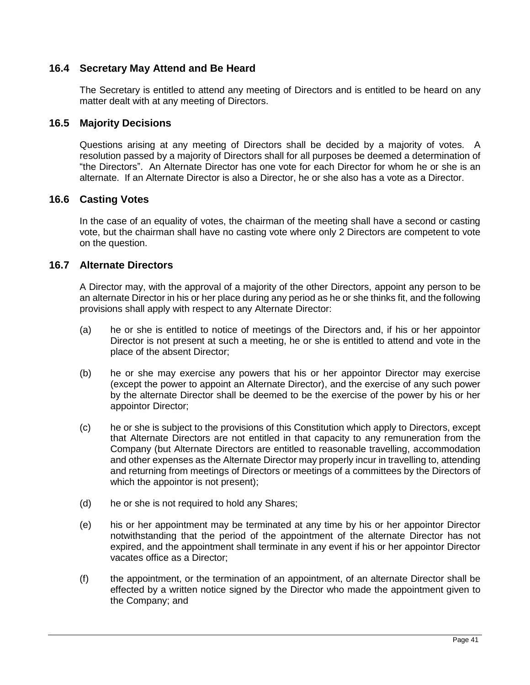## **16.4 Secretary May Attend and Be Heard**

The Secretary is entitled to attend any meeting of Directors and is entitled to be heard on any matter dealt with at any meeting of Directors.

### **16.5 Majority Decisions**

Questions arising at any meeting of Directors shall be decided by a majority of votes. A resolution passed by a majority of Directors shall for all purposes be deemed a determination of "the Directors". An Alternate Director has one vote for each Director for whom he or she is an alternate. If an Alternate Director is also a Director, he or she also has a vote as a Director.

### **16.6 Casting Votes**

In the case of an equality of votes, the chairman of the meeting shall have a second or casting vote, but the chairman shall have no casting vote where only 2 Directors are competent to vote on the question.

### **16.7 Alternate Directors**

A Director may, with the approval of a majority of the other Directors, appoint any person to be an alternate Director in his or her place during any period as he or she thinks fit, and the following provisions shall apply with respect to any Alternate Director:

- (a) he or she is entitled to notice of meetings of the Directors and, if his or her appointor Director is not present at such a meeting, he or she is entitled to attend and vote in the place of the absent Director;
- (b) he or she may exercise any powers that his or her appointor Director may exercise (except the power to appoint an Alternate Director), and the exercise of any such power by the alternate Director shall be deemed to be the exercise of the power by his or her appointor Director;
- (c) he or she is subject to the provisions of this Constitution which apply to Directors, except that Alternate Directors are not entitled in that capacity to any remuneration from the Company (but Alternate Directors are entitled to reasonable travelling, accommodation and other expenses as the Alternate Director may properly incur in travelling to, attending and returning from meetings of Directors or meetings of a committees by the Directors of which the appointor is not present);
- (d) he or she is not required to hold any Shares;
- (e) his or her appointment may be terminated at any time by his or her appointor Director notwithstanding that the period of the appointment of the alternate Director has not expired, and the appointment shall terminate in any event if his or her appointor Director vacates office as a Director;
- (f) the appointment, or the termination of an appointment, of an alternate Director shall be effected by a written notice signed by the Director who made the appointment given to the Company; and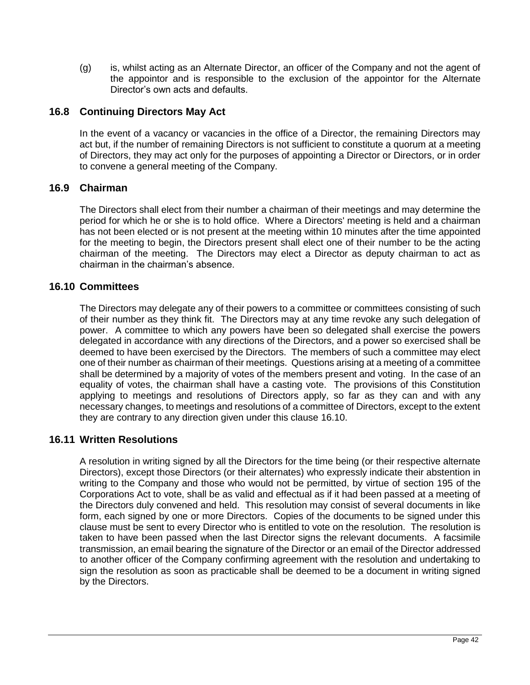(g) is, whilst acting as an Alternate Director, an officer of the Company and not the agent of the appointor and is responsible to the exclusion of the appointor for the Alternate Director's own acts and defaults.

## **16.8 Continuing Directors May Act**

In the event of a vacancy or vacancies in the office of a Director, the remaining Directors may act but, if the number of remaining Directors is not sufficient to constitute a quorum at a meeting of Directors, they may act only for the purposes of appointing a Director or Directors, or in order to convene a general meeting of the Company.

### **16.9 Chairman**

The Directors shall elect from their number a chairman of their meetings and may determine the period for which he or she is to hold office. Where a Directors' meeting is held and a chairman has not been elected or is not present at the meeting within 10 minutes after the time appointed for the meeting to begin, the Directors present shall elect one of their number to be the acting chairman of the meeting. The Directors may elect a Director as deputy chairman to act as chairman in the chairman's absence.

### <span id="page-50-0"></span>**16.10 Committees**

The Directors may delegate any of their powers to a committee or committees consisting of such of their number as they think fit. The Directors may at any time revoke any such delegation of power. A committee to which any powers have been so delegated shall exercise the powers delegated in accordance with any directions of the Directors, and a power so exercised shall be deemed to have been exercised by the Directors. The members of such a committee may elect one of their number as chairman of their meetings. Questions arising at a meeting of a committee shall be determined by a majority of votes of the members present and voting. In the case of an equality of votes, the chairman shall have a casting vote. The provisions of this Constitution applying to meetings and resolutions of Directors apply, so far as they can and with any necessary changes, to meetings and resolutions of a committee of Directors, except to the extent they are contrary to any direction given under this clause [16.10.](#page-50-0)

## **16.11 Written Resolutions**

A resolution in writing signed by all the Directors for the time being (or their respective alternate Directors), except those Directors (or their alternates) who expressly indicate their abstention in writing to the Company and those who would not be permitted, by virtue of section 195 of the Corporations Act to vote, shall be as valid and effectual as if it had been passed at a meeting of the Directors duly convened and held. This resolution may consist of several documents in like form, each signed by one or more Directors. Copies of the documents to be signed under this clause must be sent to every Director who is entitled to vote on the resolution. The resolution is taken to have been passed when the last Director signs the relevant documents. A facsimile transmission, an email bearing the signature of the Director or an email of the Director addressed to another officer of the Company confirming agreement with the resolution and undertaking to sign the resolution as soon as practicable shall be deemed to be a document in writing signed by the Directors.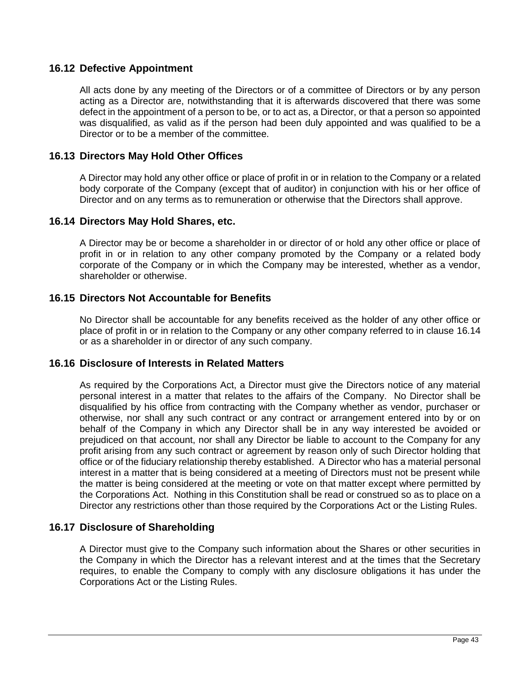### **16.12 Defective Appointment**

All acts done by any meeting of the Directors or of a committee of Directors or by any person acting as a Director are, notwithstanding that it is afterwards discovered that there was some defect in the appointment of a person to be, or to act as, a Director, or that a person so appointed was disqualified, as valid as if the person had been duly appointed and was qualified to be a Director or to be a member of the committee.

### **16.13 Directors May Hold Other Offices**

A Director may hold any other office or place of profit in or in relation to the Company or a related body corporate of the Company (except that of auditor) in conjunction with his or her office of Director and on any terms as to remuneration or otherwise that the Directors shall approve.

### <span id="page-51-0"></span>**16.14 Directors May Hold Shares, etc.**

A Director may be or become a shareholder in or director of or hold any other office or place of profit in or in relation to any other company promoted by the Company or a related body corporate of the Company or in which the Company may be interested, whether as a vendor, shareholder or otherwise.

### **16.15 Directors Not Accountable for Benefits**

No Director shall be accountable for any benefits received as the holder of any other office or place of profit in or in relation to the Company or any other company referred to in clause [16.14](#page-51-0) or as a shareholder in or director of any such company.

### **16.16 Disclosure of Interests in Related Matters**

As required by the Corporations Act, a Director must give the Directors notice of any material personal interest in a matter that relates to the affairs of the Company. No Director shall be disqualified by his office from contracting with the Company whether as vendor, purchaser or otherwise, nor shall any such contract or any contract or arrangement entered into by or on behalf of the Company in which any Director shall be in any way interested be avoided or prejudiced on that account, nor shall any Director be liable to account to the Company for any profit arising from any such contract or agreement by reason only of such Director holding that office or of the fiduciary relationship thereby established. A Director who has a material personal interest in a matter that is being considered at a meeting of Directors must not be present while the matter is being considered at the meeting or vote on that matter except where permitted by the Corporations Act. Nothing in this Constitution shall be read or construed so as to place on a Director any restrictions other than those required by the Corporations Act or the Listing Rules.

### **16.17 Disclosure of Shareholding**

A Director must give to the Company such information about the Shares or other securities in the Company in which the Director has a relevant interest and at the times that the Secretary requires, to enable the Company to comply with any disclosure obligations it has under the Corporations Act or the Listing Rules.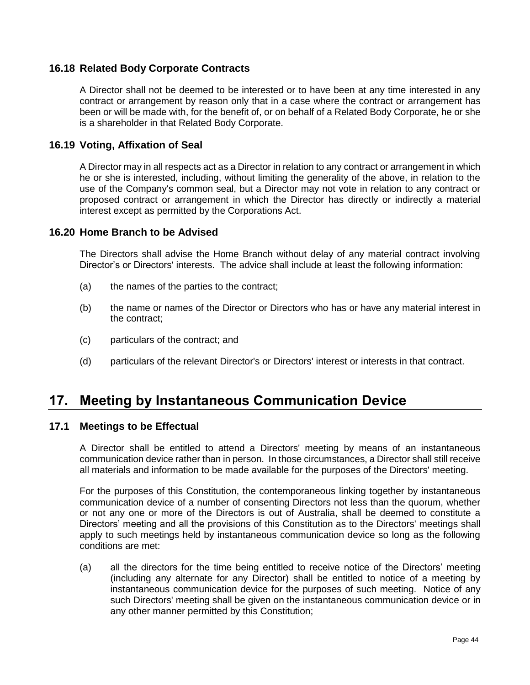## **16.18 Related Body Corporate Contracts**

A Director shall not be deemed to be interested or to have been at any time interested in any contract or arrangement by reason only that in a case where the contract or arrangement has been or will be made with, for the benefit of, or on behalf of a Related Body Corporate, he or she is a shareholder in that Related Body Corporate.

### **16.19 Voting, Affixation of Seal**

A Director may in all respects act as a Director in relation to any contract or arrangement in which he or she is interested, including, without limiting the generality of the above, in relation to the use of the Company's common seal, but a Director may not vote in relation to any contract or proposed contract or arrangement in which the Director has directly or indirectly a material interest except as permitted by the Corporations Act.

### **16.20 Home Branch to be Advised**

The Directors shall advise the Home Branch without delay of any material contract involving Director's or Directors' interests. The advice shall include at least the following information:

- (a) the names of the parties to the contract;
- (b) the name or names of the Director or Directors who has or have any material interest in the contract;
- (c) particulars of the contract; and
- (d) particulars of the relevant Director's or Directors' interest or interests in that contract.

## **17. Meeting by Instantaneous Communication Device**

### <span id="page-52-0"></span>**17.1 Meetings to be Effectual**

A Director shall be entitled to attend a Directors' meeting by means of an instantaneous communication device rather than in person. In those circumstances, a Director shall still receive all materials and information to be made available for the purposes of the Directors' meeting.

For the purposes of this Constitution, the contemporaneous linking together by instantaneous communication device of a number of consenting Directors not less than the quorum, whether or not any one or more of the Directors is out of Australia, shall be deemed to constitute a Directors' meeting and all the provisions of this Constitution as to the Directors' meetings shall apply to such meetings held by instantaneous communication device so long as the following conditions are met:

(a) all the directors for the time being entitled to receive notice of the Directors' meeting (including any alternate for any Director) shall be entitled to notice of a meeting by instantaneous communication device for the purposes of such meeting. Notice of any such Directors' meeting shall be given on the instantaneous communication device or in any other manner permitted by this Constitution;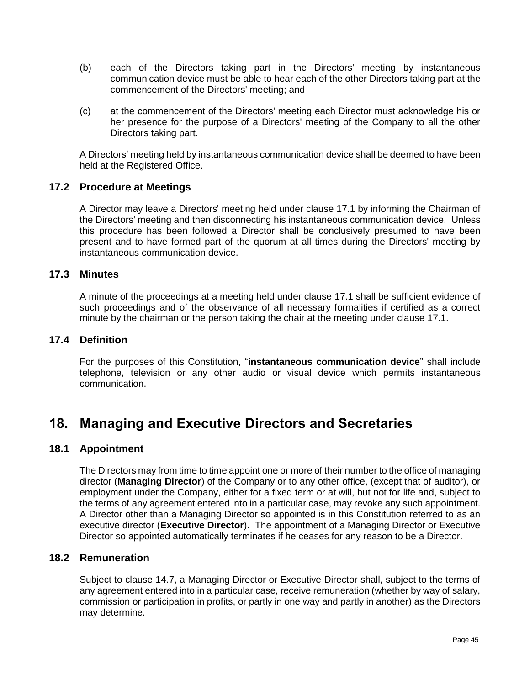- (b) each of the Directors taking part in the Directors' meeting by instantaneous communication device must be able to hear each of the other Directors taking part at the commencement of the Directors' meeting; and
- (c) at the commencement of the Directors' meeting each Director must acknowledge his or her presence for the purpose of a Directors' meeting of the Company to all the other Directors taking part.

A Directors' meeting held by instantaneous communication device shall be deemed to have been held at the Registered Office.

### **17.2 Procedure at Meetings**

A Director may leave a Directors' meeting held under clause [17.1](#page-52-0) by informing the Chairman of the Directors' meeting and then disconnecting his instantaneous communication device. Unless this procedure has been followed a Director shall be conclusively presumed to have been present and to have formed part of the quorum at all times during the Directors' meeting by instantaneous communication device.

### **17.3 Minutes**

A minute of the proceedings at a meeting held under clause [17.1](#page-52-0) shall be sufficient evidence of such proceedings and of the observance of all necessary formalities if certified as a correct minute by the chairman or the person taking the chair at the meeting under clause [17.1.](#page-52-0)

### **17.4 Definition**

For the purposes of this Constitution, "**instantaneous communication device**" shall include telephone, television or any other audio or visual device which permits instantaneous communication.

## **18. Managing and Executive Directors and Secretaries**

### **18.1 Appointment**

The Directors may from time to time appoint one or more of their number to the office of managing director (**Managing Director**) of the Company or to any other office, (except that of auditor), or employment under the Company, either for a fixed term or at will, but not for life and, subject to the terms of any agreement entered into in a particular case, may revoke any such appointment. A Director other than a Managing Director so appointed is in this Constitution referred to as an executive director (**Executive Director**). The appointment of a Managing Director or Executive Director so appointed automatically terminates if he ceases for any reason to be a Director.

### **18.2 Remuneration**

Subject to clause [14.7,](#page-46-1) a Managing Director or Executive Director shall, subject to the terms of any agreement entered into in a particular case, receive remuneration (whether by way of salary, commission or participation in profits, or partly in one way and partly in another) as the Directors may determine.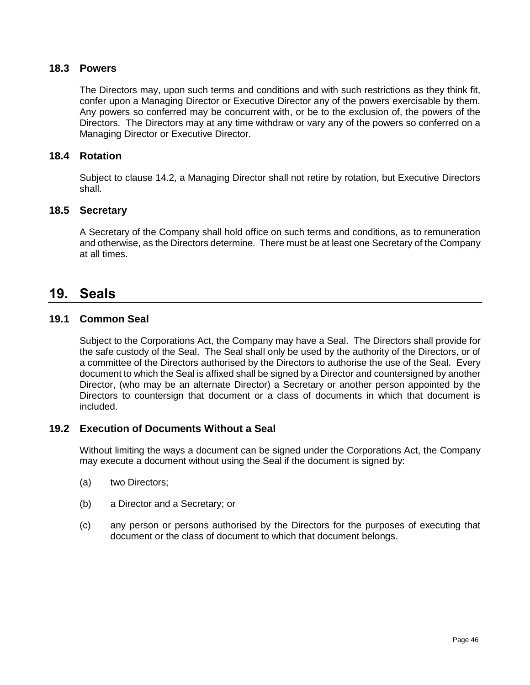### **18.3 Powers**

The Directors may, upon such terms and conditions and with such restrictions as they think fit, confer upon a Managing Director or Executive Director any of the powers exercisable by them. Any powers so conferred may be concurrent with, or be to the exclusion of, the powers of the Directors. The Directors may at any time withdraw or vary any of the powers so conferred on a Managing Director or Executive Director.

### <span id="page-54-0"></span>**18.4 Rotation**

Subject to clause [14.2,](#page-44-1) a Managing Director shall not retire by rotation, but Executive Directors shall.

### **18.5 Secretary**

A Secretary of the Company shall hold office on such terms and conditions, as to remuneration and otherwise, as the Directors determine. There must be at least one Secretary of the Company at all times.

## **19. Seals**

## <span id="page-54-1"></span>**19.1 Common Seal**

Subject to the Corporations Act, the Company may have a Seal. The Directors shall provide for the safe custody of the Seal. The Seal shall only be used by the authority of the Directors, or of a committee of the Directors authorised by the Directors to authorise the use of the Seal. Every document to which the Seal is affixed shall be signed by a Director and countersigned by another Director, (who may be an alternate Director) a Secretary or another person appointed by the Directors to countersign that document or a class of documents in which that document is included.

### **19.2 Execution of Documents Without a Seal**

Without limiting the ways a document can be signed under the Corporations Act, the Company may execute a document without using the Seal if the document is signed by:

- (a) two Directors;
- (b) a Director and a Secretary; or
- (c) any person or persons authorised by the Directors for the purposes of executing that document or the class of document to which that document belongs.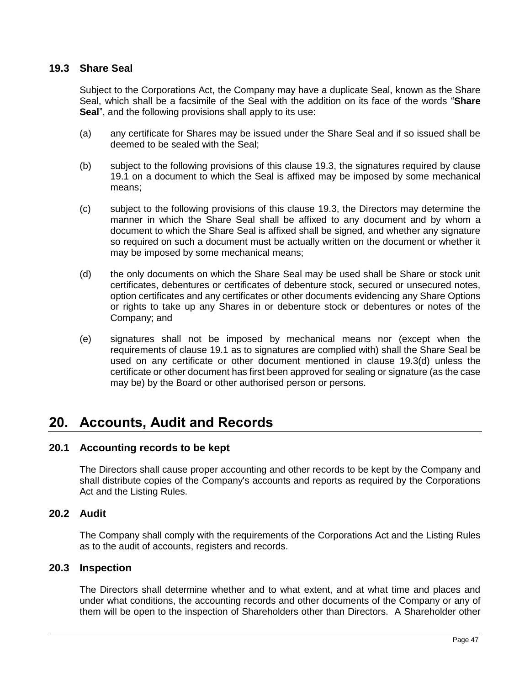### <span id="page-55-0"></span>**19.3 Share Seal**

Subject to the Corporations Act, the Company may have a duplicate Seal, known as the Share Seal, which shall be a facsimile of the Seal with the addition on its face of the words "**Share Seal**", and the following provisions shall apply to its use:

- (a) any certificate for Shares may be issued under the Share Seal and if so issued shall be deemed to be sealed with the Seal;
- (b) subject to the following provisions of this clause [19.3,](#page-55-0) the signatures required by clause [19.1](#page-54-1) on a document to which the Seal is affixed may be imposed by some mechanical means;
- (c) subject to the following provisions of this clause [19.3,](#page-55-0) the Directors may determine the manner in which the Share Seal shall be affixed to any document and by whom a document to which the Share Seal is affixed shall be signed, and whether any signature so required on such a document must be actually written on the document or whether it may be imposed by some mechanical means;
- <span id="page-55-1"></span>(d) the only documents on which the Share Seal may be used shall be Share or stock unit certificates, debentures or certificates of debenture stock, secured or unsecured notes, option certificates and any certificates or other documents evidencing any Share Options or rights to take up any Shares in or debenture stock or debentures or notes of the Company; and
- (e) signatures shall not be imposed by mechanical means nor (except when the requirements of clause [19.1](#page-54-1) as to signatures are complied with) shall the Share Seal be used on any certificate or other document mentioned in clause [19.3\(d\)](#page-55-1) unless the certificate or other document has first been approved for sealing or signature (as the case may be) by the Board or other authorised person or persons.

## **20. Accounts, Audit and Records**

### **20.1 Accounting records to be kept**

The Directors shall cause proper accounting and other records to be kept by the Company and shall distribute copies of the Company's accounts and reports as required by the Corporations Act and the Listing Rules.

### **20.2 Audit**

The Company shall comply with the requirements of the Corporations Act and the Listing Rules as to the audit of accounts, registers and records.

### **20.3 Inspection**

The Directors shall determine whether and to what extent, and at what time and places and under what conditions, the accounting records and other documents of the Company or any of them will be open to the inspection of Shareholders other than Directors. A Shareholder other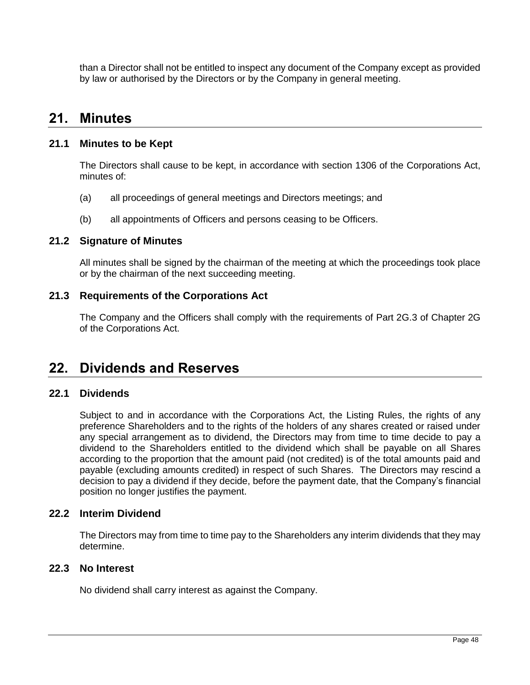than a Director shall not be entitled to inspect any document of the Company except as provided by law or authorised by the Directors or by the Company in general meeting.

## **21. Minutes**

### **21.1 Minutes to be Kept**

The Directors shall cause to be kept, in accordance with section 1306 of the Corporations Act, minutes of:

- (a) all proceedings of general meetings and Directors meetings; and
- (b) all appointments of Officers and persons ceasing to be Officers.

### **21.2 Signature of Minutes**

All minutes shall be signed by the chairman of the meeting at which the proceedings took place or by the chairman of the next succeeding meeting.

### **21.3 Requirements of the Corporations Act**

The Company and the Officers shall comply with the requirements of Part 2G.3 of Chapter 2G of the Corporations Act.

## <span id="page-56-0"></span>**22. Dividends and Reserves**

### **22.1 Dividends**

Subject to and in accordance with the Corporations Act, the Listing Rules, the rights of any preference Shareholders and to the rights of the holders of any shares created or raised under any special arrangement as to dividend, the Directors may from time to time decide to pay a dividend to the Shareholders entitled to the dividend which shall be payable on all Shares according to the proportion that the amount paid (not credited) is of the total amounts paid and payable (excluding amounts credited) in respect of such Shares. The Directors may rescind a decision to pay a dividend if they decide, before the payment date, that the Company's financial position no longer justifies the payment.

### **22.2 Interim Dividend**

The Directors may from time to time pay to the Shareholders any interim dividends that they may determine.

### **22.3 No Interest**

No dividend shall carry interest as against the Company.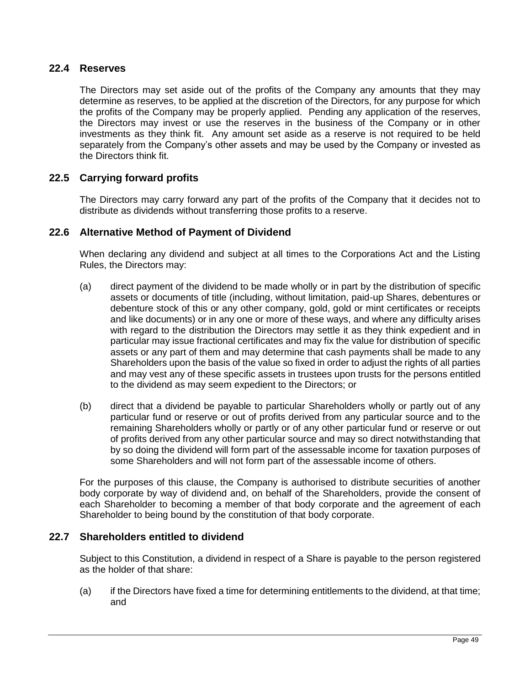### **22.4 Reserves**

The Directors may set aside out of the profits of the Company any amounts that they may determine as reserves, to be applied at the discretion of the Directors, for any purpose for which the profits of the Company may be properly applied. Pending any application of the reserves, the Directors may invest or use the reserves in the business of the Company or in other investments as they think fit. Any amount set aside as a reserve is not required to be held separately from the Company's other assets and may be used by the Company or invested as the Directors think fit.

## **22.5 Carrying forward profits**

The Directors may carry forward any part of the profits of the Company that it decides not to distribute as dividends without transferring those profits to a reserve.

### **22.6 Alternative Method of Payment of Dividend**

When declaring any dividend and subject at all times to the Corporations Act and the Listing Rules, the Directors may:

- (a) direct payment of the dividend to be made wholly or in part by the distribution of specific assets or documents of title (including, without limitation, paid-up Shares, debentures or debenture stock of this or any other company, gold, gold or mint certificates or receipts and like documents) or in any one or more of these ways, and where any difficulty arises with regard to the distribution the Directors may settle it as they think expedient and in particular may issue fractional certificates and may fix the value for distribution of specific assets or any part of them and may determine that cash payments shall be made to any Shareholders upon the basis of the value so fixed in order to adjust the rights of all parties and may vest any of these specific assets in trustees upon trusts for the persons entitled to the dividend as may seem expedient to the Directors; or
- (b) direct that a dividend be payable to particular Shareholders wholly or partly out of any particular fund or reserve or out of profits derived from any particular source and to the remaining Shareholders wholly or partly or of any other particular fund or reserve or out of profits derived from any other particular source and may so direct notwithstanding that by so doing the dividend will form part of the assessable income for taxation purposes of some Shareholders and will not form part of the assessable income of others.

For the purposes of this clause, the Company is authorised to distribute securities of another body corporate by way of dividend and, on behalf of the Shareholders, provide the consent of each Shareholder to becoming a member of that body corporate and the agreement of each Shareholder to being bound by the constitution of that body corporate.

## **22.7 Shareholders entitled to dividend**

Subject to this Constitution, a dividend in respect of a Share is payable to the person registered as the holder of that share:

(a) if the Directors have fixed a time for determining entitlements to the dividend, at that time; and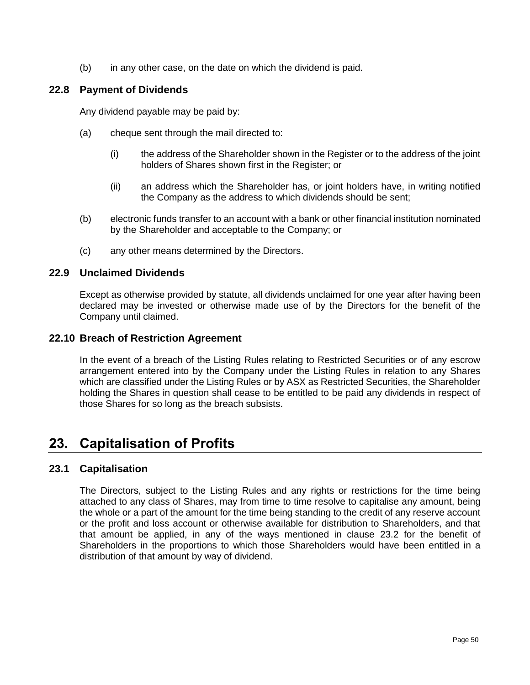(b) in any other case, on the date on which the dividend is paid.

## **22.8 Payment of Dividends**

Any dividend payable may be paid by:

- (a) cheque sent through the mail directed to:
	- (i) the address of the Shareholder shown in the Register or to the address of the joint holders of Shares shown first in the Register; or
	- (ii) an address which the Shareholder has, or joint holders have, in writing notified the Company as the address to which dividends should be sent;
- (b) electronic funds transfer to an account with a bank or other financial institution nominated by the Shareholder and acceptable to the Company; or
- (c) any other means determined by the Directors.

## **22.9 Unclaimed Dividends**

Except as otherwise provided by statute, all dividends unclaimed for one year after having been declared may be invested or otherwise made use of by the Directors for the benefit of the Company until claimed.

## **22.10 Breach of Restriction Agreement**

In the event of a breach of the Listing Rules relating to Restricted Securities or of any escrow arrangement entered into by the Company under the Listing Rules in relation to any Shares which are classified under the Listing Rules or by ASX as Restricted Securities, the Shareholder holding the Shares in question shall cease to be entitled to be paid any dividends in respect of those Shares for so long as the breach subsists.

## **23. Capitalisation of Profits**

## <span id="page-58-0"></span>**23.1 Capitalisation**

The Directors, subject to the Listing Rules and any rights or restrictions for the time being attached to any class of Shares, may from time to time resolve to capitalise any amount, being the whole or a part of the amount for the time being standing to the credit of any reserve account or the profit and loss account or otherwise available for distribution to Shareholders, and that that amount be applied, in any of the ways mentioned in clause [23.2](#page-59-0) for the benefit of Shareholders in the proportions to which those Shareholders would have been entitled in a distribution of that amount by way of dividend.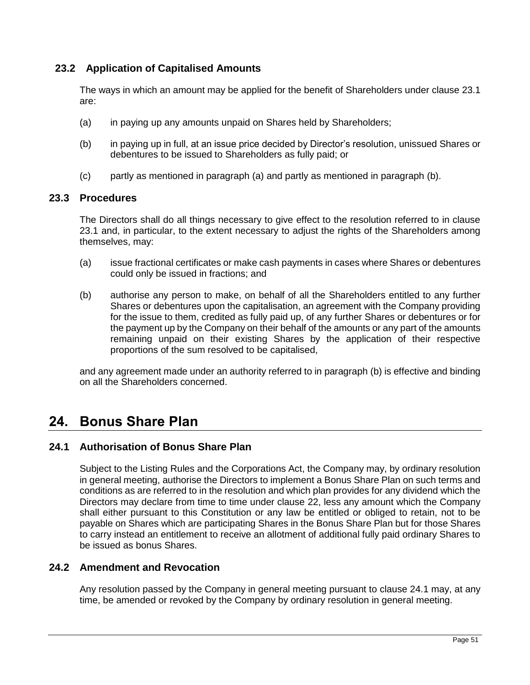## <span id="page-59-0"></span>**23.2 Application of Capitalised Amounts**

The ways in which an amount may be applied for the benefit of Shareholders under clause [23.1](#page-58-0) are:

- <span id="page-59-1"></span>(a) in paying up any amounts unpaid on Shares held by Shareholders;
- <span id="page-59-2"></span>(b) in paying up in full, at an issue price decided by Director's resolution, unissued Shares or debentures to be issued to Shareholders as fully paid; or
- (c) partly as mentioned in paragraph [\(a\)](#page-59-1) and partly as mentioned in paragraph [\(b\).](#page-59-2)

### **23.3 Procedures**

The Directors shall do all things necessary to give effect to the resolution referred to in clause [23.1](#page-58-0) and, in particular, to the extent necessary to adjust the rights of the Shareholders among themselves, may:

- (a) issue fractional certificates or make cash payments in cases where Shares or debentures could only be issued in fractions; and
- <span id="page-59-3"></span>(b) authorise any person to make, on behalf of all the Shareholders entitled to any further Shares or debentures upon the capitalisation, an agreement with the Company providing for the issue to them, credited as fully paid up, of any further Shares or debentures or for the payment up by the Company on their behalf of the amounts or any part of the amounts remaining unpaid on their existing Shares by the application of their respective proportions of the sum resolved to be capitalised,

and any agreement made under an authority referred to in paragraph [\(b\)](#page-59-3) is effective and binding on all the Shareholders concerned.

## **24. Bonus Share Plan**

## <span id="page-59-4"></span>**24.1 Authorisation of Bonus Share Plan**

Subject to the Listing Rules and the Corporations Act, the Company may, by ordinary resolution in general meeting, authorise the Directors to implement a Bonus Share Plan on such terms and conditions as are referred to in the resolution and which plan provides for any dividend which the Directors may declare from time to time under clause [22,](#page-56-0) less any amount which the Company shall either pursuant to this Constitution or any law be entitled or obliged to retain, not to be payable on Shares which are participating Shares in the Bonus Share Plan but for those Shares to carry instead an entitlement to receive an allotment of additional fully paid ordinary Shares to be issued as bonus Shares.

## **24.2 Amendment and Revocation**

Any resolution passed by the Company in general meeting pursuant to clause [24.1](#page-59-4) may, at any time, be amended or revoked by the Company by ordinary resolution in general meeting.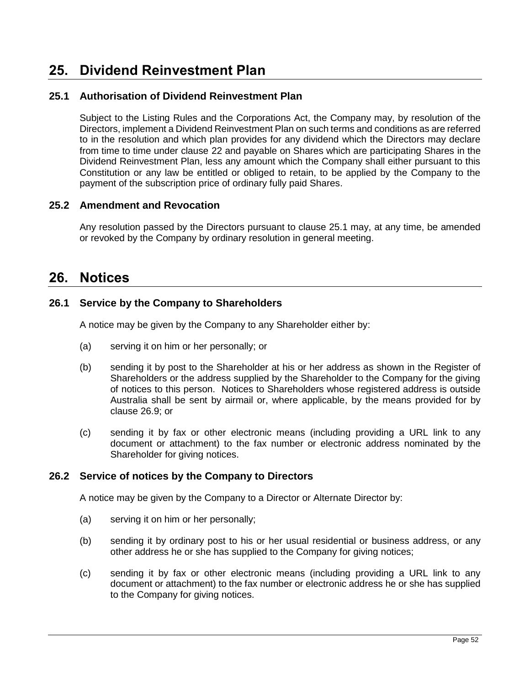## **25. Dividend Reinvestment Plan**

## <span id="page-60-0"></span>**25.1 Authorisation of Dividend Reinvestment Plan**

Subject to the Listing Rules and the Corporations Act, the Company may, by resolution of the Directors, implement a Dividend Reinvestment Plan on such terms and conditions as are referred to in the resolution and which plan provides for any dividend which the Directors may declare from time to time under clause [22](#page-56-0) and payable on Shares which are participating Shares in the Dividend Reinvestment Plan, less any amount which the Company shall either pursuant to this Constitution or any law be entitled or obliged to retain, to be applied by the Company to the payment of the subscription price of ordinary fully paid Shares.

### **25.2 Amendment and Revocation**

Any resolution passed by the Directors pursuant to clause [25.1](#page-60-0) may, at any time, be amended or revoked by the Company by ordinary resolution in general meeting.

## **26. Notices**

### **26.1 Service by the Company to Shareholders**

A notice may be given by the Company to any Shareholder either by:

- (a) serving it on him or her personally; or
- (b) sending it by post to the Shareholder at his or her address as shown in the Register of Shareholders or the address supplied by the Shareholder to the Company for the giving of notices to this person. Notices to Shareholders whose registered address is outside Australia shall be sent by airmail or, where applicable, by the means provided for by clause [26.9;](#page-62-0) or
- (c) sending it by fax or other electronic means (including providing a URL link to any document or attachment) to the fax number or electronic address nominated by the Shareholder for giving notices.

## **26.2 Service of notices by the Company to Directors**

A notice may be given by the Company to a Director or Alternate Director by:

- (a) serving it on him or her personally;
- (b) sending it by ordinary post to his or her usual residential or business address, or any other address he or she has supplied to the Company for giving notices;
- (c) sending it by fax or other electronic means (including providing a URL link to any document or attachment) to the fax number or electronic address he or she has supplied to the Company for giving notices.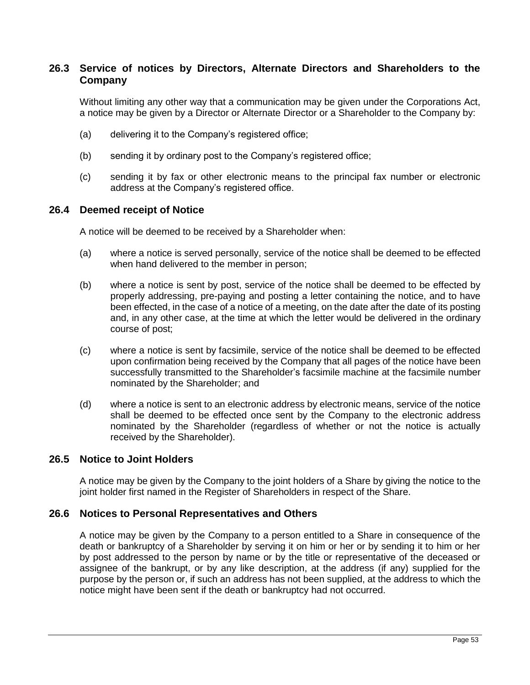### **26.3 Service of notices by Directors, Alternate Directors and Shareholders to the Company**

Without limiting any other way that a communication may be given under the Corporations Act, a notice may be given by a Director or Alternate Director or a Shareholder to the Company by:

- (a) delivering it to the Company's registered office;
- (b) sending it by ordinary post to the Company's registered office;
- (c) sending it by fax or other electronic means to the principal fax number or electronic address at the Company's registered office.

#### **26.4 Deemed receipt of Notice**

A notice will be deemed to be received by a Shareholder when:

- (a) where a notice is served personally, service of the notice shall be deemed to be effected when hand delivered to the member in person;
- (b) where a notice is sent by post, service of the notice shall be deemed to be effected by properly addressing, pre-paying and posting a letter containing the notice, and to have been effected, in the case of a notice of a meeting, on the date after the date of its posting and, in any other case, at the time at which the letter would be delivered in the ordinary course of post;
- (c) where a notice is sent by facsimile, service of the notice shall be deemed to be effected upon confirmation being received by the Company that all pages of the notice have been successfully transmitted to the Shareholder's facsimile machine at the facsimile number nominated by the Shareholder; and
- (d) where a notice is sent to an electronic address by electronic means, service of the notice shall be deemed to be effected once sent by the Company to the electronic address nominated by the Shareholder (regardless of whether or not the notice is actually received by the Shareholder).

#### **26.5 Notice to Joint Holders**

A notice may be given by the Company to the joint holders of a Share by giving the notice to the joint holder first named in the Register of Shareholders in respect of the Share.

#### **26.6 Notices to Personal Representatives and Others**

A notice may be given by the Company to a person entitled to a Share in consequence of the death or bankruptcy of a Shareholder by serving it on him or her or by sending it to him or her by post addressed to the person by name or by the title or representative of the deceased or assignee of the bankrupt, or by any like description, at the address (if any) supplied for the purpose by the person or, if such an address has not been supplied, at the address to which the notice might have been sent if the death or bankruptcy had not occurred.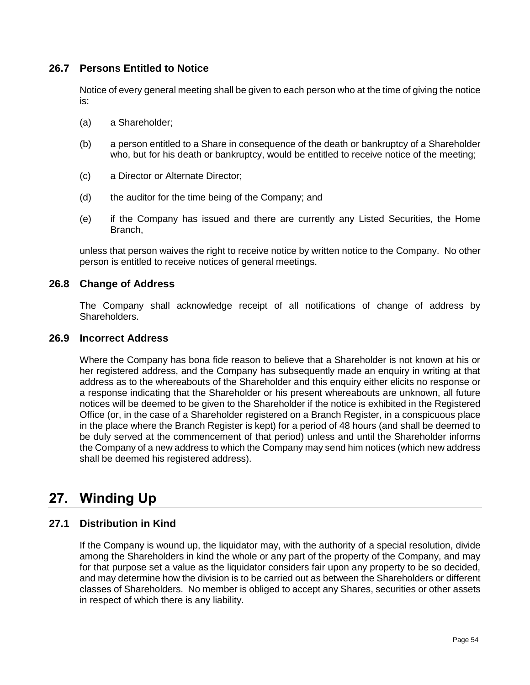## **26.7 Persons Entitled to Notice**

Notice of every general meeting shall be given to each person who at the time of giving the notice is:

- (a) a Shareholder;
- (b) a person entitled to a Share in consequence of the death or bankruptcy of a Shareholder who, but for his death or bankruptcy, would be entitled to receive notice of the meeting;
- (c) a Director or Alternate Director;
- (d) the auditor for the time being of the Company; and
- (e) if the Company has issued and there are currently any Listed Securities, the Home Branch,

unless that person waives the right to receive notice by written notice to the Company. No other person is entitled to receive notices of general meetings.

### **26.8 Change of Address**

The Company shall acknowledge receipt of all notifications of change of address by Shareholders.

### <span id="page-62-0"></span>**26.9 Incorrect Address**

Where the Company has bona fide reason to believe that a Shareholder is not known at his or her registered address, and the Company has subsequently made an enquiry in writing at that address as to the whereabouts of the Shareholder and this enquiry either elicits no response or a response indicating that the Shareholder or his present whereabouts are unknown, all future notices will be deemed to be given to the Shareholder if the notice is exhibited in the Registered Office (or, in the case of a Shareholder registered on a Branch Register, in a conspicuous place in the place where the Branch Register is kept) for a period of 48 hours (and shall be deemed to be duly served at the commencement of that period) unless and until the Shareholder informs the Company of a new address to which the Company may send him notices (which new address shall be deemed his registered address).

## **27. Winding Up**

## **27.1 Distribution in Kind**

If the Company is wound up, the liquidator may, with the authority of a special resolution, divide among the Shareholders in kind the whole or any part of the property of the Company, and may for that purpose set a value as the liquidator considers fair upon any property to be so decided, and may determine how the division is to be carried out as between the Shareholders or different classes of Shareholders. No member is obliged to accept any Shares, securities or other assets in respect of which there is any liability.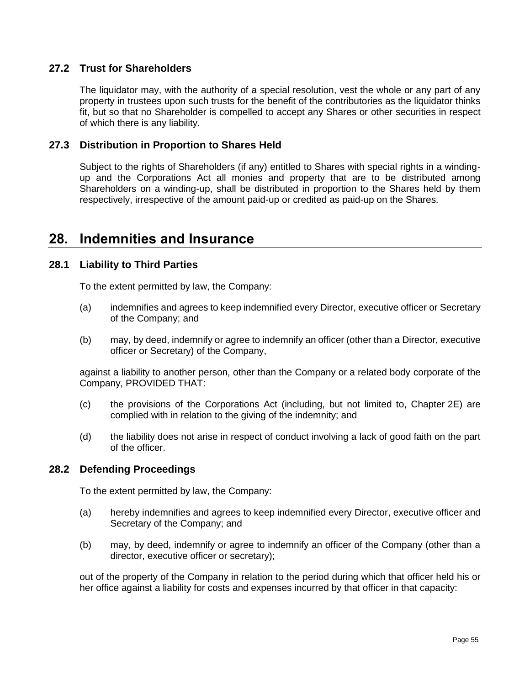## **27.2 Trust for Shareholders**

The liquidator may, with the authority of a special resolution, vest the whole or any part of any property in trustees upon such trusts for the benefit of the contributories as the liquidator thinks fit, but so that no Shareholder is compelled to accept any Shares or other securities in respect of which there is any liability.

## **27.3 Distribution in Proportion to Shares Held**

Subject to the rights of Shareholders (if any) entitled to Shares with special rights in a windingup and the Corporations Act all monies and property that are to be distributed among Shareholders on a winding-up, shall be distributed in proportion to the Shares held by them respectively, irrespective of the amount paid-up or credited as paid-up on the Shares.

## <span id="page-63-0"></span>**28. Indemnities and Insurance**

## **28.1 Liability to Third Parties**

To the extent permitted by law, the Company:

- (a) indemnifies and agrees to keep indemnified every Director, executive officer or Secretary of the Company; and
- (b) may, by deed, indemnify or agree to indemnify an officer (other than a Director, executive officer or Secretary) of the Company,

against a liability to another person, other than the Company or a related body corporate of the Company, PROVIDED THAT:

- (c) the provisions of the Corporations Act (including, but not limited to, Chapter 2E) are complied with in relation to the giving of the indemnity; and
- (d) the liability does not arise in respect of conduct involving a lack of good faith on the part of the officer.

## **28.2 Defending Proceedings**

To the extent permitted by law, the Company:

- (a) hereby indemnifies and agrees to keep indemnified every Director, executive officer and Secretary of the Company; and
- (b) may, by deed, indemnify or agree to indemnify an officer of the Company (other than a director, executive officer or secretary);

out of the property of the Company in relation to the period during which that officer held his or her office against a liability for costs and expenses incurred by that officer in that capacity: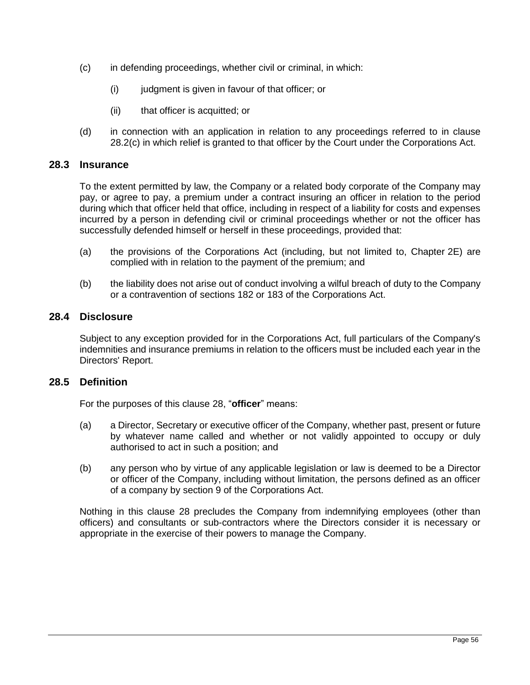- <span id="page-64-0"></span>(c) in defending proceedings, whether civil or criminal, in which:
	- (i) judgment is given in favour of that officer; or
	- (ii) that officer is acquitted; or
- (d) in connection with an application in relation to any proceedings referred to in clause [28.2\(c\)](#page-64-0) in which relief is granted to that officer by the Court under the Corporations Act.

### **28.3 Insurance**

To the extent permitted by law, the Company or a related body corporate of the Company may pay, or agree to pay, a premium under a contract insuring an officer in relation to the period during which that officer held that office, including in respect of a liability for costs and expenses incurred by a person in defending civil or criminal proceedings whether or not the officer has successfully defended himself or herself in these proceedings, provided that:

- (a) the provisions of the Corporations Act (including, but not limited to, Chapter 2E) are complied with in relation to the payment of the premium; and
- (b) the liability does not arise out of conduct involving a wilful breach of duty to the Company or a contravention of sections 182 or 183 of the Corporations Act.

#### **28.4 Disclosure**

Subject to any exception provided for in the Corporations Act, full particulars of the Company's indemnities and insurance premiums in relation to the officers must be included each year in the Directors' Report.

### **28.5 Definition**

For the purposes of this clause [28,](#page-63-0) "**officer**" means:

- (a) a Director, Secretary or executive officer of the Company, whether past, present or future by whatever name called and whether or not validly appointed to occupy or duly authorised to act in such a position; and
- (b) any person who by virtue of any applicable legislation or law is deemed to be a Director or officer of the Company, including without limitation, the persons defined as an officer of a company by section 9 of the Corporations Act.

Nothing in this clause [28](#page-63-0) precludes the Company from indemnifying employees (other than officers) and consultants or sub-contractors where the Directors consider it is necessary or appropriate in the exercise of their powers to manage the Company.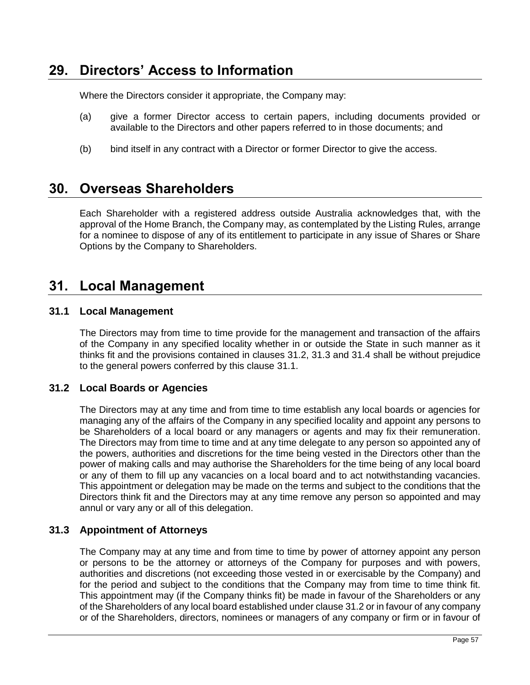## **29. Directors' Access to Information**

Where the Directors consider it appropriate, the Company may:

- (a) give a former Director access to certain papers, including documents provided or available to the Directors and other papers referred to in those documents; and
- (b) bind itself in any contract with a Director or former Director to give the access.

## **30. Overseas Shareholders**

Each Shareholder with a registered address outside Australia acknowledges that, with the approval of the Home Branch, the Company may, as contemplated by the Listing Rules, arrange for a nominee to dispose of any of its entitlement to participate in any issue of Shares or Share Options by the Company to Shareholders.

## **31. Local Management**

### <span id="page-65-2"></span>**31.1 Local Management**

The Directors may from time to time provide for the management and transaction of the affairs of the Company in any specified locality whether in or outside the State in such manner as it thinks fit and the provisions contained in clauses [31.2,](#page-65-0) [31.3](#page-65-1) and [31.4](#page-66-0) shall be without prejudice to the general powers conferred by this clause [31.1.](#page-65-2)

## <span id="page-65-0"></span>**31.2 Local Boards or Agencies**

The Directors may at any time and from time to time establish any local boards or agencies for managing any of the affairs of the Company in any specified locality and appoint any persons to be Shareholders of a local board or any managers or agents and may fix their remuneration. The Directors may from time to time and at any time delegate to any person so appointed any of the powers, authorities and discretions for the time being vested in the Directors other than the power of making calls and may authorise the Shareholders for the time being of any local board or any of them to fill up any vacancies on a local board and to act notwithstanding vacancies. This appointment or delegation may be made on the terms and subject to the conditions that the Directors think fit and the Directors may at any time remove any person so appointed and may annul or vary any or all of this delegation.

## <span id="page-65-1"></span>**31.3 Appointment of Attorneys**

The Company may at any time and from time to time by power of attorney appoint any person or persons to be the attorney or attorneys of the Company for purposes and with powers, authorities and discretions (not exceeding those vested in or exercisable by the Company) and for the period and subject to the conditions that the Company may from time to time think fit. This appointment may (if the Company thinks fit) be made in favour of the Shareholders or any of the Shareholders of any local board established under clause [31.2](#page-65-0) or in favour of any company or of the Shareholders, directors, nominees or managers of any company or firm or in favour of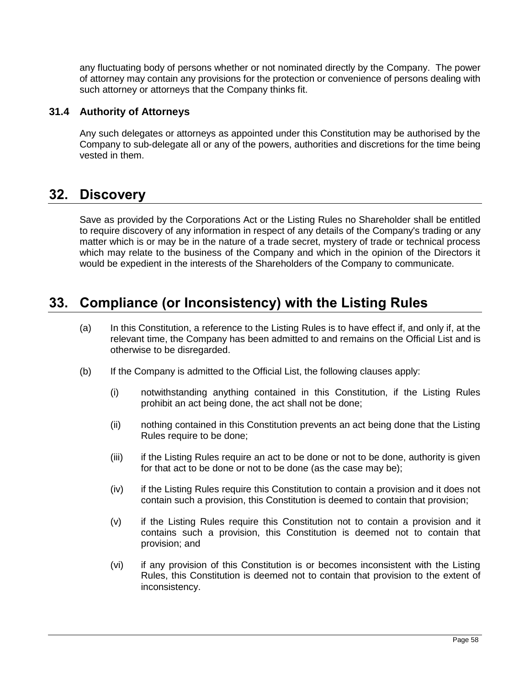any fluctuating body of persons whether or not nominated directly by the Company. The power of attorney may contain any provisions for the protection or convenience of persons dealing with such attorney or attorneys that the Company thinks fit.

## <span id="page-66-0"></span>**31.4 Authority of Attorneys**

Any such delegates or attorneys as appointed under this Constitution may be authorised by the Company to sub-delegate all or any of the powers, authorities and discretions for the time being vested in them.

## **32. Discovery**

Save as provided by the Corporations Act or the Listing Rules no Shareholder shall be entitled to require discovery of any information in respect of any details of the Company's trading or any matter which is or may be in the nature of a trade secret, mystery of trade or technical process which may relate to the business of the Company and which in the opinion of the Directors it would be expedient in the interests of the Shareholders of the Company to communicate.

## **33. Compliance (or Inconsistency) with the Listing Rules**

- (a) In this Constitution, a reference to the Listing Rules is to have effect if, and only if, at the relevant time, the Company has been admitted to and remains on the Official List and is otherwise to be disregarded.
- (b) If the Company is admitted to the Official List, the following clauses apply:
	- (i) notwithstanding anything contained in this Constitution, if the Listing Rules prohibit an act being done, the act shall not be done;
	- (ii) nothing contained in this Constitution prevents an act being done that the Listing Rules require to be done;
	- (iii) if the Listing Rules require an act to be done or not to be done, authority is given for that act to be done or not to be done (as the case may be);
	- (iv) if the Listing Rules require this Constitution to contain a provision and it does not contain such a provision, this Constitution is deemed to contain that provision;
	- (v) if the Listing Rules require this Constitution not to contain a provision and it contains such a provision, this Constitution is deemed not to contain that provision; and
	- (vi) if any provision of this Constitution is or becomes inconsistent with the Listing Rules, this Constitution is deemed not to contain that provision to the extent of inconsistency.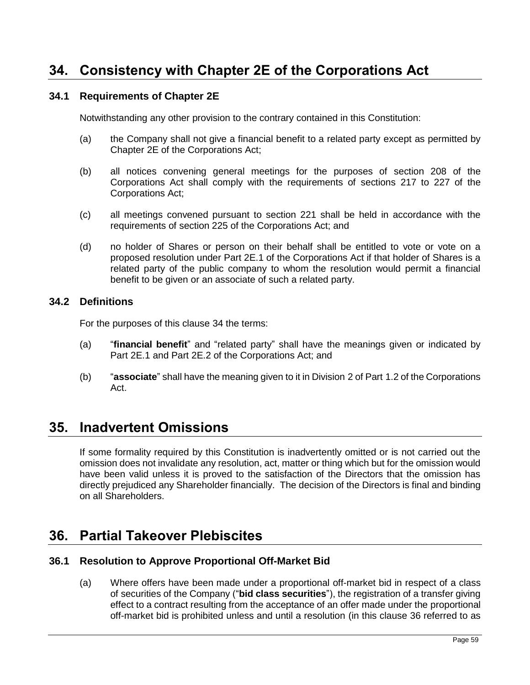## <span id="page-67-0"></span>**34. Consistency with Chapter 2E of the Corporations Act**

## **34.1 Requirements of Chapter 2E**

Notwithstanding any other provision to the contrary contained in this Constitution:

- (a) the Company shall not give a financial benefit to a related party except as permitted by Chapter 2E of the Corporations Act;
- (b) all notices convening general meetings for the purposes of section 208 of the Corporations Act shall comply with the requirements of sections 217 to 227 of the Corporations Act;
- (c) all meetings convened pursuant to section 221 shall be held in accordance with the requirements of section 225 of the Corporations Act; and
- (d) no holder of Shares or person on their behalf shall be entitled to vote or vote on a proposed resolution under Part 2E.1 of the Corporations Act if that holder of Shares is a related party of the public company to whom the resolution would permit a financial benefit to be given or an associate of such a related party.

### **34.2 Definitions**

For the purposes of this clause [34](#page-67-0) the terms:

- (a) "**financial benefit**" and "related party" shall have the meanings given or indicated by Part 2E.1 and Part 2E.2 of the Corporations Act; and
- (b) "**associate**" shall have the meaning given to it in Division 2 of Part 1.2 of the Corporations Act.

## **35. Inadvertent Omissions**

If some formality required by this Constitution is inadvertently omitted or is not carried out the omission does not invalidate any resolution, act, matter or thing which but for the omission would have been valid unless it is proved to the satisfaction of the Directors that the omission has directly prejudiced any Shareholder financially. The decision of the Directors is final and binding on all Shareholders.

## <span id="page-67-1"></span>**36. Partial Takeover Plebiscites**

### **36.1 Resolution to Approve Proportional Off-Market Bid**

(a) Where offers have been made under a proportional off-market bid in respect of a class of securities of the Company ("**bid class securities**"), the registration of a transfer giving effect to a contract resulting from the acceptance of an offer made under the proportional off-market bid is prohibited unless and until a resolution (in this clause [36](#page-67-1) referred to as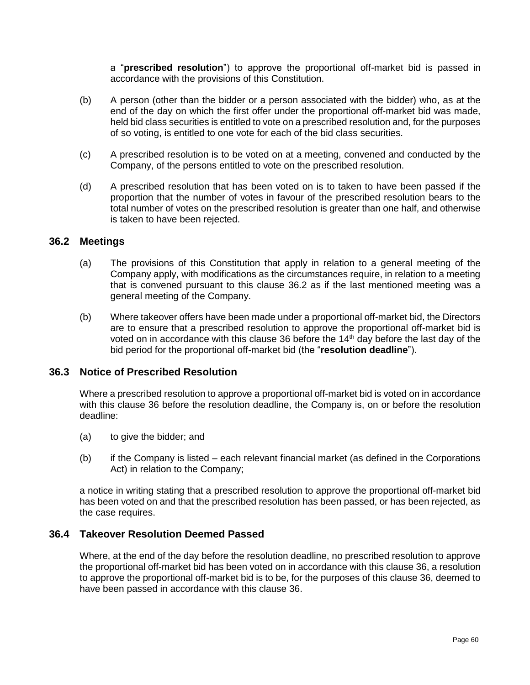a "**prescribed resolution**") to approve the proportional off-market bid is passed in accordance with the provisions of this Constitution.

- (b) A person (other than the bidder or a person associated with the bidder) who, as at the end of the day on which the first offer under the proportional off-market bid was made, held bid class securities is entitled to vote on a prescribed resolution and, for the purposes of so voting, is entitled to one vote for each of the bid class securities.
- (c) A prescribed resolution is to be voted on at a meeting, convened and conducted by the Company, of the persons entitled to vote on the prescribed resolution.
- (d) A prescribed resolution that has been voted on is to taken to have been passed if the proportion that the number of votes in favour of the prescribed resolution bears to the total number of votes on the prescribed resolution is greater than one half, and otherwise is taken to have been rejected.

#### <span id="page-68-0"></span>**36.2 Meetings**

- (a) The provisions of this Constitution that apply in relation to a general meeting of the Company apply, with modifications as the circumstances require, in relation to a meeting that is convened pursuant to this clause [36.2](#page-68-0) as if the last mentioned meeting was a general meeting of the Company.
- (b) Where takeover offers have been made under a proportional off-market bid, the Directors are to ensure that a prescribed resolution to approve the proportional off-market bid is voted on in accordance with this clause [36](#page-67-1) before the 14<sup>th</sup> day before the last day of the bid period for the proportional off-market bid (the "**resolution deadline**").

### **36.3 Notice of Prescribed Resolution**

Where a prescribed resolution to approve a proportional off-market bid is voted on in accordance with this clause [36](#page-67-1) before the resolution deadline, the Company is, on or before the resolution deadline:

- (a) to give the bidder; and
- (b) if the Company is listed each relevant financial market (as defined in the Corporations Act) in relation to the Company;

a notice in writing stating that a prescribed resolution to approve the proportional off-market bid has been voted on and that the prescribed resolution has been passed, or has been rejected, as the case requires.

## **36.4 Takeover Resolution Deemed Passed**

Where, at the end of the day before the resolution deadline, no prescribed resolution to approve the proportional off-market bid has been voted on in accordance with this claus[e 36,](#page-67-1) a resolution to approve the proportional off-market bid is to be, for the purposes of this clause [36,](#page-67-1) deemed to have been passed in accordance with this clause [36.](#page-67-1)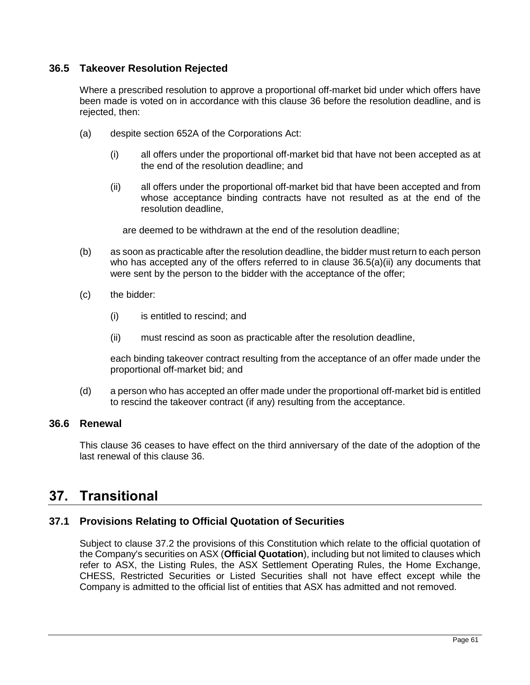## **36.5 Takeover Resolution Rejected**

Where a prescribed resolution to approve a proportional off-market bid under which offers have been made is voted on in accordance with this clause [36](#page-67-1) before the resolution deadline, and is rejected, then:

- <span id="page-69-0"></span>(a) despite section 652A of the Corporations Act:
	- (i) all offers under the proportional off-market bid that have not been accepted as at the end of the resolution deadline; and
	- (ii) all offers under the proportional off-market bid that have been accepted and from whose acceptance binding contracts have not resulted as at the end of the resolution deadline,

are deemed to be withdrawn at the end of the resolution deadline;

- (b) as soon as practicable after the resolution deadline, the bidder must return to each person who has accepted any of the offers referred to in clause  $36.5(a)(ii)$  any documents that were sent by the person to the bidder with the acceptance of the offer;
- (c) the bidder:
	- (i) is entitled to rescind; and
	- (ii) must rescind as soon as practicable after the resolution deadline,

each binding takeover contract resulting from the acceptance of an offer made under the proportional off-market bid; and

(d) a person who has accepted an offer made under the proportional off-market bid is entitled to rescind the takeover contract (if any) resulting from the acceptance.

## **36.6 Renewal**

This clause [36](#page-67-1) ceases to have effect on the third anniversary of the date of the adoption of the last renewal of this clause [36.](#page-67-1)

## **37. Transitional**

## <span id="page-69-1"></span>**37.1 Provisions Relating to Official Quotation of Securities**

Subject to clause [37.2](#page-70-0) the provisions of this Constitution which relate to the official quotation of the Company's securities on ASX (**Official Quotation**), including but not limited to clauses which refer to ASX, the Listing Rules, the ASX Settlement Operating Rules, the Home Exchange, CHESS, Restricted Securities or Listed Securities shall not have effect except while the Company is admitted to the official list of entities that ASX has admitted and not removed.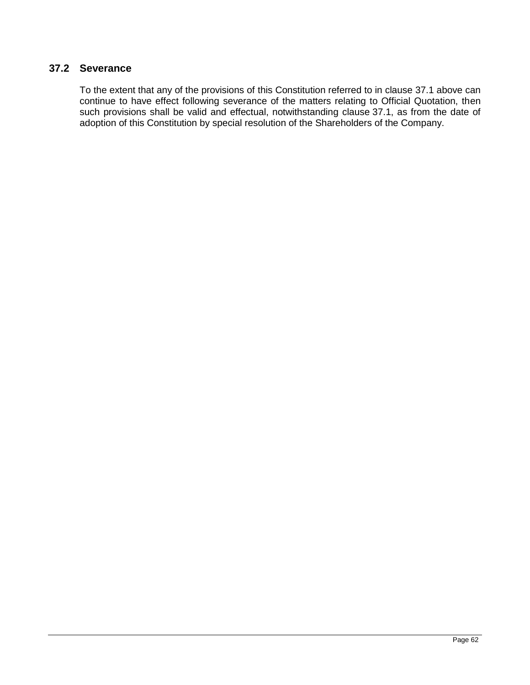## <span id="page-70-0"></span>**37.2 Severance**

To the extent that any of the provisions of this Constitution referred to in clause [37.1](#page-69-1) above can continue to have effect following severance of the matters relating to Official Quotation, then such provisions shall be valid and effectual, notwithstanding clause [37.1,](#page-69-1) as from the date of adoption of this Constitution by special resolution of the Shareholders of the Company.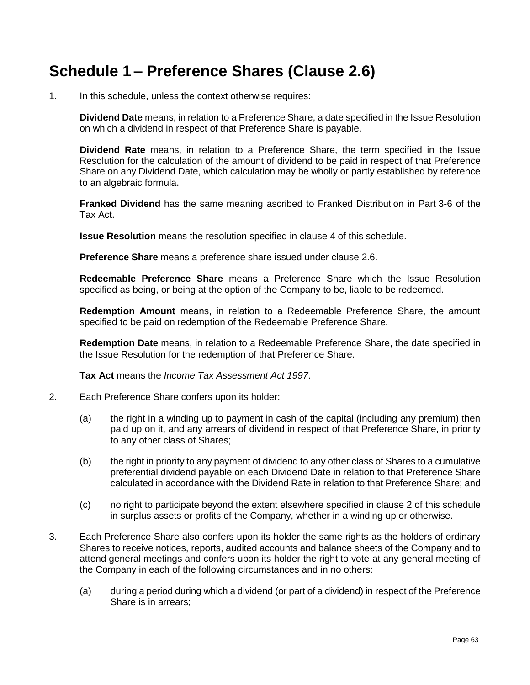# **Schedule 1 – Preference Shares (Clause [2.6\)](#page-14-0)**

1. In this schedule, unless the context otherwise requires:

**Dividend Date** means, in relation to a Preference Share, a date specified in the Issue Resolution on which a dividend in respect of that Preference Share is payable.

**Dividend Rate** means, in relation to a Preference Share, the term specified in the Issue Resolution for the calculation of the amount of dividend to be paid in respect of that Preference Share on any Dividend Date, which calculation may be wholly or partly established by reference to an algebraic formula.

**Franked Dividend** has the same meaning ascribed to Franked Distribution in Part 3-6 of the Tax Act.

**Issue Resolution** means the resolution specified in clause [4](#page-72-0) of this schedule.

**Preference Share** means a preference share issued under clause [2.6.](#page-14-0)

**Redeemable Preference Share** means a Preference Share which the Issue Resolution specified as being, or being at the option of the Company to be, liable to be redeemed.

**Redemption Amount** means, in relation to a Redeemable Preference Share, the amount specified to be paid on redemption of the Redeemable Preference Share.

**Redemption Date** means, in relation to a Redeemable Preference Share, the date specified in the Issue Resolution for the redemption of that Preference Share.

**Tax Act** means the *Income Tax Assessment Act 1997*.

- <span id="page-71-0"></span>2. Each Preference Share confers upon its holder:
	- (a) the right in a winding up to payment in cash of the capital (including any premium) then paid up on it, and any arrears of dividend in respect of that Preference Share, in priority to any other class of Shares;
	- (b) the right in priority to any payment of dividend to any other class of Shares to a cumulative preferential dividend payable on each Dividend Date in relation to that Preference Share calculated in accordance with the Dividend Rate in relation to that Preference Share; and
	- (c) no right to participate beyond the extent elsewhere specified in clause [2](#page-71-0) of this schedule in surplus assets or profits of the Company, whether in a winding up or otherwise.
- 3. Each Preference Share also confers upon its holder the same rights as the holders of ordinary Shares to receive notices, reports, audited accounts and balance sheets of the Company and to attend general meetings and confers upon its holder the right to vote at any general meeting of the Company in each of the following circumstances and in no others:
	- (a) during a period during which a dividend (or part of a dividend) in respect of the Preference Share is in arrears;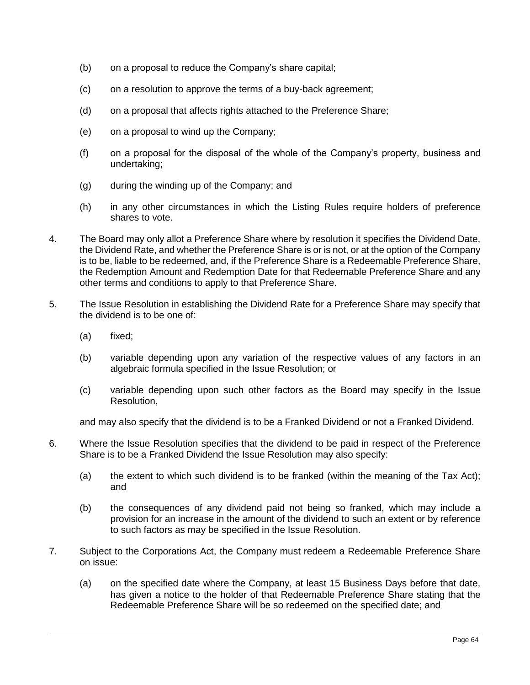- (b) on a proposal to reduce the Company's share capital;
- (c) on a resolution to approve the terms of a buy-back agreement;
- (d) on a proposal that affects rights attached to the Preference Share;
- (e) on a proposal to wind up the Company;
- (f) on a proposal for the disposal of the whole of the Company's property, business and undertaking;
- (g) during the winding up of the Company; and
- (h) in any other circumstances in which the Listing Rules require holders of preference shares to vote.
- 4. The Board may only allot a Preference Share where by resolution it specifies the Dividend Date, the Dividend Rate, and whether the Preference Share is or is not, or at the option of the Company is to be, liable to be redeemed, and, if the Preference Share is a Redeemable Preference Share, the Redemption Amount and Redemption Date for that Redeemable Preference Share and any other terms and conditions to apply to that Preference Share.
- 5. The Issue Resolution in establishing the Dividend Rate for a Preference Share may specify that the dividend is to be one of:
	- (a) fixed;
	- (b) variable depending upon any variation of the respective values of any factors in an algebraic formula specified in the Issue Resolution; or
	- (c) variable depending upon such other factors as the Board may specify in the Issue Resolution,

and may also specify that the dividend is to be a Franked Dividend or not a Franked Dividend.

- 6. Where the Issue Resolution specifies that the dividend to be paid in respect of the Preference Share is to be a Franked Dividend the Issue Resolution may also specify:
	- (a) the extent to which such dividend is to be franked (within the meaning of the Tax Act); and
	- (b) the consequences of any dividend paid not being so franked, which may include a provision for an increase in the amount of the dividend to such an extent or by reference to such factors as may be specified in the Issue Resolution.
- 7. Subject to the Corporations Act, the Company must redeem a Redeemable Preference Share on issue:
	- (a) on the specified date where the Company, at least 15 Business Days before that date, has given a notice to the holder of that Redeemable Preference Share stating that the Redeemable Preference Share will be so redeemed on the specified date; and